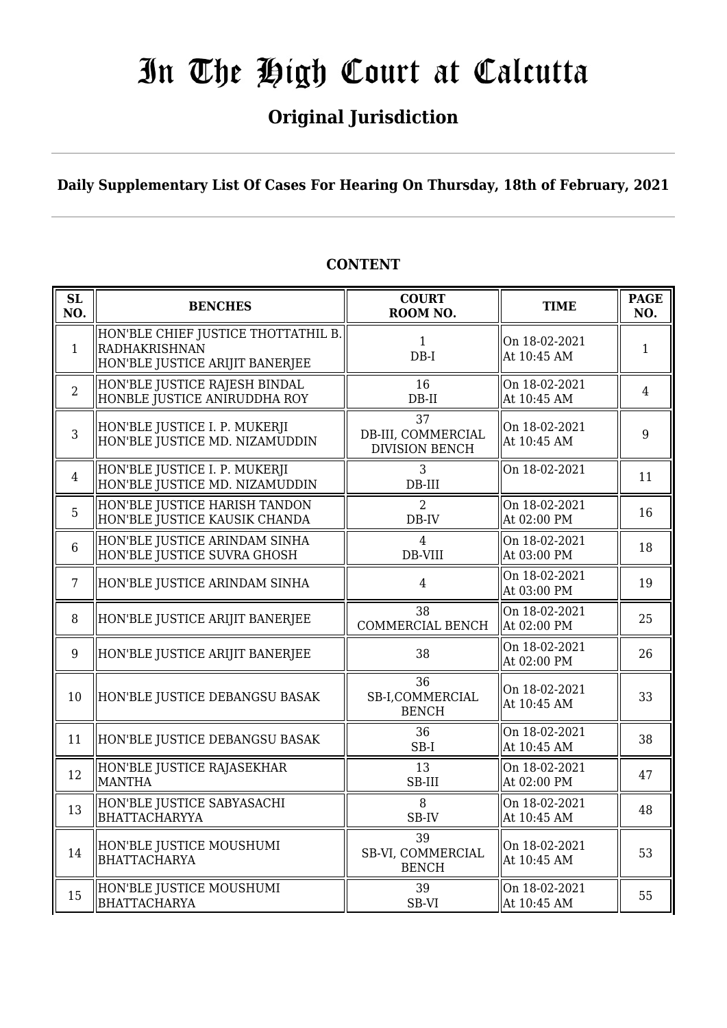## **Original Jurisdiction**

### **Daily Supplementary List Of Cases For Hearing On Thursday, 18th of February, 2021**

| SL<br>NO.      | <b>BENCHES</b>                                                                          | <b>COURT</b><br>ROOM NO.                          | <b>TIME</b>                  | <b>PAGE</b><br>NO. |
|----------------|-----------------------------------------------------------------------------------------|---------------------------------------------------|------------------------------|--------------------|
| $\mathbf{1}$   | HON'BLE CHIEF JUSTICE THOTTATHIL B.<br>RADHAKRISHNAN<br>HON'BLE JUSTICE ARIJIT BANERJEE | $\mathbf{1}$<br>$DB-I$                            | On 18-02-2021<br>At 10:45 AM | 1                  |
| $\overline{2}$ | HON'BLE JUSTICE RAJESH BINDAL<br>HONBLE JUSTICE ANIRUDDHA ROY                           | 16<br>$DB-II$                                     | On 18-02-2021<br>At 10:45 AM | $\overline{4}$     |
| 3              | HON'BLE JUSTICE I. P. MUKERJI<br>HON'BLE JUSTICE MD. NIZAMUDDIN                         | 37<br>DB-III, COMMERCIAL<br><b>DIVISION BENCH</b> | On 18-02-2021<br>At 10:45 AM | 9                  |
| $\overline{4}$ | HON'BLE JUSTICE I. P. MUKERJI<br>HON'BLE JUSTICE MD. NIZAMUDDIN                         | 3<br>DB-III                                       | On 18-02-2021                | 11                 |
| 5              | HON'BLE JUSTICE HARISH TANDON<br>HON'BLE JUSTICE KAUSIK CHANDA                          | $\overline{2}$<br>$DB$ -IV                        | On 18-02-2021<br>At 02:00 PM | 16                 |
| 6              | HON'BLE JUSTICE ARINDAM SINHA<br>HON'BLE JUSTICE SUVRA GHOSH                            | $\overline{4}$<br>DB-VIII                         | On 18-02-2021<br>At 03:00 PM | 18                 |
| $\overline{7}$ | HON'BLE JUSTICE ARINDAM SINHA                                                           | $\overline{4}$                                    | On 18-02-2021<br>At 03:00 PM | 19                 |
| 8              | HON'BLE JUSTICE ARIJIT BANERJEE                                                         | 38<br>COMMERCIAL BENCH                            | On 18-02-2021<br>At 02:00 PM | 25                 |
| 9              | HON'BLE JUSTICE ARIJIT BANERJEE                                                         | 38                                                | On 18-02-2021<br>At 02:00 PM | 26                 |
| 10             | HON'BLE JUSTICE DEBANGSU BASAK                                                          | 36<br>SB-I,COMMERCIAL<br><b>BENCH</b>             | On 18-02-2021<br>At 10:45 AM | 33                 |
| 11             | HON'BLE JUSTICE DEBANGSU BASAK                                                          | 36<br>$SB-I$                                      | On 18-02-2021<br>At 10:45 AM | 38                 |
| 12             | HON'BLE JUSTICE RAJASEKHAR<br><b>MANTHA</b>                                             | 13<br>SB-III                                      | On 18-02-2021<br>At 02:00 PM | 47                 |
| 13             | HON'BLE JUSTICE SABYASACHI<br>BHATTACHARYYA                                             | 8<br>SB-IV                                        | On 18-02-2021<br>At 10:45 AM | 48                 |
| 14             | HON'BLE JUSTICE MOUSHUMI<br><b>BHATTACHARYA</b>                                         | 39<br>SB-VI, COMMERCIAL<br><b>BENCH</b>           | On 18-02-2021<br>At 10:45 AM | 53                 |
| 15             | HON'BLE JUSTICE MOUSHUMI<br><b>BHATTACHARYA</b>                                         | 39<br>SB-VI                                       | On 18-02-2021<br>At 10:45 AM | 55                 |

#### **CONTENT**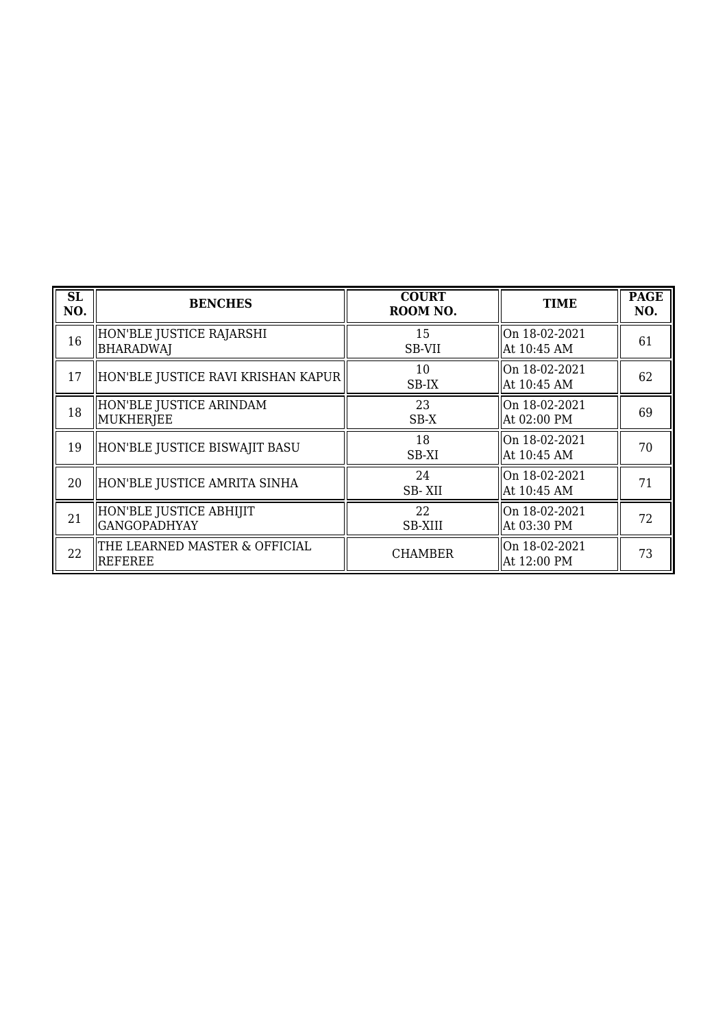| <b>SL</b><br>NO. | <b>BENCHES</b>                                 | <b>COURT</b><br>ROOM NO. | <b>TIME</b>                  | <b>PAGE</b><br>NO. |
|------------------|------------------------------------------------|--------------------------|------------------------------|--------------------|
| 16               | HON'BLE JUSTICE RAJARSHI<br><b>BHARADWAJ</b>   | 15<br>SB-VII             | On 18-02-2021<br>At 10:45 AM | 61                 |
| 17               | HON'BLE JUSTICE RAVI KRISHAN KAPUR             | 10<br>SB-IX              | On 18-02-2021<br>At 10:45 AM | 62                 |
| 18               | HON'BLE JUSTICE ARINDAM<br>MUKHERJEE           | 23<br>SB-X               | On 18-02-2021<br>At 02:00 PM | 69                 |
| 19               | HON'BLE JUSTICE BISWAJIT BASU                  | 18<br>SB-XI              | On 18-02-2021<br>At 10:45 AM | 70                 |
| 20               | HON'BLE JUSTICE AMRITA SINHA                   | 24<br>SB-XII             | On 18-02-2021<br>At 10:45 AM | 71                 |
| 21               | HON'BLE JUSTICE ABHIJIT<br><b>GANGOPADHYAY</b> | 22<br>SB-XIII            | On 18-02-2021<br>At 03:30 PM | 72                 |
| 22               | THE LEARNED MASTER & OFFICIAL<br>REFEREE       | <b>CHAMBER</b>           | On 18-02-2021<br>At 12:00 PM | 73                 |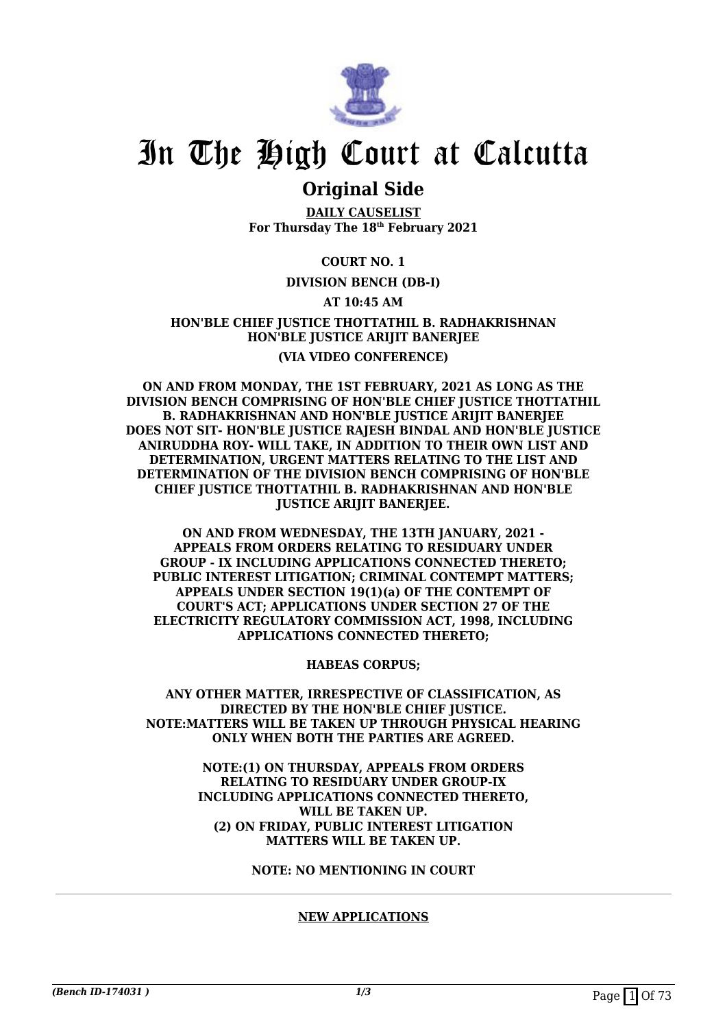

### **Original Side**

**DAILY CAUSELIST For Thursday The 18th February 2021**

#### **COURT NO. 1**

#### **DIVISION BENCH (DB-I)**

#### **AT 10:45 AM**

#### **HON'BLE CHIEF JUSTICE THOTTATHIL B. RADHAKRISHNAN HON'BLE JUSTICE ARIJIT BANERJEE (VIA VIDEO CONFERENCE)**

**ON AND FROM MONDAY, THE 1ST FEBRUARY, 2021 AS LONG AS THE DIVISION BENCH COMPRISING OF HON'BLE CHIEF JUSTICE THOTTATHIL B. RADHAKRISHNAN AND HON'BLE JUSTICE ARIJIT BANERJEE DOES NOT SIT- HON'BLE JUSTICE RAJESH BINDAL AND HON'BLE JUSTICE ANIRUDDHA ROY- WILL TAKE, IN ADDITION TO THEIR OWN LIST AND DETERMINATION, URGENT MATTERS RELATING TO THE LIST AND DETERMINATION OF THE DIVISION BENCH COMPRISING OF HON'BLE CHIEF JUSTICE THOTTATHIL B. RADHAKRISHNAN AND HON'BLE JUSTICE ARIJIT BANERJEE.**

**ON AND FROM WEDNESDAY, THE 13TH JANUARY, 2021 - APPEALS FROM ORDERS RELATING TO RESIDUARY UNDER GROUP - IX INCLUDING APPLICATIONS CONNECTED THERETO; PUBLIC INTEREST LITIGATION; CRIMINAL CONTEMPT MATTERS; APPEALS UNDER SECTION 19(1)(a) OF THE CONTEMPT OF COURT'S ACT; APPLICATIONS UNDER SECTION 27 OF THE ELECTRICITY REGULATORY COMMISSION ACT, 1998, INCLUDING APPLICATIONS CONNECTED THERETO;**

**HABEAS CORPUS;**

**ANY OTHER MATTER, IRRESPECTIVE OF CLASSIFICATION, AS DIRECTED BY THE HON'BLE CHIEF JUSTICE. NOTE:MATTERS WILL BE TAKEN UP THROUGH PHYSICAL HEARING ONLY WHEN BOTH THE PARTIES ARE AGREED.**

> **NOTE:(1) ON THURSDAY, APPEALS FROM ORDERS RELATING TO RESIDUARY UNDER GROUP-IX INCLUDING APPLICATIONS CONNECTED THERETO, WILL BE TAKEN UP. (2) ON FRIDAY, PUBLIC INTEREST LITIGATION MATTERS WILL BE TAKEN UP.**

> > **NOTE: NO MENTIONING IN COURT**

#### **NEW APPLICATIONS**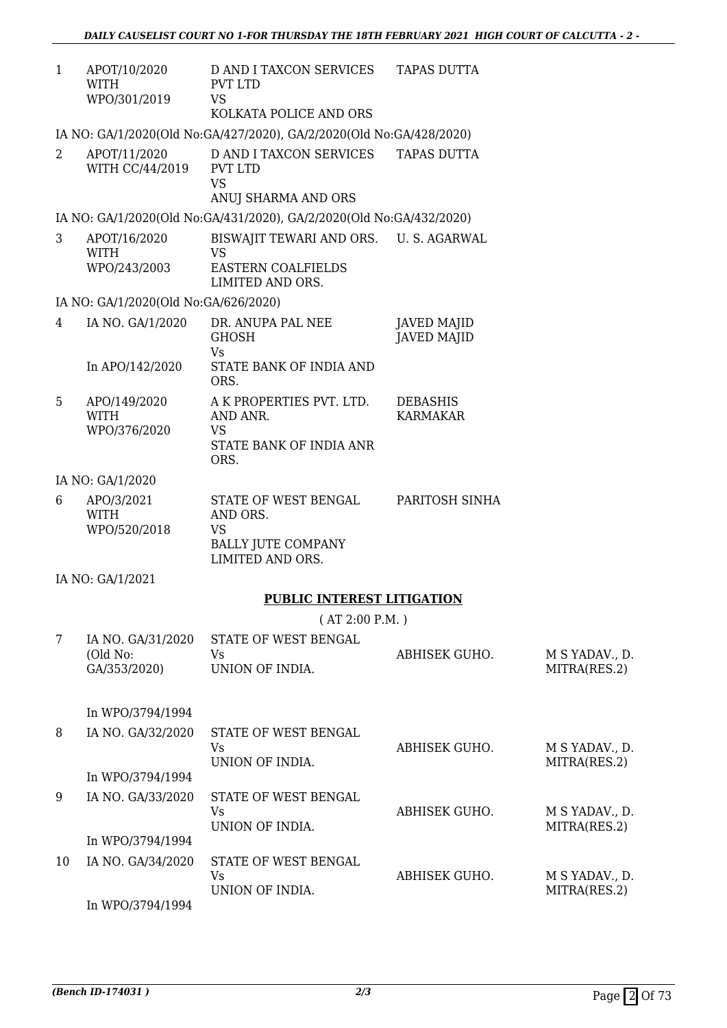| $\mathbf{1}$ | APOT/10/2020<br>WITH<br>WPO/301/2019          | D AND I TAXCON SERVICES TAPAS DUTTA<br>PVT LTD<br><b>VS</b><br>KOLKATA POLICE AND ORS               |                                          |                                |
|--------------|-----------------------------------------------|-----------------------------------------------------------------------------------------------------|------------------------------------------|--------------------------------|
|              |                                               | IA NO: GA/1/2020(Old No:GA/427/2020), GA/2/2020(Old No:GA/428/2020)                                 |                                          |                                |
| 2            | APOT/11/2020<br>WITH CC/44/2019               | D AND I TAXCON SERVICES<br>PVT LTD<br><b>VS</b><br>ANUJ SHARMA AND ORS                              | <b>TAPAS DUTTA</b>                       |                                |
|              |                                               | IA NO: GA/1/2020(Old No:GA/431/2020), GA/2/2020(Old No:GA/432/2020)                                 |                                          |                                |
| 3            | APOT/16/2020<br><b>WITH</b><br>WPO/243/2003   | BISWAJIT TEWARI AND ORS. U.S. AGARWAL<br><b>VS</b><br><b>EASTERN COALFIELDS</b><br>LIMITED AND ORS. |                                          |                                |
|              | IA NO: GA/1/2020(Old No:GA/626/2020)          |                                                                                                     |                                          |                                |
| 4            | IA NO. GA/1/2020                              | DR. ANUPA PAL NEE<br><b>GHOSH</b><br>Vs                                                             | <b>JAVED MAJID</b><br><b>JAVED MAJID</b> |                                |
|              | In APO/142/2020                               | STATE BANK OF INDIA AND<br>ORS.                                                                     |                                          |                                |
| 5            | APO/149/2020<br><b>WITH</b><br>WPO/376/2020   | A K PROPERTIES PVT. LTD.<br>AND ANR.<br><b>VS</b><br>STATE BANK OF INDIA ANR                        | <b>DEBASHIS</b><br><b>KARMAKAR</b>       |                                |
|              |                                               | ORS.                                                                                                |                                          |                                |
|              | IA NO: GA/1/2020                              |                                                                                                     |                                          |                                |
| 6            | APO/3/2021<br><b>WITH</b><br>WPO/520/2018     | STATE OF WEST BENGAL<br>AND ORS.<br><b>VS</b><br><b>BALLY JUTE COMPANY</b><br>LIMITED AND ORS.      | PARITOSH SINHA                           |                                |
|              | IA NO: GA/1/2021                              |                                                                                                     |                                          |                                |
|              |                                               | <b>PUBLIC INTEREST LITIGATION</b>                                                                   |                                          |                                |
|              |                                               | (AT 2:00 P.M.)                                                                                      |                                          |                                |
| 7            | IA NO. GA/31/2020<br>(Old No:<br>GA/353/2020) | STATE OF WEST BENGAL<br>Vs<br>UNION OF INDIA.                                                       | ABHISEK GUHO.                            | M S YADAV., D.<br>MITRA(RES.2) |
|              | In WPO/3794/1994                              |                                                                                                     |                                          |                                |
| 8            | IA NO. GA/32/2020                             | STATE OF WEST BENGAL<br>Vs<br>UNION OF INDIA.                                                       | ABHISEK GUHO.                            | M S YADAV., D.<br>MITRA(RES.2) |
|              | In WPO/3794/1994                              |                                                                                                     |                                          |                                |
| 9            | IA NO. GA/33/2020                             | STATE OF WEST BENGAL<br>Vs<br>UNION OF INDIA.                                                       | ABHISEK GUHO.                            | M S YADAV., D.<br>MITRA(RES.2) |
|              | In WPO/3794/1994                              |                                                                                                     |                                          |                                |
| 10           | IA NO. GA/34/2020                             | STATE OF WEST BENGAL<br><b>Vs</b><br>UNION OF INDIA.                                                | ABHISEK GUHO.                            | M S YADAV., D.<br>MITRA(RES.2) |
|              | In WPO/3794/1994                              |                                                                                                     |                                          |                                |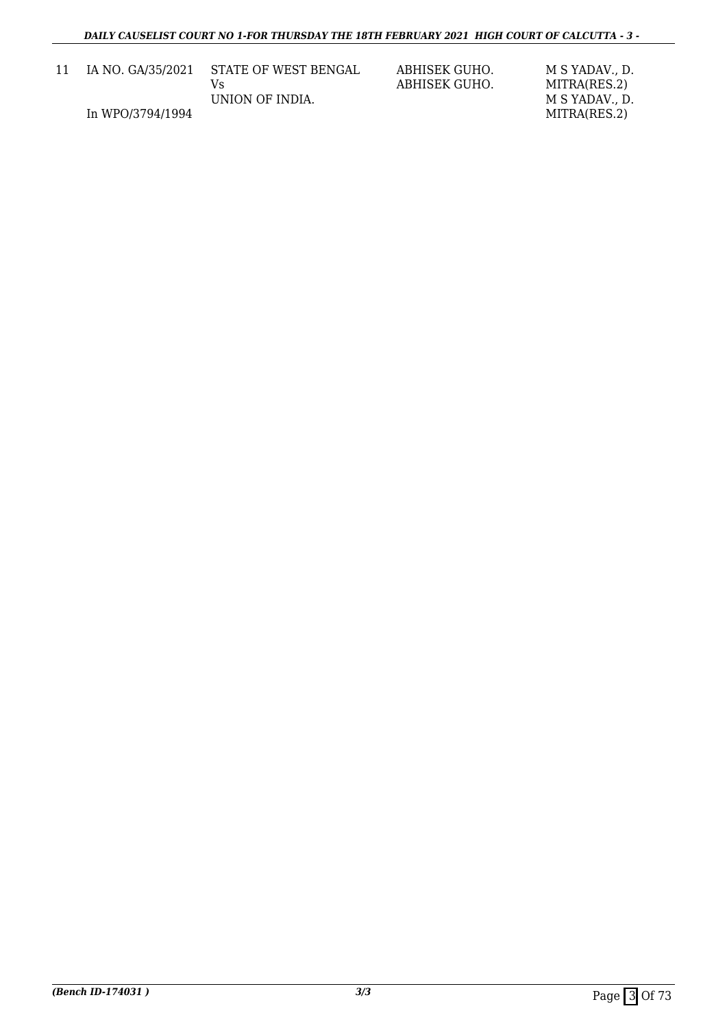| 11 | IA NO. GA/35/2021 | STATE OF WEST BENGAL | ABHISEK GUHO.<br>ABHISEK GUHO. | M S YADAV D.<br>MITRA(RES.2) |
|----|-------------------|----------------------|--------------------------------|------------------------------|
|    |                   | UNION OF INDIA.      |                                | M S YADAV D.                 |
|    | In WPO/3794/1994  |                      |                                | MITRA(RES.2)                 |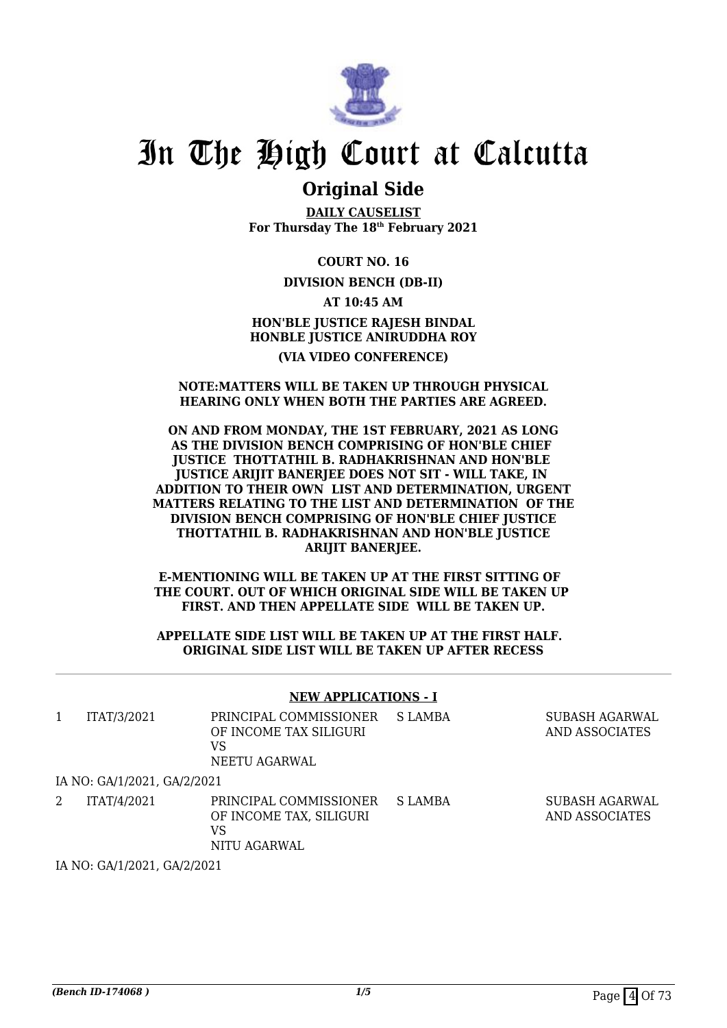

### **Original Side**

**DAILY CAUSELIST For Thursday The 18th February 2021**

**COURT NO. 16**

**DIVISION BENCH (DB-II)**

**AT 10:45 AM HON'BLE JUSTICE RAJESH BINDAL HONBLE JUSTICE ANIRUDDHA ROY (VIA VIDEO CONFERENCE)**

#### **NOTE:MATTERS WILL BE TAKEN UP THROUGH PHYSICAL HEARING ONLY WHEN BOTH THE PARTIES ARE AGREED.**

#### **ON AND FROM MONDAY, THE 1ST FEBRUARY, 2021 AS LONG AS THE DIVISION BENCH COMPRISING OF HON'BLE CHIEF JUSTICE THOTTATHIL B. RADHAKRISHNAN AND HON'BLE JUSTICE ARIJIT BANERJEE DOES NOT SIT - WILL TAKE, IN ADDITION TO THEIR OWN LIST AND DETERMINATION, URGENT MATTERS RELATING TO THE LIST AND DETERMINATION OF THE DIVISION BENCH COMPRISING OF HON'BLE CHIEF JUSTICE THOTTATHIL B. RADHAKRISHNAN AND HON'BLE JUSTICE ARIJIT BANERJEE.**

**E-MENTIONING WILL BE TAKEN UP AT THE FIRST SITTING OF THE COURT. OUT OF WHICH ORIGINAL SIDE WILL BE TAKEN UP FIRST. AND THEN APPELLATE SIDE WILL BE TAKEN UP.**

#### **APPELLATE SIDE LIST WILL BE TAKEN UP AT THE FIRST HALF. ORIGINAL SIDE LIST WILL BE TAKEN UP AFTER RECESS**

#### **NEW APPLICATIONS - I**

| ITAT/3/2021                 | PRINCIPAL COMMISSIONER<br>OF INCOME TAX SILIGURI<br>VS<br>NEETU AGARWAL | S LAMBA | SUBASH AGARWAL<br>AND ASSOCIATES |
|-----------------------------|-------------------------------------------------------------------------|---------|----------------------------------|
| IA NO: GA/1/2021, GA/2/2021 |                                                                         |         |                                  |
| ITAT/4/2021                 | PRINCIPAL COMMISSIONER<br>OF INCOME TAX, SILIGURI<br>VS<br>NITU AGARWAL | S LAMBA | SUBASH AGARWAL<br>AND ASSOCIATES |

IA NO: GA/1/2021, GA/2/2021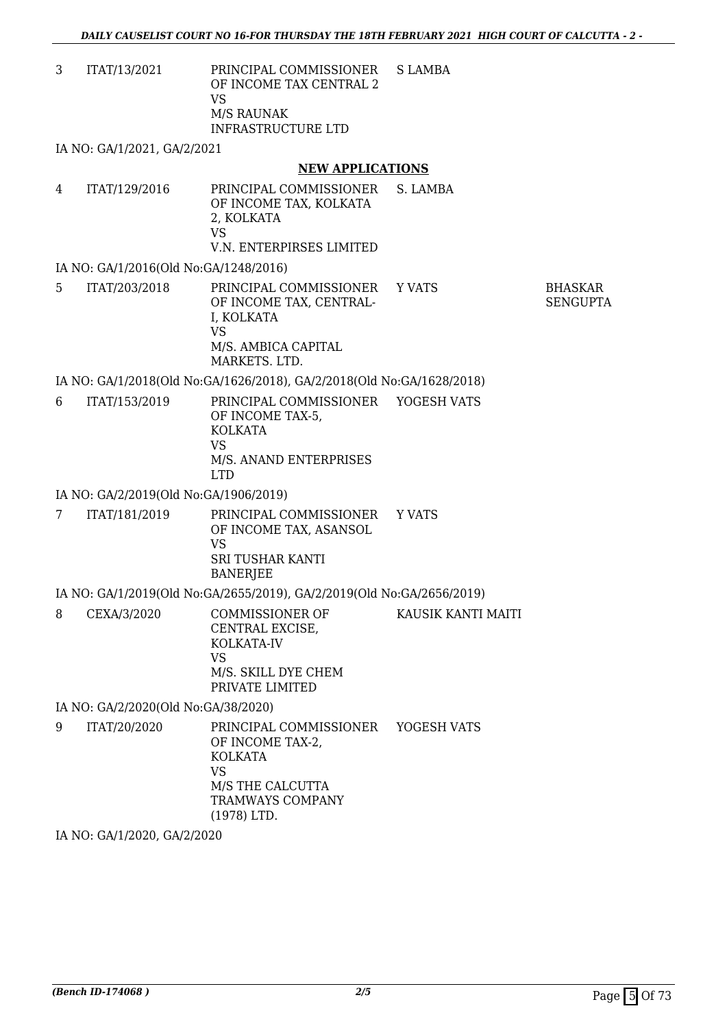3 ITAT/13/2021 PRINCIPAL COMMISSIONER OF INCOME TAX CENTRAL 2 VS M/S RAUNAK INFRASTRUCTURE LTD S LAMBA

IA NO: GA/1/2021, GA/2/2021

#### **NEW APPLICATIONS**

| 4 | ITAT/129/2016 | PRINCIPAL COMMISSIONER S. LAMBA<br>OF INCOME TAX, KOLKATA<br>2. KOLKATA<br>VS |  |
|---|---------------|-------------------------------------------------------------------------------|--|
|   |               | V.N. ENTERPIRSES LIMITED                                                      |  |

#### IA NO: GA/1/2016(Old No:GA/1248/2016)

| 5 | ITAT/203/2018 | PRINCIPAL COMMISSIONER Y VATS<br>OF INCOME TAX, CENTRAL-<br>I. KOLKATA<br>VS<br>M/S. AMBICA CAPITAL | <b>BHASKAR</b><br>SENGUPTA |
|---|---------------|-----------------------------------------------------------------------------------------------------|----------------------------|
|   |               | MARKETS, LTD.                                                                                       |                            |

#### IA NO: GA/1/2018(Old No:GA/1626/2018), GA/2/2018(Old No:GA/1628/2018)

6 ITAT/153/2019 PRINCIPAL COMMISSIONER OF INCOME TAX-5, KOLKATA VS M/S. ANAND ENTERPRISES LTD YOGESH VATS

#### IA NO: GA/2/2019(Old No:GA/1906/2019)

7 ITAT/181/2019 PRINCIPAL COMMISSIONER OF INCOME TAX, ASANSOL VS SRI TUSHAR KANTI **BANERIEE** Y VATS

#### IA NO: GA/1/2019(Old No:GA/2655/2019), GA/2/2019(Old No:GA/2656/2019)

| 8 | CEXA/3/2020 | COMMISSIONER OF<br>CENTRAL EXCISE. | KAUSIK KANTI MAITI |
|---|-------------|------------------------------------|--------------------|
|   |             | KOLKATA-IV                         |                    |
|   |             | VS                                 |                    |
|   |             | M/S. SKILL DYE CHEM                |                    |
|   |             | PRIVATE LIMITED                    |                    |

IA NO: GA/2/2020(Old No:GA/38/2020)

9 ITAT/20/2020 PRINCIPAL COMMISSIONER OF INCOME TAX-2, KOLKATA VS M/S THE CALCUTTA TRAMWAYS COMPANY (1978) LTD. YOGESH VATS

IA NO: GA/1/2020, GA/2/2020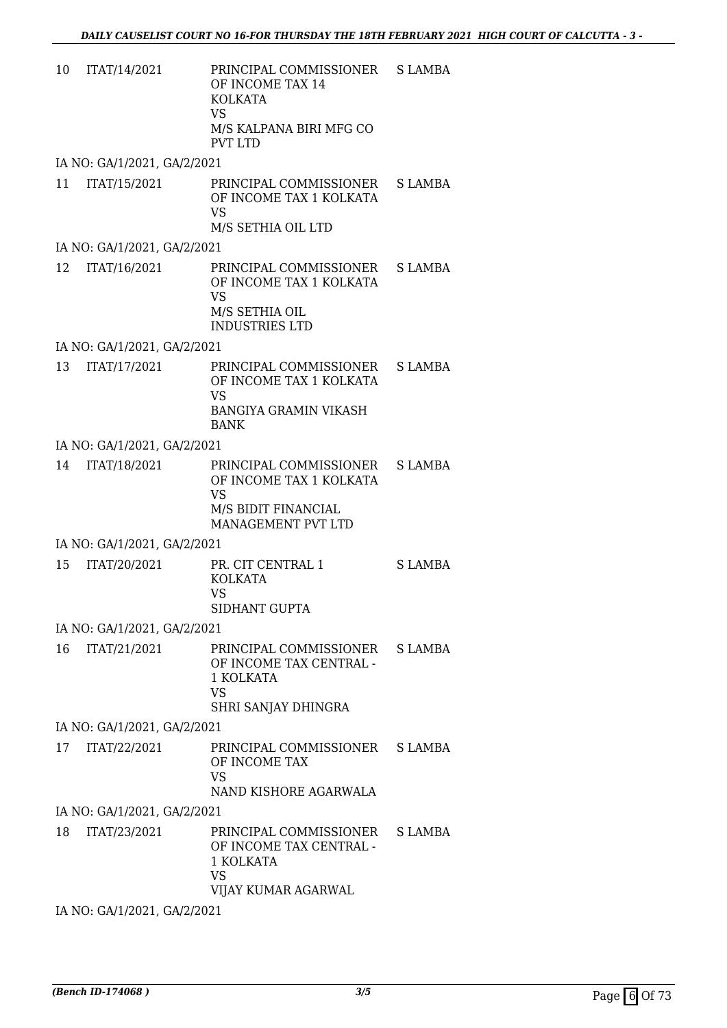| 10 | ITAT/14/2021                | PRINCIPAL COMMISSIONER<br>OF INCOME TAX 14<br><b>KOLKATA</b><br><b>VS</b><br>M/S KALPANA BIRI MFG CO<br><b>PVT LTD</b> | S LAMBA       |
|----|-----------------------------|------------------------------------------------------------------------------------------------------------------------|---------------|
|    | IA NO: GA/1/2021, GA/2/2021 |                                                                                                                        |               |
| 11 | ITAT/15/2021                | PRINCIPAL COMMISSIONER<br>OF INCOME TAX 1 KOLKATA<br><b>VS</b><br>M/S SETHIA OIL LTD                                   | S LAMBA       |
|    | IA NO: GA/1/2021, GA/2/2021 |                                                                                                                        |               |
| 12 | ITAT/16/2021                | PRINCIPAL COMMISSIONER<br>OF INCOME TAX 1 KOLKATA<br><b>VS</b><br>M/S SETHIA OIL<br><b>INDUSTRIES LTD</b>              | S LAMBA       |
|    | IA NO: GA/1/2021, GA/2/2021 |                                                                                                                        |               |
| 13 | ITAT/17/2021                | PRINCIPAL COMMISSIONER<br>OF INCOME TAX 1 KOLKATA<br><b>VS</b><br><b>BANGIYA GRAMIN VIKASH</b><br><b>BANK</b>          | <b>SLAMBA</b> |
|    | IA NO: GA/1/2021, GA/2/2021 |                                                                                                                        |               |
| 14 | ITAT/18/2021                | PRINCIPAL COMMISSIONER<br>OF INCOME TAX 1 KOLKATA<br><b>VS</b><br>M/S BIDIT FINANCIAL<br>MANAGEMENT PVT LTD            | S LAMBA       |
|    | IA NO: GA/1/2021, GA/2/2021 |                                                                                                                        |               |
| 15 | ITAT/20/2021                | PR. CIT CENTRAL 1<br><b>KOLKATA</b><br>VS<br>SIDHANT GUPTA                                                             | S LAMBA       |
|    | IA NO: GA/1/2021, GA/2/2021 |                                                                                                                        |               |
| 16 | ITAT/21/2021                | PRINCIPAL COMMISSIONER<br>OF INCOME TAX CENTRAL -<br>1 KOLKATA                                                         | S LAMBA       |

SHRI SANJAY DHINGRA IA NO: GA/1/2021, GA/2/2021

17 ITAT/22/2021 PRINCIPAL COMMISSIONER OF INCOME TAX VS NAND KISHORE AGARWALA S LAMBA

VS

IA NO: GA/1/2021, GA/2/2021

18 ITAT/23/2021 PRINCIPAL COMMISSIONER OF INCOME TAX CENTRAL - 1 KOLKATA VS VIJAY KUMAR AGARWAL S LAMBA

IA NO: GA/1/2021, GA/2/2021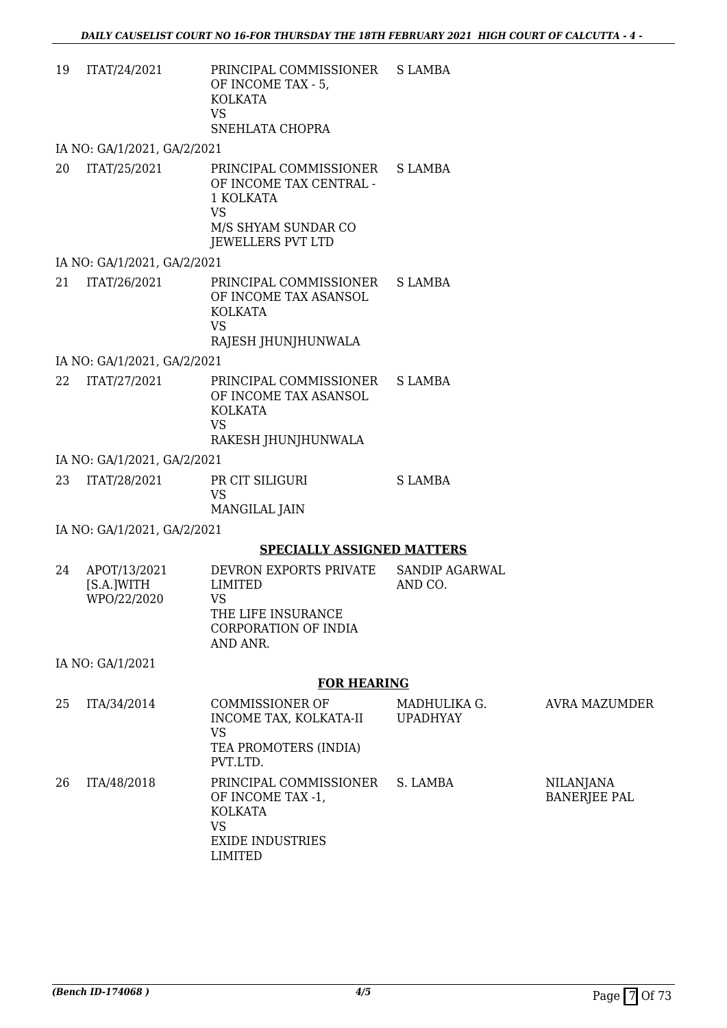| 19 | ITAT/24/2021 | PRINCIPAL COMMISSIONER S LAMBA<br>OF INCOME TAX - 5.<br>KOLKATA<br>VS<br>SNEHLATA CHOPRA |  |
|----|--------------|------------------------------------------------------------------------------------------|--|
|    |              |                                                                                          |  |

IA NO: GA/1/2021, GA/2/2021

| 20 | ITAT/25/2021 | PRINCIPAL COMMISSIONER S LAMBA<br>OF INCOME TAX CENTRAL - |  |
|----|--------------|-----------------------------------------------------------|--|
|    |              | 1 KOLKATA                                                 |  |
|    |              | VS                                                        |  |
|    |              | M/S SHYAM SUNDAR CO                                       |  |
|    |              | JEWELLERS PVT LTD                                         |  |

IA NO: GA/1/2021, GA/2/2021

| VS<br>RAJESH JHUNJHUNWALA | 21 | ITAT/26/2021 | PRINCIPAL COMMISSIONER S LAMBA<br>OF INCOME TAX ASANSOL<br>KOLKATA |  |
|---------------------------|----|--------------|--------------------------------------------------------------------|--|
|---------------------------|----|--------------|--------------------------------------------------------------------|--|

IA NO: GA/1/2021, GA/2/2021

| 22 ITAT/27/2021 | PRINCIPAL COMMISSIONER S LAMBA<br>OF INCOME TAX ASANSOL |  |
|-----------------|---------------------------------------------------------|--|
|                 | KOLKATA                                                 |  |
|                 | VS                                                      |  |
|                 | RAKESH JHUNJHUNWALA                                     |  |

IA NO: GA/1/2021, GA/2/2021

| 23 | ITAT/28/2021 | PR CIT SILIGURI | S LAMBA |
|----|--------------|-----------------|---------|
|    |              | VS              |         |
|    |              | MANGILAL JAIN   |         |

IA NO: GA/1/2021, GA/2/2021

#### **SPECIALLY ASSIGNED MATTERS**

| 24 | APOT/13/2021<br>[S.A.]WITH<br>WPO/22/2020 | DEVRON EXPORTS PRIVATE<br>LIMITED<br>VS<br>THE LIFE INSURANCE<br>CORPORATION OF INDIA | SANDIP AGARWAL<br>AND CO. |
|----|-------------------------------------------|---------------------------------------------------------------------------------------|---------------------------|
|    | IA NO: GA/1/2021                          | AND ANR.                                                                              |                           |

### **FOR HEARING**

| 25 | ITA/34/2014 | <b>COMMISSIONER OF</b><br>INCOME TAX, KOLKATA-II<br>VS<br>TEA PROMOTERS (INDIA)<br>PVT.LTD.               | MADHULIKA G.<br><b>UPADHYAY</b> | AVRA MAZUMDER                           |
|----|-------------|-----------------------------------------------------------------------------------------------------------|---------------------------------|-----------------------------------------|
| 26 | ITA/48/2018 | PRINCIPAL COMMISSIONER<br>OF INCOME TAX -1,<br><b>KOLKATA</b><br>VS<br><b>EXIDE INDUSTRIES</b><br>LIMITED | S. LAMBA                        | <b>NILANJANA</b><br><b>BANERJEE PAL</b> |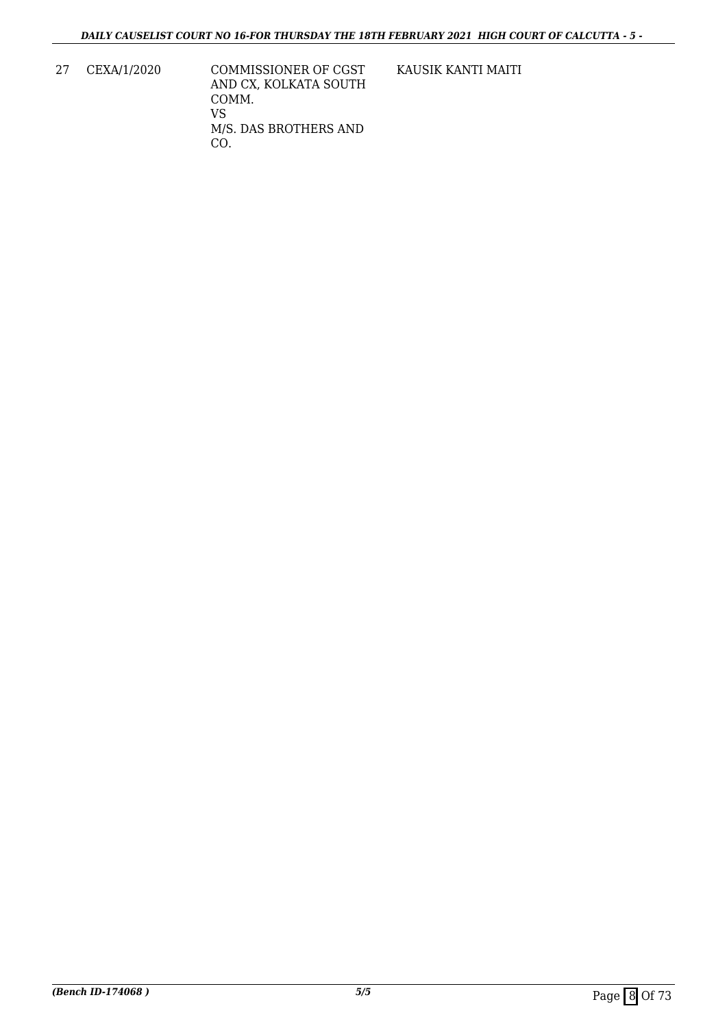27 CEXA/1/2020 COMMISSIONER OF CGST AND CX, KOLKATA SOUTH COMM. VS M/S. DAS BROTHERS AND CO.

KAUSIK KANTI MAITI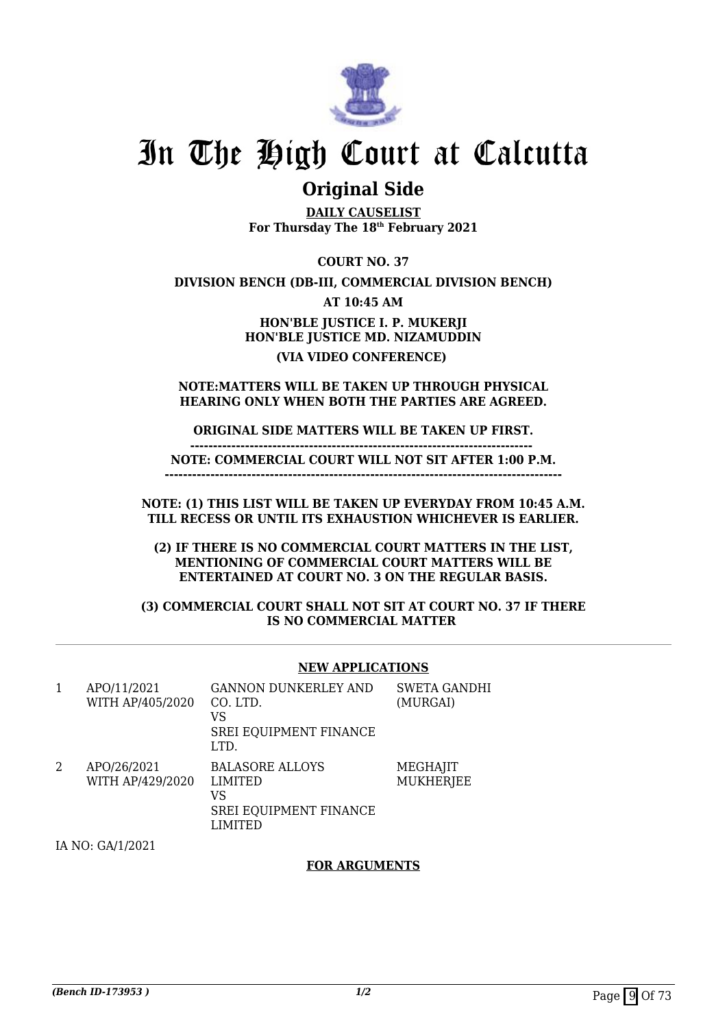

### **Original Side**

**DAILY CAUSELIST For Thursday The 18th February 2021**

**COURT NO. 37**

**DIVISION BENCH (DB-III, COMMERCIAL DIVISION BENCH)**

**AT 10:45 AM**

**HON'BLE JUSTICE I. P. MUKERJI HON'BLE JUSTICE MD. NIZAMUDDIN (VIA VIDEO CONFERENCE)** 

**NOTE:MATTERS WILL BE TAKEN UP THROUGH PHYSICAL HEARING ONLY WHEN BOTH THE PARTIES ARE AGREED.**

#### **ORIGINAL SIDE MATTERS WILL BE TAKEN UP FIRST. ---------------------------------------------------------------------------**

**NOTE: COMMERCIAL COURT WILL NOT SIT AFTER 1:00 P.M.**

**---------------------------------------------------------------------------------------**

**NOTE: (1) THIS LIST WILL BE TAKEN UP EVERYDAY FROM 10:45 A.M. TILL RECESS OR UNTIL ITS EXHAUSTION WHICHEVER IS EARLIER.**

**(2) IF THERE IS NO COMMERCIAL COURT MATTERS IN THE LIST, MENTIONING OF COMMERCIAL COURT MATTERS WILL BE ENTERTAINED AT COURT NO. 3 ON THE REGULAR BASIS.**

**(3) COMMERCIAL COURT SHALL NOT SIT AT COURT NO. 37 IF THERE IS NO COMMERCIAL MATTER** 

#### **NEW APPLICATIONS**

| 1 | APO/11/2021<br>WITH AP/405/2020 | <b>GANNON DUNKERLEY AND</b><br>CO. LTD.<br>VS<br>SREI EQUIPMENT FINANCE<br>LTD.            | <b>SWETA GANDHI</b><br>(MURGAI) |
|---|---------------------------------|--------------------------------------------------------------------------------------------|---------------------------------|
| 2 | APO/26/2021<br>WITH AP/429/2020 | <b>BALASORE ALLOYS</b><br><b>LIMITED</b><br>VS<br>SREI EQUIPMENT FINANCE<br><b>LIMITED</b> | MEGHAJIT<br><b>MUKHERJEE</b>    |

IA NO: GA/1/2021

#### **FOR ARGUMENTS**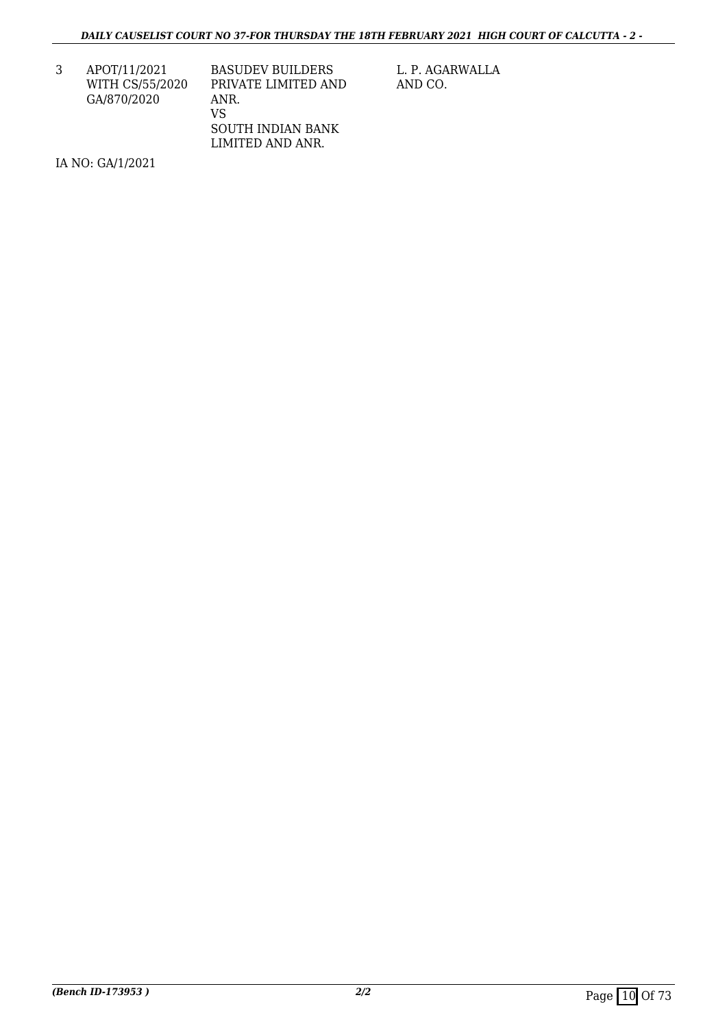3 APOT/11/2021 WITH CS/55/2020 GA/870/2020

BASUDEV BUILDERS PRIVATE LIMITED AND ANR. VS SOUTH INDIAN BANK LIMITED AND ANR.

L. P. AGARWALLA AND CO.

IA NO: GA/1/2021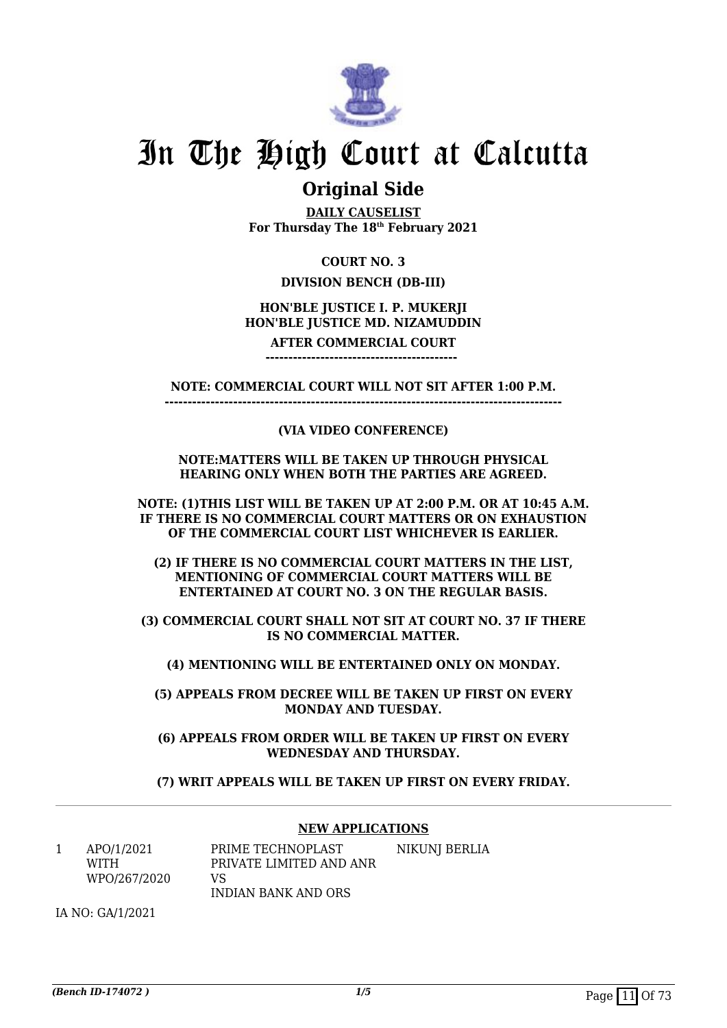

### **Original Side**

**DAILY CAUSELIST For Thursday The 18th February 2021**

#### **COURT NO. 3**

#### **DIVISION BENCH (DB-III)**

#### **HON'BLE JUSTICE I. P. MUKERJI HON'BLE JUSTICE MD. NIZAMUDDIN**

**AFTER COMMERCIAL COURT ------------------------------------------** 

**NOTE: COMMERCIAL COURT WILL NOT SIT AFTER 1:00 P.M.**

**---------------------------------------------------------------------------------------**

#### **(VIA VIDEO CONFERENCE)**

#### **NOTE:MATTERS WILL BE TAKEN UP THROUGH PHYSICAL HEARING ONLY WHEN BOTH THE PARTIES ARE AGREED.**

**NOTE: (1)THIS LIST WILL BE TAKEN UP AT 2:00 P.M. OR AT 10:45 A.M. IF THERE IS NO COMMERCIAL COURT MATTERS OR ON EXHAUSTION OF THE COMMERCIAL COURT LIST WHICHEVER IS EARLIER.**

**(2) IF THERE IS NO COMMERCIAL COURT MATTERS IN THE LIST, MENTIONING OF COMMERCIAL COURT MATTERS WILL BE ENTERTAINED AT COURT NO. 3 ON THE REGULAR BASIS.**

**(3) COMMERCIAL COURT SHALL NOT SIT AT COURT NO. 37 IF THERE IS NO COMMERCIAL MATTER.**

**(4) MENTIONING WILL BE ENTERTAINED ONLY ON MONDAY.**

**(5) APPEALS FROM DECREE WILL BE TAKEN UP FIRST ON EVERY MONDAY AND TUESDAY.**

**(6) APPEALS FROM ORDER WILL BE TAKEN UP FIRST ON EVERY WEDNESDAY AND THURSDAY.**

**(7) WRIT APPEALS WILL BE TAKEN UP FIRST ON EVERY FRIDAY.**

#### **NEW APPLICATIONS**

1 APO/1/2021 WITH WPO/267/2020 PRIME TECHNOPLAST PRIVATE LIMITED AND ANR  $V<sup>Q</sup>$ INDIAN BANK AND ORS NIKUNJ BERLIA

IA NO: GA/1/2021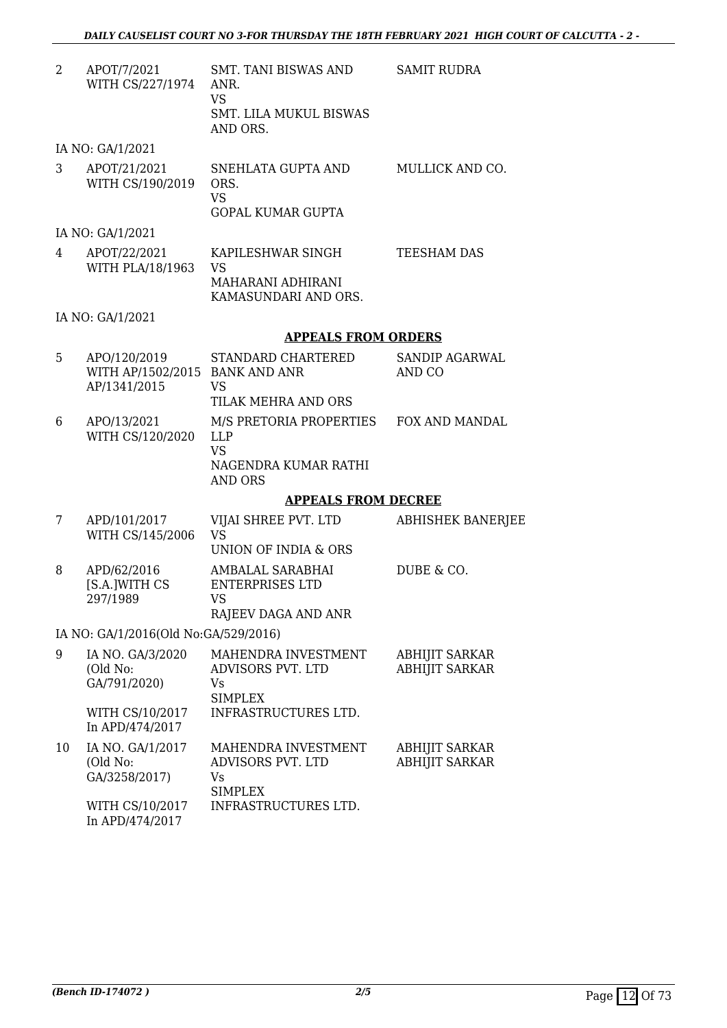SAMIT RUDRA

| APOT/7/2021      | <b>SMT. TANI BISWAS AND</b> |
|------------------|-----------------------------|
| WITH CS/227/1974 | ANR.                        |
|                  | VS.                         |
|                  | SMT. LILA MUKUL BISWAS      |
|                  | AND ORS.                    |

IA NO: GA/1/2021

| 3  | APOT/21/2021<br>WITH CS/190/2019                               | SNEHLATA GUPTA AND<br>ORS.<br><b>VS</b><br><b>GOPAL KUMAR GUPTA</b>                                         | MULLICK AND CO.                                |
|----|----------------------------------------------------------------|-------------------------------------------------------------------------------------------------------------|------------------------------------------------|
|    | IA NO: GA/1/2021                                               |                                                                                                             |                                                |
| 4  | APOT/22/2021<br>WITH PLA/18/1963                               | KAPILESHWAR SINGH<br><b>VS</b><br>MAHARANI ADHIRANI<br>KAMASUNDARI AND ORS.                                 | <b>TEESHAM DAS</b>                             |
|    | IA NO: GA/1/2021                                               |                                                                                                             |                                                |
|    |                                                                | <b>APPEALS FROM ORDERS</b>                                                                                  |                                                |
| 5  | APO/120/2019<br>WITH AP/1502/2015 BANK AND ANR<br>AP/1341/2015 | STANDARD CHARTERED<br><b>VS</b>                                                                             | SANDIP AGARWAL<br>AND CO                       |
|    |                                                                | TILAK MEHRA AND ORS                                                                                         |                                                |
| 6  | APO/13/2021<br>WITH CS/120/2020                                | M/S PRETORIA PROPERTIES FOX AND MANDAL<br><b>LLP</b><br><b>VS</b><br>NAGENDRA KUMAR RATHI<br><b>AND ORS</b> |                                                |
|    |                                                                | <b>APPEALS FROM DECREE</b>                                                                                  |                                                |
| 7  | APD/101/2017<br>WITH CS/145/2006                               | VIJAI SHREE PVT. LTD<br><b>VS</b><br><b>UNION OF INDIA &amp; ORS</b>                                        | <b>ABHISHEK BANERJEE</b>                       |
| 8  | APD/62/2016<br>[S.A.]WITH CS<br>297/1989                       | AMBALAL SARABHAI<br><b>ENTERPRISES LTD</b><br><b>VS</b><br>RAJEEV DAGA AND ANR                              | DUBE & CO.                                     |
|    | IA NO: GA/1/2016(Old No:GA/529/2016)                           |                                                                                                             |                                                |
| 9  | IA NO. GA/3/2020<br>(Old No:<br>GA/791/2020)                   | MAHENDRA INVESTMENT<br>ADVISORS PVT. LTD<br>Vs<br><b>SIMPLEX</b>                                            | <b>ABHIJIT SARKAR</b><br><b>ABHIJIT SARKAR</b> |
|    | WITH CS/10/2017<br>In APD/474/2017                             | INFRASTRUCTURES LTD.                                                                                        |                                                |
| 10 | IA NO. GA/1/2017<br>(Old No:<br>GA/3258/2017)                  | MAHENDRA INVESTMENT<br>ADVISORS PVT. LTD<br>Vs<br><b>SIMPLEX</b>                                            | <b>ABHIJIT SARKAR</b><br><b>ABHIJIT SARKAR</b> |
|    | WITH CS/10/2017                                                | INFRASTRUCTURES LTD.                                                                                        |                                                |

In APD/474/2017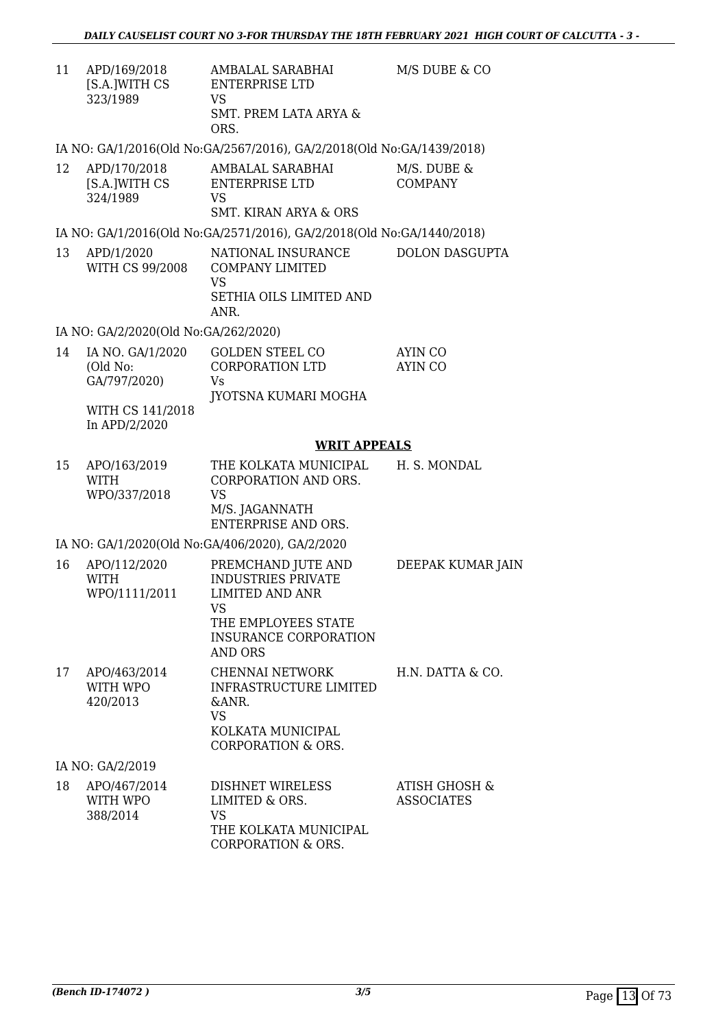| 11 | APD/169/2018<br>[S.A.]WITH CS                | AMBALAL SARABHAI<br><b>ENTERPRISE LTD</b>                                                                                                     | M/S DUBE & CO                      |
|----|----------------------------------------------|-----------------------------------------------------------------------------------------------------------------------------------------------|------------------------------------|
|    | 323/1989                                     | <b>VS</b><br><b>SMT. PREM LATA ARYA &amp;</b><br>ORS.                                                                                         |                                    |
|    |                                              | IA NO: GA/1/2016(Old No:GA/2567/2016), GA/2/2018(Old No:GA/1439/2018)                                                                         |                                    |
| 12 | APD/170/2018<br>[S.A.]WITH CS<br>324/1989    | AMBALAL SARABHAI<br><b>ENTERPRISE LTD</b><br><b>VS</b><br><b>SMT. KIRAN ARYA &amp; ORS</b>                                                    | M/S. DUBE &<br><b>COMPANY</b>      |
|    |                                              | IA NO: GA/1/2016(Old No:GA/2571/2016), GA/2/2018(Old No:GA/1440/2018)                                                                         |                                    |
| 13 | APD/1/2020<br>WITH CS 99/2008                | NATIONAL INSURANCE<br><b>COMPANY LIMITED</b><br><b>VS</b><br>SETHIA OILS LIMITED AND<br>ANR.                                                  | <b>DOLON DASGUPTA</b>              |
|    | IA NO: GA/2/2020(Old No:GA/262/2020)         |                                                                                                                                               |                                    |
| 14 | IA NO. GA/1/2020<br>(Old No:<br>GA/797/2020) | <b>GOLDEN STEEL CO</b><br><b>CORPORATION LTD</b><br>Vs<br>JYOTSNA KUMARI MOGHA                                                                | AYIN CO<br>AYIN CO                 |
|    | WITH CS 141/2018<br>In APD/2/2020            |                                                                                                                                               |                                    |
|    |                                              | <b>WRIT APPEALS</b>                                                                                                                           |                                    |
| 15 | APO/163/2019<br><b>WITH</b><br>WPO/337/2018  | THE KOLKATA MUNICIPAL<br>CORPORATION AND ORS.<br><b>VS</b><br>M/S. JAGANNATH<br><b>ENTERPRISE AND ORS.</b>                                    | H. S. MONDAL                       |
|    |                                              | IA NO: GA/1/2020(Old No:GA/406/2020), GA/2/2020                                                                                               |                                    |
| 16 | APO/112/2020<br><b>WITH</b><br>WPO/1111/2011 | PREMCHAND JUTE AND<br><b>INDUSTRIES PRIVATE</b><br><b>LIMITED AND ANR</b><br><b>VS</b><br>THE EMPLOYEES STATE<br><b>INSURANCE CORPORATION</b> | DEEPAK KUMAR JAIN                  |
|    |                                              | <b>AND ORS</b>                                                                                                                                |                                    |
| 17 | APO/463/2014<br>WITH WPO<br>420/2013         | <b>CHENNAI NETWORK</b><br><b>INFRASTRUCTURE LIMITED</b><br>&ANR.<br><b>VS</b><br>KOLKATA MUNICIPAL                                            | H.N. DATTA & CO.                   |
|    |                                              | <b>CORPORATION &amp; ORS.</b>                                                                                                                 |                                    |
|    | IA NO: GA/2/2019                             |                                                                                                                                               |                                    |
| 18 | APO/467/2014<br>WITH WPO<br>388/2014         | <b>DISHNET WIRELESS</b><br>LIMITED & ORS.<br><b>VS</b>                                                                                        | ATISH GHOSH &<br><b>ASSOCIATES</b> |

THE KOLKATA MUNICIPAL CORPORATION & ORS.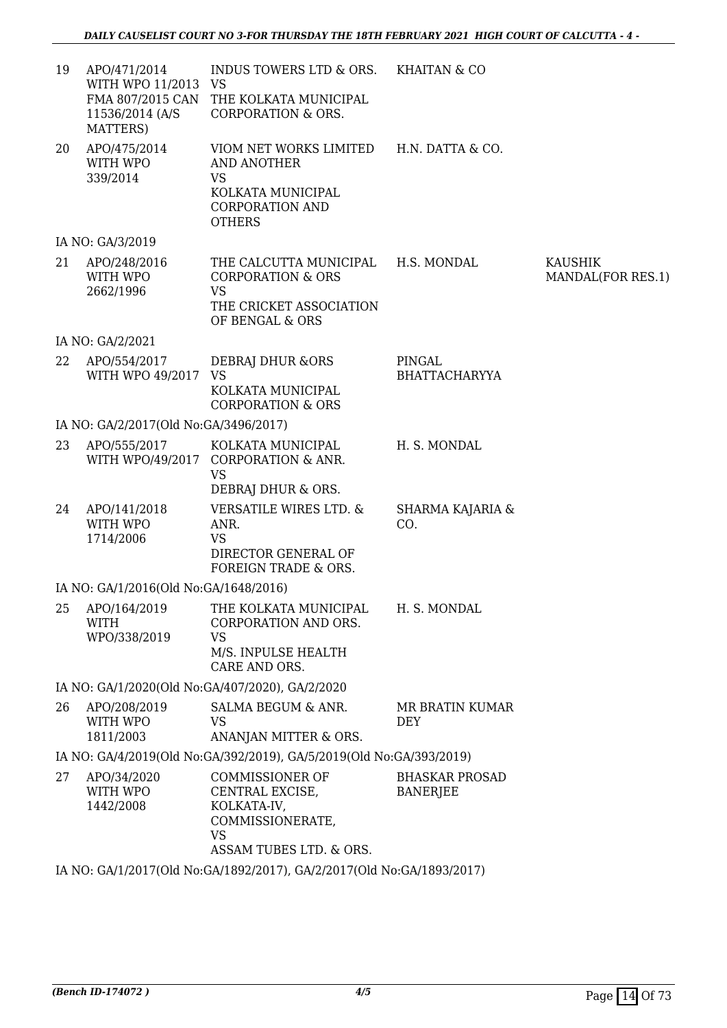| 19 | APO/471/2014<br>WITH WPO 11/2013 VS<br>11536/2014 (A/S<br>MATTERS) | INDUS TOWERS LTD & ORS. KHAITAN & CO<br>FMA 807/2015 CAN THE KOLKATA MUNICIPAL<br><b>CORPORATION &amp; ORS.</b>                     |                                          |                              |
|----|--------------------------------------------------------------------|-------------------------------------------------------------------------------------------------------------------------------------|------------------------------------------|------------------------------|
| 20 | APO/475/2014<br>WITH WPO<br>339/2014                               | VIOM NET WORKS LIMITED H.N. DATTA & CO.<br>AND ANOTHER<br><b>VS</b><br>KOLKATA MUNICIPAL<br><b>CORPORATION AND</b><br><b>OTHERS</b> |                                          |                              |
|    | IA NO: GA/3/2019                                                   |                                                                                                                                     |                                          |                              |
| 21 | APO/248/2016<br>WITH WPO<br>2662/1996                              | THE CALCUTTA MUNICIPAL H.S. MONDAL<br><b>CORPORATION &amp; ORS</b><br><b>VS</b><br>THE CRICKET ASSOCIATION<br>OF BENGAL & ORS       |                                          | KAUSHIK<br>MANDAL(FOR RES.1) |
|    | IA NO: GA/2/2021                                                   |                                                                                                                                     |                                          |                              |
| 22 | APO/554/2017<br>WITH WPO 49/2017                                   | DEBRAJ DHUR & ORS<br><b>VS</b><br>KOLKATA MUNICIPAL<br><b>CORPORATION &amp; ORS</b>                                                 | PINGAL<br><b>BHATTACHARYYA</b>           |                              |
|    | IA NO: GA/2/2017(Old No:GA/3496/2017)                              |                                                                                                                                     |                                          |                              |
| 23 | APO/555/2017                                                       | KOLKATA MUNICIPAL<br>WITH WPO/49/2017 CORPORATION & ANR.<br><b>VS</b><br>DEBRAJ DHUR & ORS.                                         | H. S. MONDAL                             |                              |
| 24 | APO/141/2018<br>WITH WPO<br>1714/2006                              | <b>VERSATILE WIRES LTD. &amp;</b><br>ANR.<br><b>VS</b><br>DIRECTOR GENERAL OF<br>FOREIGN TRADE & ORS.                               | SHARMA KAJARIA &<br>CO.                  |                              |
|    | IA NO: GA/1/2016(Old No:GA/1648/2016)                              |                                                                                                                                     |                                          |                              |
|    | <b>WITH</b><br>WPO/338/2019                                        | 25 APO/164/2019 THE KOLKATA MUNICIPAL H. S. MONDAL<br>CORPORATION AND ORS.<br><b>VS</b><br>M/S. INPULSE HEALTH<br>CARE AND ORS.     |                                          |                              |
|    |                                                                    | IA NO: GA/1/2020(Old No:GA/407/2020), GA/2/2020                                                                                     |                                          |                              |
| 26 | APO/208/2019<br>WITH WPO<br>1811/2003                              | SALMA BEGUM & ANR.<br><b>VS</b><br>ANANJAN MITTER & ORS.                                                                            | MR BRATIN KUMAR<br><b>DEY</b>            |                              |
|    |                                                                    | IA NO: GA/4/2019(Old No:GA/392/2019), GA/5/2019(Old No:GA/393/2019)                                                                 |                                          |                              |
| 27 | APO/34/2020<br>WITH WPO<br>1442/2008                               | <b>COMMISSIONER OF</b><br>CENTRAL EXCISE,<br>KOLKATA-IV,<br>COMMISSIONERATE,<br><b>VS</b><br>ASSAM TUBES LTD. & ORS.                | <b>BHASKAR PROSAD</b><br><b>BANERJEE</b> |                              |
|    |                                                                    | IA NO: GA/1/2017(Old No:GA/1892/2017), GA/2/2017(Old No:GA/1893/2017)                                                               |                                          |                              |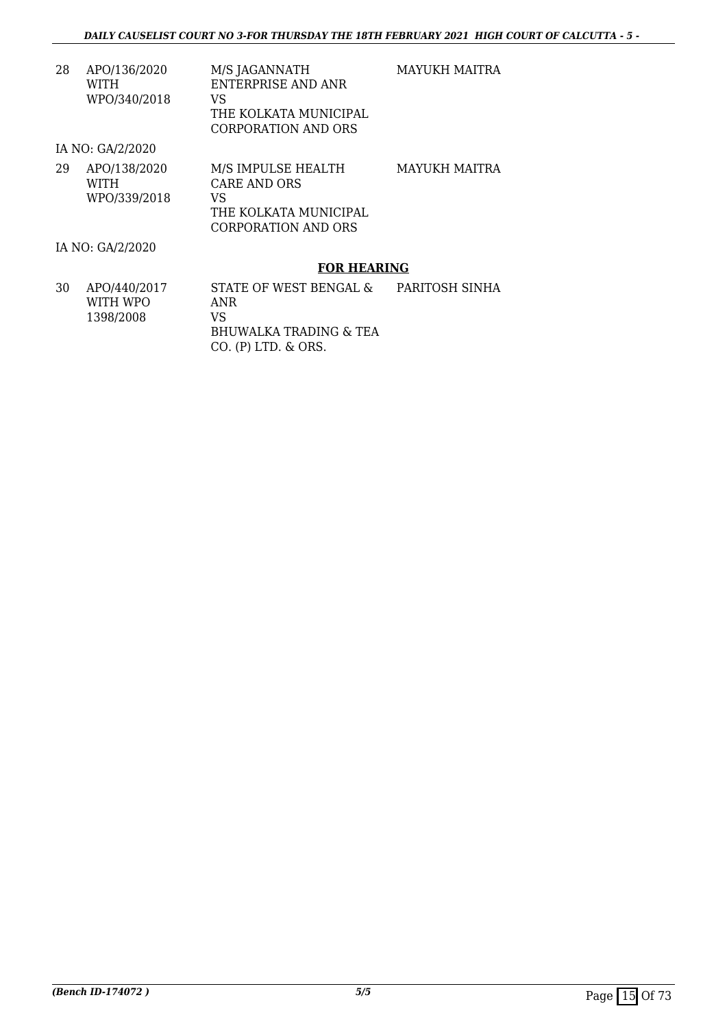| 28 | APO/136/2020 | M/S JAGANNATH         |
|----|--------------|-----------------------|
|    | WITH         | ENTERPRISE AND ANR    |
|    | WPO/340/2018 | VS.                   |
|    |              | THE KOLKATA MUNICIPAL |
|    |              |                       |

MAYUKH MAITRA

IA NO: GA/2/2020

| 29 | APO/138/2020<br><b>WITH</b> | M/S IMPULSE HEALTH<br>CARE AND ORS | MAYUKH MAITRA |
|----|-----------------------------|------------------------------------|---------------|
|    |                             |                                    |               |
|    | WPO/339/2018                | VS                                 |               |
|    |                             | THE KOLKATA MUNICIPAL              |               |
|    |                             | CORPORATION AND ORS                |               |

CORPORATION AND ORS

IA NO: GA/2/2020

#### **FOR HEARING**

| 30 | APO/440/2017<br>WITH WPO | STATE OF WEST BENGAL &<br>ANR | PARITOSH SINHA |
|----|--------------------------|-------------------------------|----------------|
|    | 1398/2008                | VS                            |                |
|    |                          | BHUWALKA TRADING & TEA        |                |
|    |                          | $CO.$ (P) LTD, $\&$ ORS.      |                |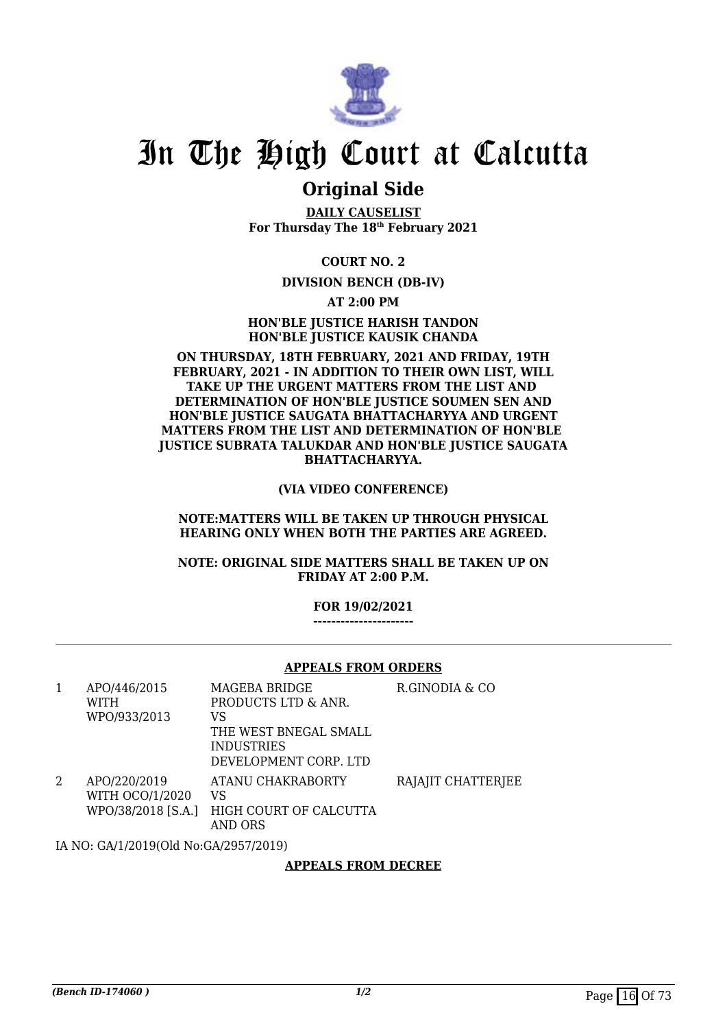

### **Original Side**

**DAILY CAUSELIST For Thursday The 18th February 2021**

**COURT NO. 2**

#### **DIVISION BENCH (DB-IV)**

**AT 2:00 PM**

**HON'BLE JUSTICE HARISH TANDON HON'BLE JUSTICE KAUSIK CHANDA**

#### **ON THURSDAY, 18TH FEBRUARY, 2021 AND FRIDAY, 19TH FEBRUARY, 2021 - IN ADDITION TO THEIR OWN LIST, WILL TAKE UP THE URGENT MATTERS FROM THE LIST AND DETERMINATION OF HON'BLE JUSTICE SOUMEN SEN AND HON'BLE JUSTICE SAUGATA BHATTACHARYYA AND URGENT MATTERS FROM THE LIST AND DETERMINATION OF HON'BLE JUSTICE SUBRATA TALUKDAR AND HON'BLE JUSTICE SAUGATA BHATTACHARYYA.**

**(VIA VIDEO CONFERENCE)**

**NOTE:MATTERS WILL BE TAKEN UP THROUGH PHYSICAL HEARING ONLY WHEN BOTH THE PARTIES ARE AGREED.**

**NOTE: ORIGINAL SIDE MATTERS SHALL BE TAKEN UP ON FRIDAY AT 2:00 P.M.**

#### **FOR 19/02/2021**

**----------------------**

#### **APPEALS FROM ORDERS**

| 1 | APO/446/2015<br>WITH<br>WPO/933/2013                         | MAGEBA BRIDGE<br>PRODUCTS LTD & ANR.<br>VS                          | R.GINODIA & CO     |
|---|--------------------------------------------------------------|---------------------------------------------------------------------|--------------------|
|   |                                                              | THE WEST BNEGAL SMALL<br><b>INDUSTRIES</b><br>DEVELOPMENT CORP. LTD |                    |
|   | APO/220/2019<br><b>WITH OCO/1/2020</b><br>WPO/38/2018 [S.A.] | ATANU CHAKRABORTY<br>VS<br>HIGH COURT OF CALCUTTA<br>AND ORS        | RAJAJIT CHATTERJEE |

IA NO: GA/1/2019(Old No:GA/2957/2019)

#### **APPEALS FROM DECREE**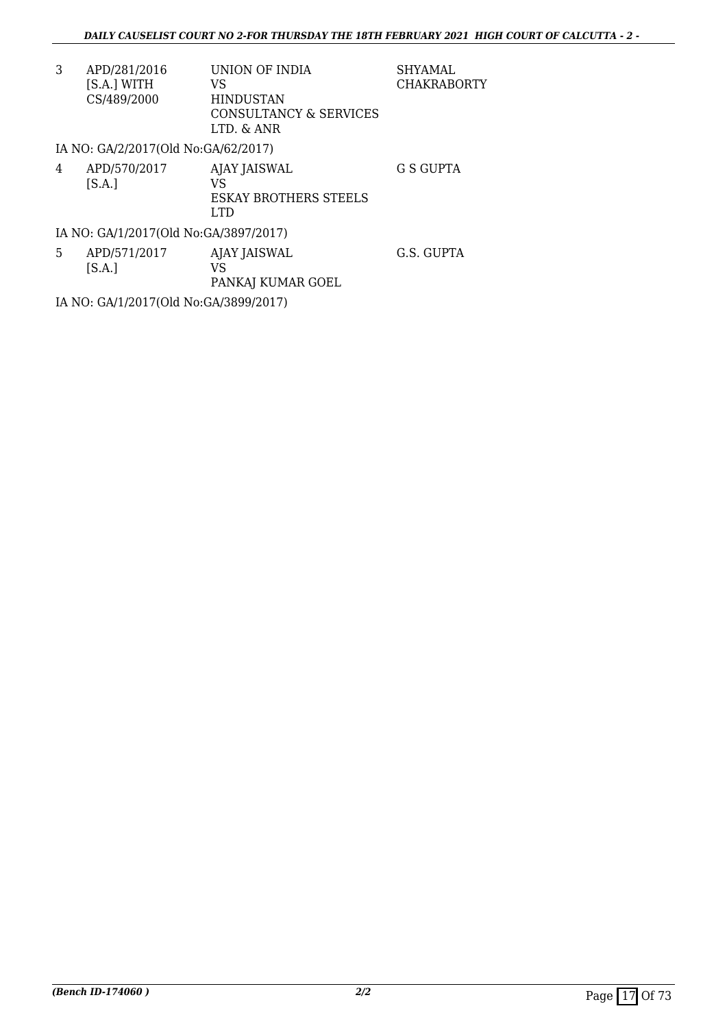| 3 | APD/281/2016                        | UNION OF INDIA               | <b>SHYAMAL</b>     |
|---|-------------------------------------|------------------------------|--------------------|
|   | [S.A.] WITH                         | VS                           | <b>CHAKRABORTY</b> |
|   | CS/489/2000                         | <b>HINDUSTAN</b>             |                    |
|   |                                     | CONSULTANCY & SERVICES       |                    |
|   |                                     | LTD. & ANR                   |                    |
|   | IA NO: GA/2/2017(Old No:GA/62/2017) |                              |                    |
| 4 | APD/570/2017                        | AJAY JAISWAL                 | G S GUPTA          |
|   | [S.A.]                              | VS                           |                    |
|   |                                     | <b>ESKAY BROTHERS STEELS</b> |                    |

IA NO: GA/1/2017(Old No:GA/3897/2017)

| 5 | APD/571/2017 | AJAY JAISWAL      | G.S. GUPTA |
|---|--------------|-------------------|------------|
|   | S.A.         | VS                |            |
|   |              | PANKAJ KUMAR GOEL |            |

LTD

IA NO: GA/1/2017(Old No:GA/3899/2017)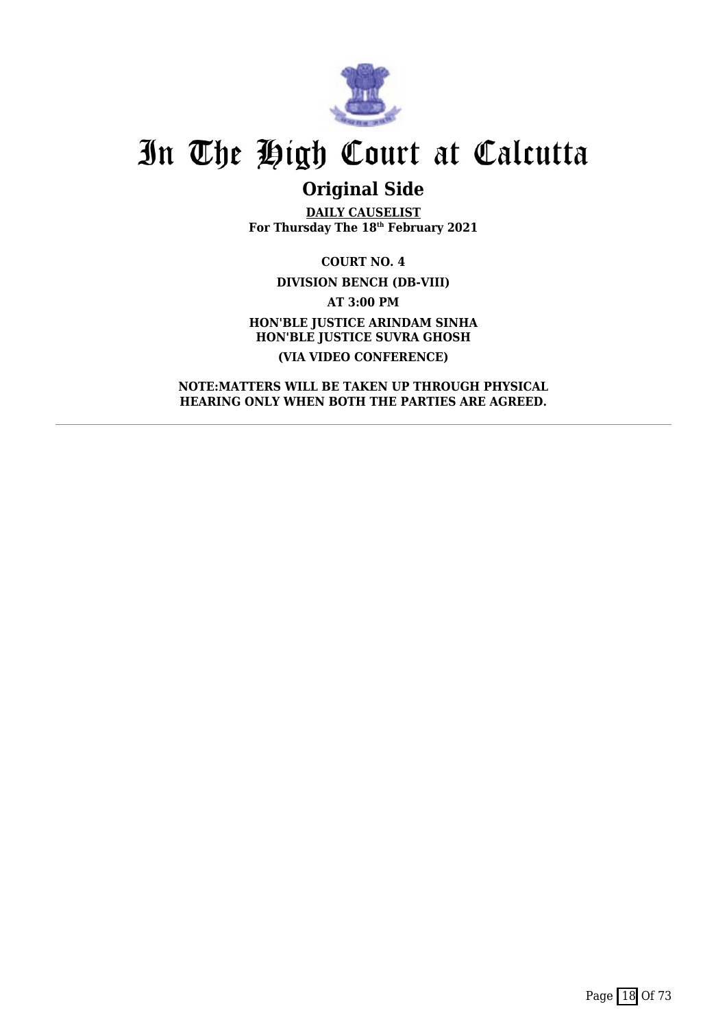

## **Original Side**

**DAILY CAUSELIST For Thursday The 18th February 2021**

**COURT NO. 4 DIVISION BENCH (DB-VIII) AT 3:00 PM HON'BLE JUSTICE ARINDAM SINHA HON'BLE JUSTICE SUVRA GHOSH (VIA VIDEO CONFERENCE)**

**NOTE:MATTERS WILL BE TAKEN UP THROUGH PHYSICAL HEARING ONLY WHEN BOTH THE PARTIES ARE AGREED.**

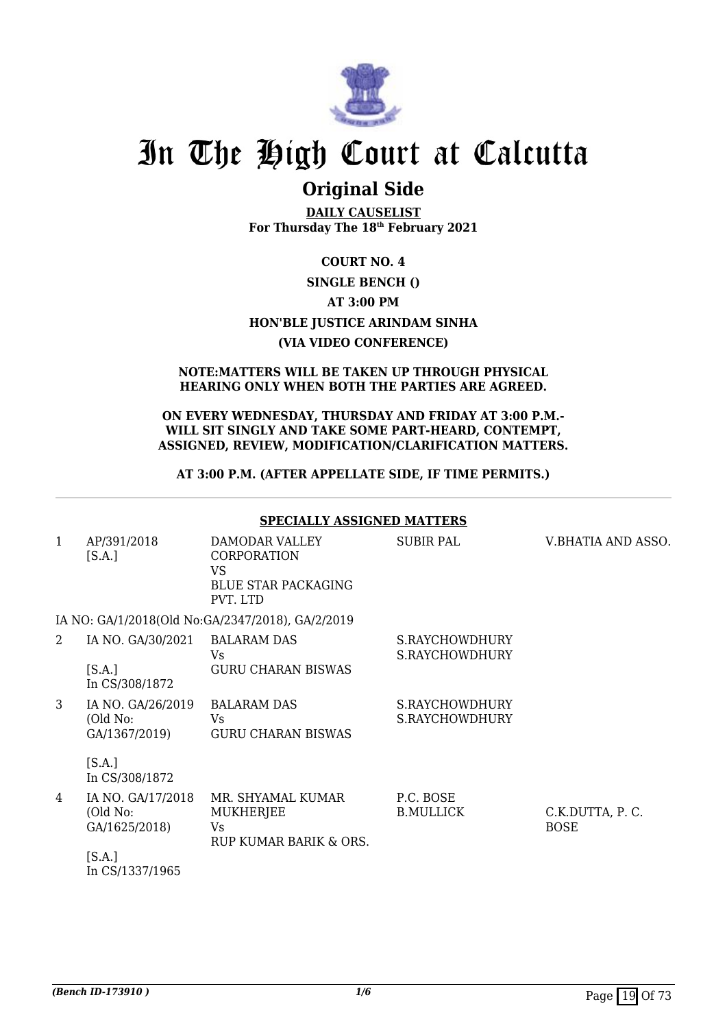

### **Original Side**

**DAILY CAUSELIST For Thursday The 18th February 2021**

### **COURT NO. 4 SINGLE BENCH () AT 3:00 PM HON'BLE JUSTICE ARINDAM SINHA (VIA VIDEO CONFERENCE)**

#### **NOTE:MATTERS WILL BE TAKEN UP THROUGH PHYSICAL HEARING ONLY WHEN BOTH THE PARTIES ARE AGREED.**

#### **ON EVERY WEDNESDAY, THURSDAY AND FRIDAY AT 3:00 P.M.- WILL SIT SINGLY AND TAKE SOME PART-HEARD, CONTEMPT, ASSIGNED, REVIEW, MODIFICATION/CLARIFICATION MATTERS.**

#### **AT 3:00 P.M. (AFTER APPELLATE SIDE, IF TIME PERMITS.)**

|              |                                                | <b>SPECIALLY ASSIGNED MATTERS</b>                                                    |                                  |                                |
|--------------|------------------------------------------------|--------------------------------------------------------------------------------------|----------------------------------|--------------------------------|
| $\mathbf{1}$ | AP/391/2018<br>[S.A.]                          | DAMODAR VALLEY<br><b>CORPORATION</b><br>VS<br><b>BLUE STAR PACKAGING</b><br>PVT. LTD | <b>SUBIR PAL</b>                 | V.BHATIA AND ASSO.             |
|              |                                                | IA NO: GA/1/2018(Old No:GA/2347/2018), GA/2/2019                                     |                                  |                                |
| 2            | IA NO. GA/30/2021                              | <b>BALARAM DAS</b><br>Vs                                                             | S.RAYCHOWDHURY<br>S.RAYCHOWDHURY |                                |
|              | [S.A.]<br>In CS/308/1872                       | <b>GURU CHARAN BISWAS</b>                                                            |                                  |                                |
| 3            | IA NO. GA/26/2019<br>(Old No:<br>GA/1367/2019) | <b>BALARAM DAS</b><br>Vs.<br><b>GURU CHARAN BISWAS</b>                               | S.RAYCHOWDHURY<br>S.RAYCHOWDHURY |                                |
|              | [S.A.]<br>In CS/308/1872                       |                                                                                      |                                  |                                |
| 4            | IA NO. GA/17/2018<br>(Old No:<br>GA/1625/2018) | MR. SHYAMAL KUMAR<br><b>MUKHERJEE</b><br>Vs<br>RUP KUMAR BARIK & ORS.                | P.C. BOSE<br><b>B.MULLICK</b>    | C.K.DUTTA, P.C.<br><b>BOSE</b> |
|              | [S.A.]<br>In CS/1337/1965                      |                                                                                      |                                  |                                |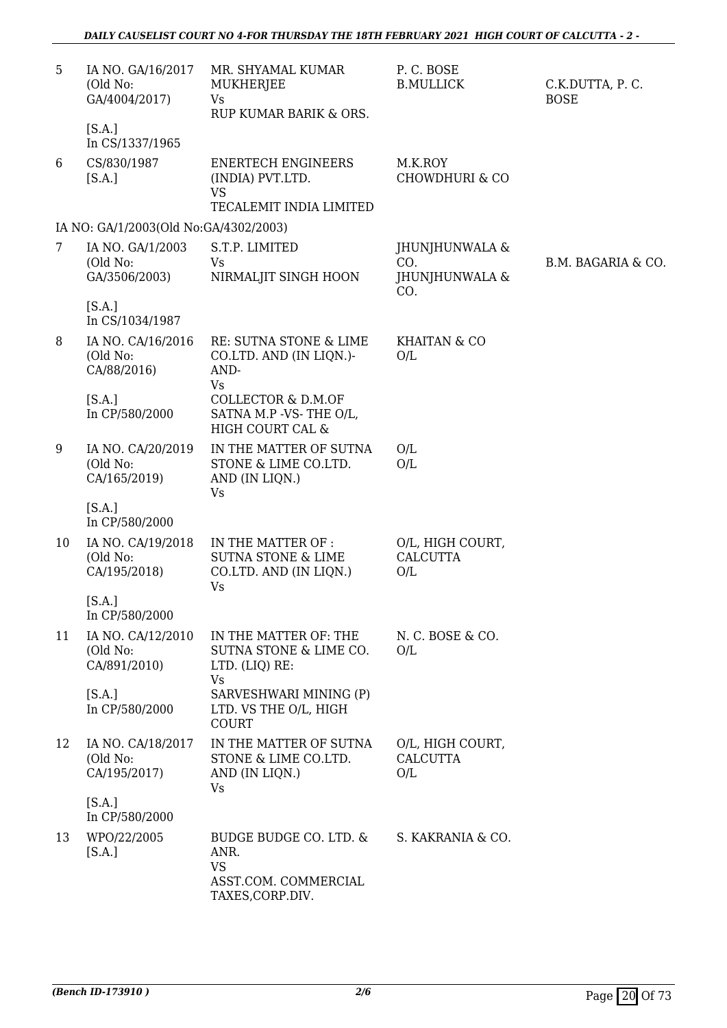| 5  | IA NO. GA/16/2017<br>(Old No:<br>GA/4004/2017)<br>[S.A.]<br>In CS/1337/1965 | MR. SHYAMAL KUMAR<br>MUKHERJEE<br><b>Vs</b><br>RUP KUMAR BARIK & ORS.                      | P.C. BOSE<br><b>B.MULLICK</b>                  | C.K.DUTTA, P.C.<br><b>BOSE</b> |
|----|-----------------------------------------------------------------------------|--------------------------------------------------------------------------------------------|------------------------------------------------|--------------------------------|
| 6  | CS/830/1987<br>[S.A.]                                                       | <b>ENERTECH ENGINEERS</b><br>(INDIA) PVT.LTD.<br><b>VS</b><br>TECALEMIT INDIA LIMITED      | M.K.ROY<br><b>CHOWDHURI &amp; CO</b>           |                                |
|    | IA NO: GA/1/2003(Old No:GA/4302/2003)                                       |                                                                                            |                                                |                                |
| 7  | IA NO. GA/1/2003<br>(Old No:<br>GA/3506/2003)                               | S.T.P. LIMITED<br>Vs<br>NIRMALJIT SINGH HOON                                               | JHUNJHUNWALA &<br>CO.<br>JHUNJHUNWALA &<br>CO. | B.M. BAGARIA & CO.             |
|    | [S.A.]<br>In CS/1034/1987                                                   |                                                                                            |                                                |                                |
| 8  | IA NO. CA/16/2016<br>(Old No:<br>CA/88/2016)                                | RE: SUTNA STONE & LIME<br>CO.LTD. AND (IN LIQN.)-<br>AND-<br><b>Vs</b>                     | KHAITAN & CO<br>O/L                            |                                |
|    | [S.A.]<br>In CP/580/2000                                                    | <b>COLLECTOR &amp; D.M.OF</b><br>SATNA M.P -VS-THE O/L,<br>HIGH COURT CAL &                |                                                |                                |
| 9  | IA NO. CA/20/2019<br>(Old No:<br>CA/165/2019)                               | IN THE MATTER OF SUTNA<br>STONE & LIME CO.LTD.<br>AND (IN LIQN.)<br>Vs                     | O/L<br>O/L                                     |                                |
|    | [S.A.]<br>In CP/580/2000                                                    |                                                                                            |                                                |                                |
| 10 | IA NO. CA/19/2018<br>(Old No:<br>CA/195/2018)                               | IN THE MATTER OF :<br><b>SUTNA STONE &amp; LIME</b><br>CO.LTD. AND (IN LIQN.)<br><b>Vs</b> | O/L, HIGH COURT,<br><b>CALCUTTA</b><br>O/L     |                                |
|    | [S.A.]<br>In CP/580/2000                                                    |                                                                                            |                                                |                                |
| 11 | IA NO. CA/12/2010<br>(Old No:<br>CA/891/2010)                               | IN THE MATTER OF: THE<br>SUTNA STONE & LIME CO.<br>LTD. (LIQ) RE:<br><b>Vs</b>             | N. C. BOSE & CO.<br>O/L                        |                                |
|    | [S.A.]<br>In CP/580/2000                                                    | SARVESHWARI MINING (P)<br>LTD. VS THE O/L, HIGH<br><b>COURT</b>                            |                                                |                                |
| 12 | IA NO. CA/18/2017<br>(Old No:<br>CA/195/2017)                               | IN THE MATTER OF SUTNA<br>STONE & LIME CO.LTD.<br>AND (IN LIQN.)<br>Vs                     | O/L, HIGH COURT,<br><b>CALCUTTA</b><br>O/L     |                                |
|    | [S.A.]<br>In CP/580/2000                                                    |                                                                                            |                                                |                                |
| 13 | WPO/22/2005<br>[S.A.]                                                       | BUDGE BUDGE CO. LTD. &<br>ANR.<br><b>VS</b><br>ASST.COM. COMMERCIAL<br>TAXES, CORP.DIV.    | S. KAKRANIA & CO.                              |                                |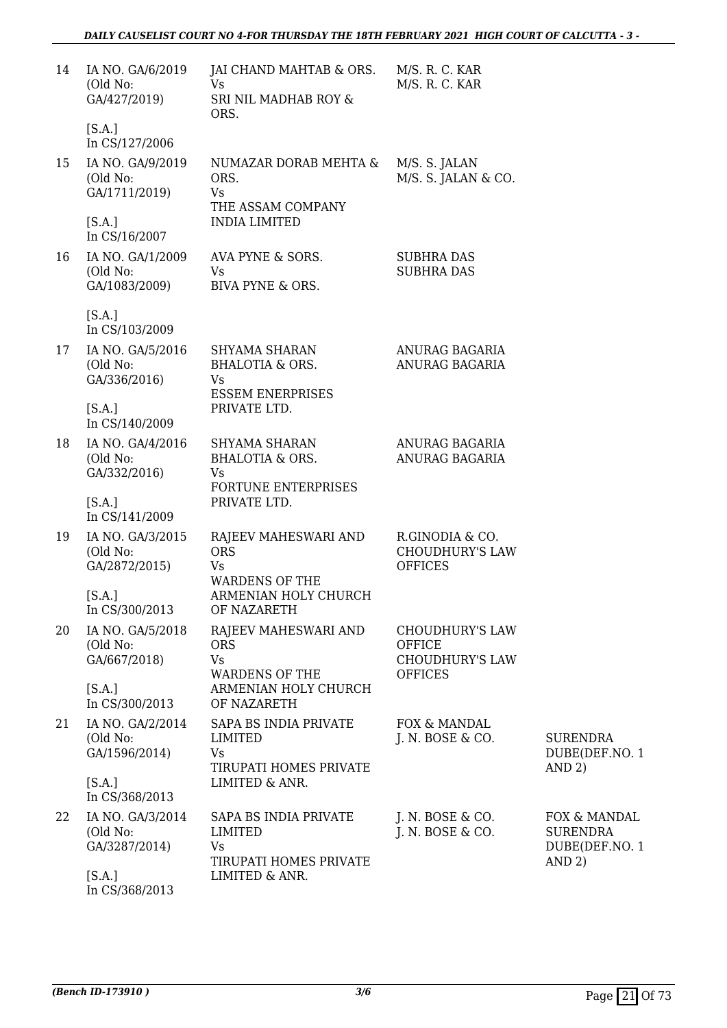| 14 | IA NO. GA/6/2019<br>(Old No:<br>GA/427/2019)  | JAI CHAND MAHTAB & ORS.<br>Vs<br>SRI NIL MADHAB ROY &<br>ORS.                  | M/S. R. C. KAR<br>M/S. R. C. KAR                                  |                                                             |
|----|-----------------------------------------------|--------------------------------------------------------------------------------|-------------------------------------------------------------------|-------------------------------------------------------------|
|    | [S.A.]<br>In CS/127/2006                      |                                                                                |                                                                   |                                                             |
| 15 | IA NO. GA/9/2019<br>(Old No:<br>GA/1711/2019) | NUMAZAR DORAB MEHTA &<br>ORS.<br>Vs<br>THE ASSAM COMPANY                       | M/S. S. JALAN<br>M/S. S. JALAN & CO.                              |                                                             |
|    | [S.A.]<br>In CS/16/2007                       | <b>INDIA LIMITED</b>                                                           |                                                                   |                                                             |
| 16 | IA NO. GA/1/2009<br>(Old No:<br>GA/1083/2009) | AVA PYNE & SORS.<br>Vs<br>BIVA PYNE & ORS.                                     | <b>SUBHRA DAS</b><br><b>SUBHRA DAS</b>                            |                                                             |
|    | [S.A.]<br>In CS/103/2009                      |                                                                                |                                                                   |                                                             |
| 17 | IA NO. GA/5/2016<br>(Old No:<br>GA/336/2016)  | SHYAMA SHARAN<br><b>BHALOTIA &amp; ORS.</b><br>Vs<br><b>ESSEM ENERPRISES</b>   | ANURAG BAGARIA<br>ANURAG BAGARIA                                  |                                                             |
|    | [S.A.]<br>In CS/140/2009                      | PRIVATE LTD.                                                                   |                                                                   |                                                             |
| 18 | IA NO. GA/4/2016<br>(Old No:<br>GA/332/2016)  | SHYAMA SHARAN<br>BHALOTIA & ORS.<br>Vs<br>FORTUNE ENTERPRISES                  | ANURAG BAGARIA<br>ANURAG BAGARIA                                  |                                                             |
|    | [S.A.]<br>In CS/141/2009                      | PRIVATE LTD.                                                                   |                                                                   |                                                             |
| 19 | IA NO. GA/3/2015<br>(Old No:<br>GA/2872/2015) | RAJEEV MAHESWARI AND<br><b>ORS</b><br>Vs<br><b>WARDENS OF THE</b>              | R.GINODIA & CO.<br><b>CHOUDHURY'S LAW</b><br><b>OFFICES</b>       |                                                             |
|    | [S.A.]<br>In CS/300/2013                      | ARMENIAN HOLY CHURCH<br>OF NAZARETH                                            |                                                                   |                                                             |
| 20 | IA NO. GA/5/2018<br>(Old No:<br>GA/667/2018)  | RAJEEV MAHESWARI AND<br><b>ORS</b><br>Vs                                       | <b>CHOUDHURY'S LAW</b><br><b>OFFICE</b><br><b>CHOUDHURY'S LAW</b> |                                                             |
|    | [S.A.]<br>In CS/300/2013                      | <b>WARDENS OF THE</b><br>ARMENIAN HOLY CHURCH<br>OF NAZARETH                   | <b>OFFICES</b>                                                    |                                                             |
| 21 | IA NO. GA/2/2014<br>(Old No:<br>GA/1596/2014) | SAPA BS INDIA PRIVATE<br><b>LIMITED</b><br>Vs<br>TIRUPATI HOMES PRIVATE        | FOX & MANDAL<br>J. N. BOSE & CO.                                  | <b>SURENDRA</b><br>DUBE(DEF.NO. 1<br>AND 2)                 |
|    | [S.A.]<br>In CS/368/2013                      | LIMITED & ANR.                                                                 |                                                                   |                                                             |
| 22 | IA NO. GA/3/2014<br>(Old No:<br>GA/3287/2014) | SAPA BS INDIA PRIVATE<br><b>LIMITED</b><br>Vs<br><b>TIRUPATI HOMES PRIVATE</b> | J. N. BOSE & CO.<br>J. N. BOSE & CO.                              | FOX & MANDAL<br><b>SURENDRA</b><br>DUBE(DEF.NO. 1<br>AND 2) |
|    | [S.A.]<br>In CS/368/2013                      | LIMITED & ANR.                                                                 |                                                                   |                                                             |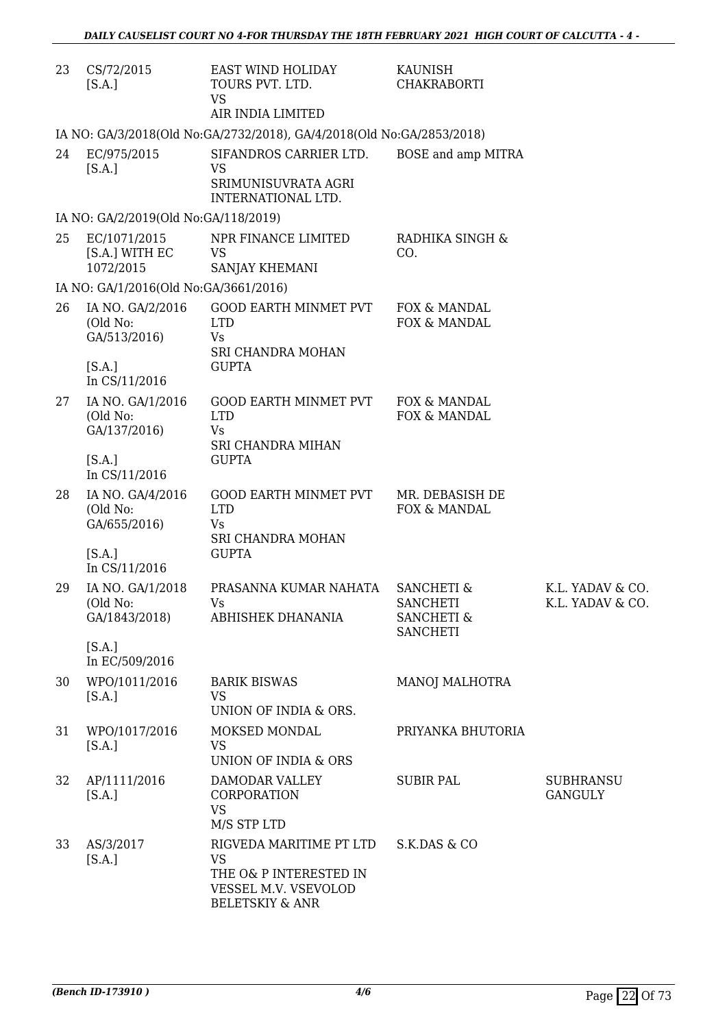| 23 | CS/72/2015<br>[S.A.]                          | EAST WIND HOLIDAY<br>TOURS PVT. LTD.<br><b>VS</b><br>AIR INDIA LIMITED                                               | KAUNISH<br><b>CHAKRABORTI</b>                                                        |                                      |
|----|-----------------------------------------------|----------------------------------------------------------------------------------------------------------------------|--------------------------------------------------------------------------------------|--------------------------------------|
|    |                                               | IA NO: GA/3/2018(Old No:GA/2732/2018), GA/4/2018(Old No:GA/2853/2018)                                                |                                                                                      |                                      |
| 24 | EC/975/2015<br>[S.A.]                         | SIFANDROS CARRIER LTD.<br>VS<br>SRIMUNISUVRATA AGRI<br>INTERNATIONAL LTD.                                            | BOSE and amp MITRA                                                                   |                                      |
|    | IA NO: GA/2/2019(Old No:GA/118/2019)          |                                                                                                                      |                                                                                      |                                      |
| 25 | EC/1071/2015<br>[S.A.] WITH EC<br>1072/2015   | NPR FINANCE LIMITED<br><b>VS</b><br>SANJAY KHEMANI                                                                   | RADHIKA SINGH &<br>CO.                                                               |                                      |
|    | IA NO: GA/1/2016(Old No:GA/3661/2016)         |                                                                                                                      |                                                                                      |                                      |
| 26 | IA NO. GA/2/2016<br>(Old No:<br>GA/513/2016)  | <b>GOOD EARTH MINMET PVT</b><br><b>LTD</b><br>Vs<br>SRI CHANDRA MOHAN                                                | FOX & MANDAL<br>FOX & MANDAL                                                         |                                      |
|    | [S.A.]<br>In CS/11/2016                       | <b>GUPTA</b>                                                                                                         |                                                                                      |                                      |
| 27 | IA NO. GA/1/2016<br>(Old No:<br>GA/137/2016)  | <b>GOOD EARTH MINMET PVT</b><br><b>LTD</b><br><b>Vs</b><br>SRI CHANDRA MIHAN                                         | FOX & MANDAL<br>FOX & MANDAL                                                         |                                      |
|    | [S.A.]<br>In CS/11/2016                       | <b>GUPTA</b>                                                                                                         |                                                                                      |                                      |
| 28 | IA NO. GA/4/2016<br>(Old No:<br>GA/655/2016)  | GOOD EARTH MINMET PVT<br><b>LTD</b><br>Vs<br>SRI CHANDRA MOHAN                                                       | MR. DEBASISH DE<br>FOX & MANDAL                                                      |                                      |
|    | [S.A.]<br>In CS/11/2016                       | <b>GUPTA</b>                                                                                                         |                                                                                      |                                      |
| 29 | IA NO. GA/1/2018<br>(Old No:<br>GA/1843/2018) | PRASANNA KUMAR NAHATA<br>Vs.<br>ABHISHEK DHANANIA                                                                    | <b>SANCHETI &amp;</b><br><b>SANCHETI</b><br><b>SANCHETI &amp;</b><br><b>SANCHETI</b> | K.L. YADAV & CO.<br>K.L. YADAV & CO. |
|    | [S.A.]<br>In EC/509/2016                      |                                                                                                                      |                                                                                      |                                      |
| 30 | WPO/1011/2016<br>[S.A.]                       | <b>BARIK BISWAS</b><br><b>VS</b><br>UNION OF INDIA & ORS.                                                            | <b>MANOJ MALHOTRA</b>                                                                |                                      |
| 31 | WPO/1017/2016<br>[S.A.]                       | MOKSED MONDAL<br><b>VS</b><br>UNION OF INDIA & ORS                                                                   | PRIYANKA BHUTORIA                                                                    |                                      |
| 32 | AP/1111/2016<br>[S.A.]                        | DAMODAR VALLEY<br>CORPORATION<br><b>VS</b><br>M/S STP LTD                                                            | <b>SUBIR PAL</b>                                                                     | <b>SUBHRANSU</b><br><b>GANGULY</b>   |
| 33 | AS/3/2017<br>[S.A.]                           | RIGVEDA MARITIME PT LTD<br><b>VS</b><br>THE O& P INTERESTED IN<br>VESSEL M.V. VSEVOLOD<br><b>BELETSKIY &amp; ANR</b> | S.K.DAS & CO                                                                         |                                      |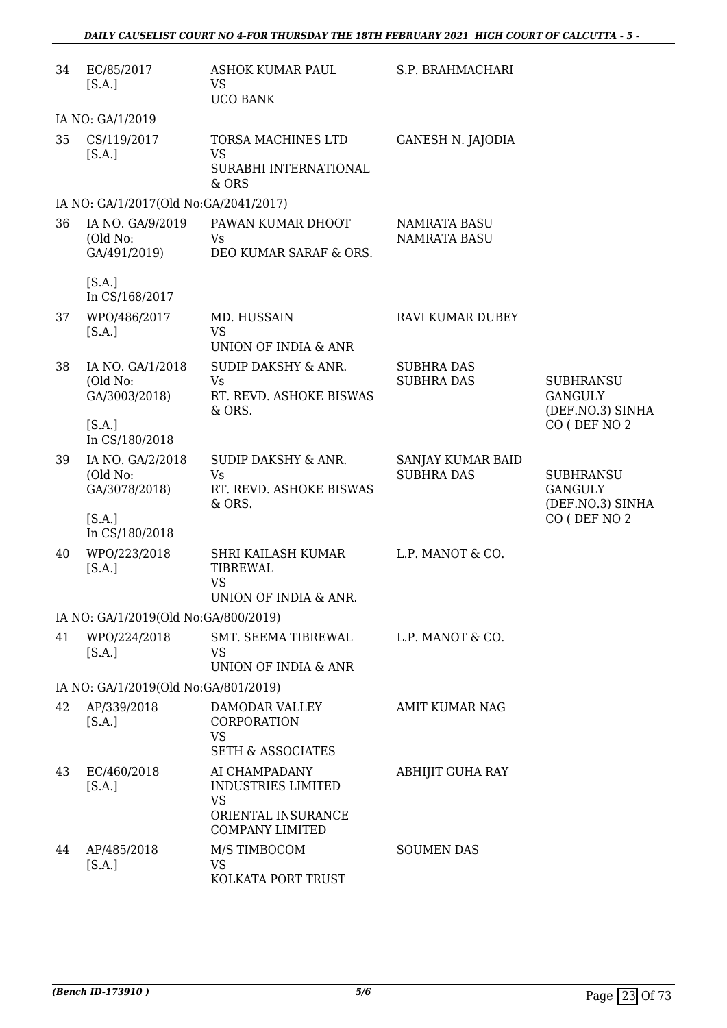| 34 | EC/85/2017<br>[S.A.]                          | ASHOK KUMAR PAUL<br><b>VS</b><br><b>UCO BANK</b>                                                        | S.P. BRAHMACHARI                           |                                                        |
|----|-----------------------------------------------|---------------------------------------------------------------------------------------------------------|--------------------------------------------|--------------------------------------------------------|
|    | IA NO: GA/1/2019                              |                                                                                                         |                                            |                                                        |
| 35 | CS/119/2017<br>[S.A.]                         | TORSA MACHINES LTD<br><b>VS</b><br>SURABHI INTERNATIONAL<br>& ORS                                       | <b>GANESH N. JAJODIA</b>                   |                                                        |
|    | IA NO: GA/1/2017(Old No:GA/2041/2017)         |                                                                                                         |                                            |                                                        |
| 36 | IA NO. GA/9/2019<br>(Old No:<br>GA/491/2019)  | PAWAN KUMAR DHOOT<br>Vs<br>DEO KUMAR SARAF & ORS.                                                       | <b>NAMRATA BASU</b><br><b>NAMRATA BASU</b> |                                                        |
|    | [S.A.]<br>In CS/168/2017                      |                                                                                                         |                                            |                                                        |
| 37 | WPO/486/2017<br>[S.A.]                        | MD. HUSSAIN<br><b>VS</b>                                                                                | RAVI KUMAR DUBEY                           |                                                        |
|    |                                               | UNION OF INDIA & ANR                                                                                    |                                            |                                                        |
| 38 | IA NO. GA/1/2018<br>(Old No:<br>GA/3003/2018) | SUDIP DAKSHY & ANR.<br>Vs<br>RT. REVD. ASHOKE BISWAS<br>& ORS.                                          | <b>SUBHRA DAS</b><br><b>SUBHRA DAS</b>     | <b>SUBHRANSU</b><br><b>GANGULY</b><br>(DEF.NO.3) SINHA |
|    | [S.A.]<br>In CS/180/2018                      |                                                                                                         |                                            | CO (DEF NO 2                                           |
| 39 | IA NO. GA/2/2018<br>(Old No:<br>GA/3078/2018) | <b>SUDIP DAKSHY &amp; ANR.</b><br>Vs<br>RT. REVD. ASHOKE BISWAS<br>& ORS.                               | SANJAY KUMAR BAID<br><b>SUBHRA DAS</b>     | <b>SUBHRANSU</b><br><b>GANGULY</b><br>(DEF.NO.3) SINHA |
|    | [S.A.]<br>In CS/180/2018                      |                                                                                                         |                                            | CO (DEF NO 2                                           |
| 40 | WPO/223/2018<br>[S.A.]                        | SHRI KAILASH KUMAR<br><b>TIBREWAL</b><br><b>VS</b><br>UNION OF INDIA & ANR.                             | L.P. MANOT & CO.                           |                                                        |
|    | IA NO: GA/1/2019(Old No:GA/800/2019)          |                                                                                                         |                                            |                                                        |
| 41 | WPO/224/2018<br>[S.A.]                        | SMT. SEEMA TIBREWAL<br><b>VS</b><br>UNION OF INDIA & ANR                                                | L.P. MANOT & CO.                           |                                                        |
|    | IA NO: GA/1/2019(Old No:GA/801/2019)          |                                                                                                         |                                            |                                                        |
| 42 | AP/339/2018<br>[S.A.]                         | DAMODAR VALLEY<br>CORPORATION<br><b>VS</b><br><b>SETH &amp; ASSOCIATES</b>                              | <b>AMIT KUMAR NAG</b>                      |                                                        |
| 43 | EC/460/2018<br>[S.A.]                         | AI CHAMPADANY<br><b>INDUSTRIES LIMITED</b><br><b>VS</b><br>ORIENTAL INSURANCE<br><b>COMPANY LIMITED</b> | <b>ABHIJIT GUHA RAY</b>                    |                                                        |
| 44 | AP/485/2018<br>[S.A.]                         | M/S TIMBOCOM<br><b>VS</b><br>KOLKATA PORT TRUST                                                         | <b>SOUMEN DAS</b>                          |                                                        |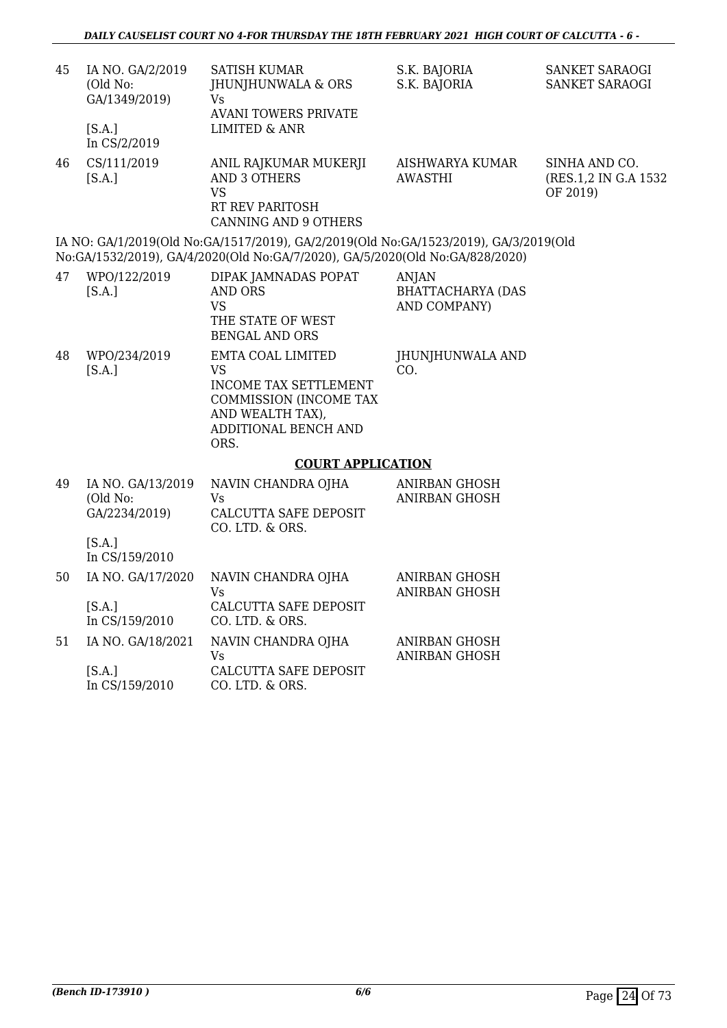| 45 | IA NO. GA/2/2019<br>(Old No:<br>GA/1349/2019)<br>[S.A.]<br>In CS/2/2019 | <b>SATISH KUMAR</b><br>JHUNJHUNWALA & ORS<br>Vs<br><b>AVANI TOWERS PRIVATE</b><br><b>LIMITED &amp; ANR</b>                                                           | S.K. BAJORIA<br>S.K. BAJORIA                             | SANKET SARAOGI<br>SANKET SARAOGI                   |
|----|-------------------------------------------------------------------------|----------------------------------------------------------------------------------------------------------------------------------------------------------------------|----------------------------------------------------------|----------------------------------------------------|
| 46 | CS/111/2019<br>[S.A.]                                                   | ANIL RAJKUMAR MUKERJI<br><b>AND 3 OTHERS</b><br><b>VS</b><br>RT REV PARITOSH<br><b>CANNING AND 9 OTHERS</b>                                                          | AISHWARYA KUMAR<br><b>AWASTHI</b>                        | SINHA AND CO.<br>(RES.1,2 IN G.A 1532)<br>OF 2019) |
|    |                                                                         | IA NO: GA/1/2019(Old No:GA/1517/2019), GA/2/2019(Old No:GA/1523/2019), GA/3/2019(Old<br>No:GA/1532/2019), GA/4/2020(Old No:GA/7/2020), GA/5/2020(Old No:GA/828/2020) |                                                          |                                                    |
| 47 | WPO/122/2019<br>[S.A.]                                                  | DIPAK JAMNADAS POPAT<br><b>AND ORS</b><br><b>VS</b><br>THE STATE OF WEST<br><b>BENGAL AND ORS</b>                                                                    | <b>ANJAN</b><br><b>BHATTACHARYA (DAS</b><br>AND COMPANY) |                                                    |
| 48 | WPO/234/2019<br>[S.A.]                                                  | EMTA COAL LIMITED<br><b>VS</b><br>INCOME TAX SETTLEMENT<br>COMMISSION (INCOME TAX<br>AND WEALTH TAX),<br>ADDITIONAL BENCH AND<br>ORS.                                | JHUNJHUNWALA AND<br>CO.                                  |                                                    |
|    |                                                                         | <b>COURT APPLICATION</b>                                                                                                                                             |                                                          |                                                    |
| 49 | IA NO. GA/13/2019<br>(Old No:<br>GA/2234/2019)<br>[S.A.]                | NAVIN CHANDRA OJHA<br>Vs<br>CALCUTTA SAFE DEPOSIT<br>CO. LTD. & ORS.                                                                                                 | ANIRBAN GHOSH<br><b>ANIRBAN GHOSH</b>                    |                                                    |
|    | In CS/159/2010                                                          |                                                                                                                                                                      |                                                          |                                                    |
| 50 | IA NO. GA/17/2020<br>[S.A.]<br>In CS/159/2010                           | NAVIN CHANDRA OJHA<br><b>Vs</b><br>CALCUTTA SAFE DEPOSIT<br>CO. LTD. & ORS.                                                                                          | ANIRBAN GHOSH<br>ANIRBAN GHOSH                           |                                                    |
| 51 | IA NO. GA/18/2021<br>[S.A.]                                             | NAVIN CHANDRA OJHA<br><b>Vs</b><br>CALCUTTA SAFE DEPOSIT                                                                                                             | <b>ANIRBAN GHOSH</b><br>ANIRBAN GHOSH                    |                                                    |
|    |                                                                         |                                                                                                                                                                      |                                                          |                                                    |

In CS/159/2010 CO. LTD. & ORS.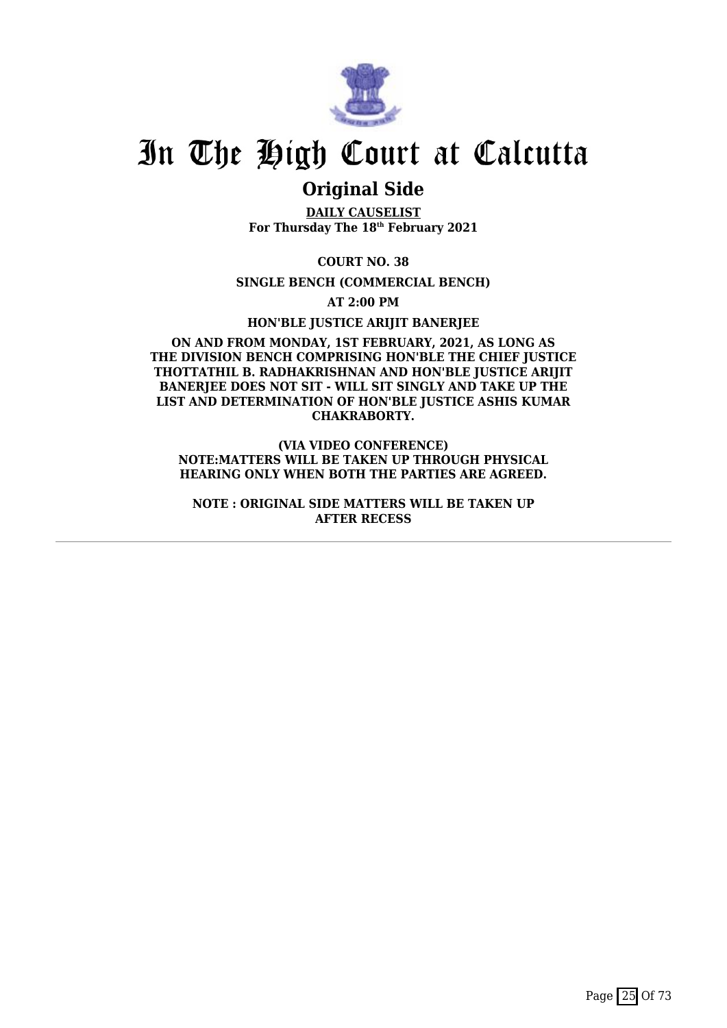

### **Original Side**

**DAILY CAUSELIST For Thursday The 18th February 2021**

**COURT NO. 38**

**SINGLE BENCH (COMMERCIAL BENCH)**

**AT 2:00 PM**

**HON'BLE JUSTICE ARIJIT BANERJEE**

#### **ON AND FROM MONDAY, 1ST FEBRUARY, 2021, AS LONG AS THE DIVISION BENCH COMPRISING HON'BLE THE CHIEF JUSTICE THOTTATHIL B. RADHAKRISHNAN AND HON'BLE JUSTICE ARIJIT** BANERIEE DOES NOT SIT - WILL SIT SINGLY AND TAKE UP THE **LIST AND DETERMINATION OF HON'BLE JUSTICE ASHIS KUMAR CHAKRABORTY.**

**(VIA VIDEO CONFERENCE) NOTE:MATTERS WILL BE TAKEN UP THROUGH PHYSICAL HEARING ONLY WHEN BOTH THE PARTIES ARE AGREED.**

**NOTE : ORIGINAL SIDE MATTERS WILL BE TAKEN UP AFTER RECESS**

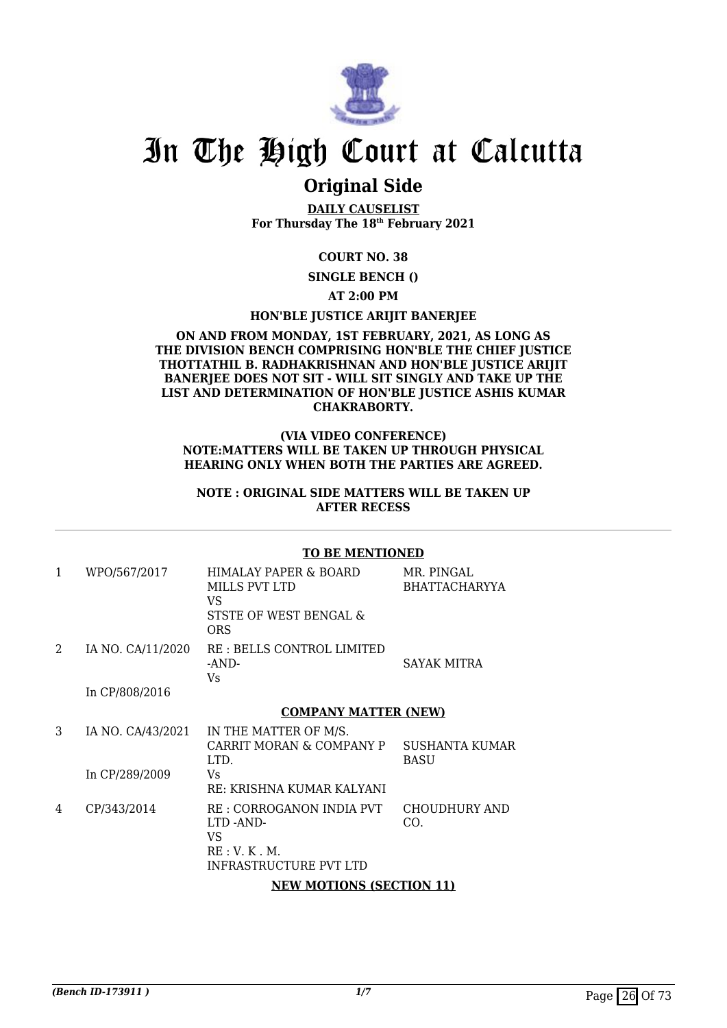

### **Original Side**

**DAILY CAUSELIST For Thursday The 18th February 2021**

#### **COURT NO. 38**

**SINGLE BENCH ()**

#### **AT 2:00 PM**

#### **HON'BLE JUSTICE ARIJIT BANERJEE**

#### **ON AND FROM MONDAY, 1ST FEBRUARY, 2021, AS LONG AS THE DIVISION BENCH COMPRISING HON'BLE THE CHIEF JUSTICE THOTTATHIL B. RADHAKRISHNAN AND HON'BLE JUSTICE ARIJIT BANERJEE DOES NOT SIT - WILL SIT SINGLY AND TAKE UP THE LIST AND DETERMINATION OF HON'BLE JUSTICE ASHIS KUMAR CHAKRABORTY.**

#### **(VIA VIDEO CONFERENCE) NOTE:MATTERS WILL BE TAKEN UP THROUGH PHYSICAL HEARING ONLY WHEN BOTH THE PARTIES ARE AGREED.**

#### **NOTE : ORIGINAL SIDE MATTERS WILL BE TAKEN UP AFTER RECESS**

#### **TO BE MENTIONED**

| 1 | WPO/567/2017      | HIMALAY PAPER & BOARD<br>MILLS PVT LTD<br>VS.<br>STSTE OF WEST BENGAL &<br><b>ORS</b>         | MR. PINGAL<br><b>BHATTACHARYYA</b> |
|---|-------------------|-----------------------------------------------------------------------------------------------|------------------------------------|
| 2 | IA NO. CA/11/2020 | RE: BELLS CONTROL LIMITED<br>-AND-<br>Vs.                                                     | SAYAK MITRA                        |
|   | In CP/808/2016    |                                                                                               |                                    |
|   |                   | <b>COMPANY MATTER (NEW)</b>                                                                   |                                    |
| 3 | IA NO. CA/43/2021 | IN THE MATTER OF M/S.<br>CARRIT MORAN & COMPANY P<br>LTD.                                     | SUSHANTA KUMAR<br>BASU             |
|   | In CP/289/2009    | Vs.<br>RE: KRISHNA KUMAR KALYANI                                                              |                                    |
| 4 | CP/343/2014       | RE : CORROGANON INDIA PVT<br>LTD AND-<br>VS.<br>RE: V. K. M.<br><b>INFRASTRUCTURE PVT LTD</b> | CHOUDHURY AND<br>CO.               |
|   |                   | <b>NEW MOTIONS (SECTION 11)</b>                                                               |                                    |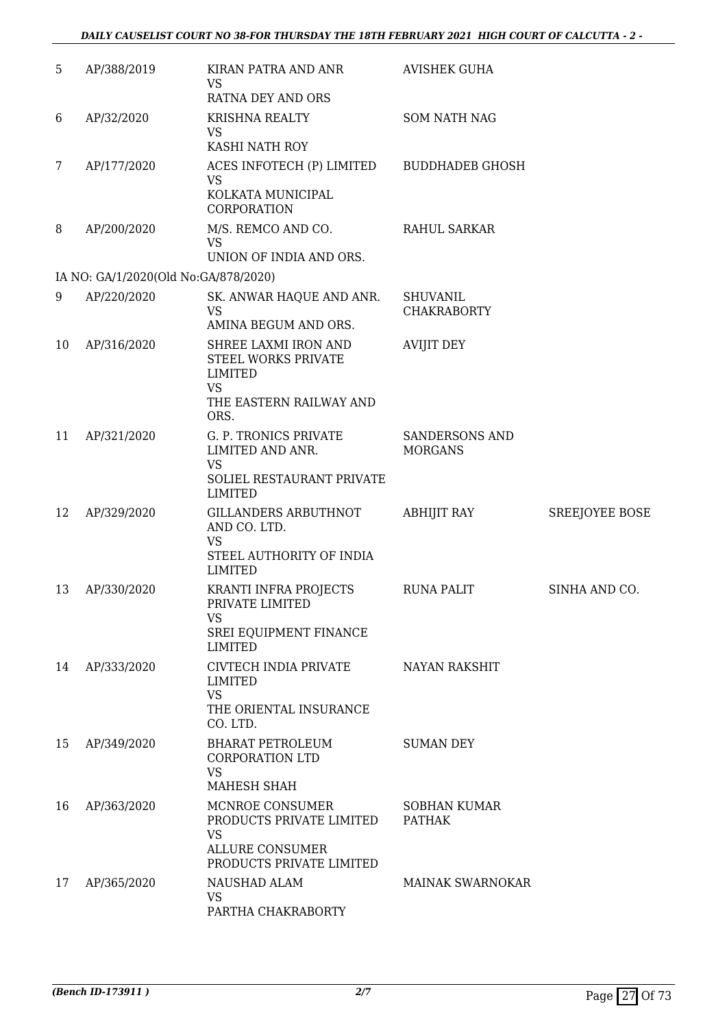| 5  | AP/388/2019                          | KIRAN PATRA AND ANR<br><b>VS</b><br>RATNA DEY AND ORS                                                          | <b>AVISHEK GUHA</b>                     |                       |
|----|--------------------------------------|----------------------------------------------------------------------------------------------------------------|-----------------------------------------|-----------------------|
| 6  | AP/32/2020                           | <b>KRISHNA REALTY</b><br><b>VS</b><br>KASHI NATH ROY                                                           | <b>SOM NATH NAG</b>                     |                       |
| 7  | AP/177/2020                          | ACES INFOTECH (P) LIMITED<br><b>VS</b><br>KOLKATA MUNICIPAL<br>CORPORATION                                     | <b>BUDDHADEB GHOSH</b>                  |                       |
| 8  | AP/200/2020                          | M/S. REMCO AND CO.<br><b>VS</b><br>UNION OF INDIA AND ORS.                                                     | <b>RAHUL SARKAR</b>                     |                       |
|    | IA NO: GA/1/2020(Old No:GA/878/2020) |                                                                                                                |                                         |                       |
| 9  | AP/220/2020                          | SK. ANWAR HAQUE AND ANR.<br><b>VS</b><br>AMINA BEGUM AND ORS.                                                  | <b>SHUVANIL</b><br><b>CHAKRABORTY</b>   |                       |
| 10 | AP/316/2020                          | SHREE LAXMI IRON AND<br>STEEL WORKS PRIVATE<br><b>LIMITED</b><br><b>VS</b><br>THE EASTERN RAILWAY AND<br>ORS.  | <b>AVIJIT DEY</b>                       |                       |
| 11 | AP/321/2020                          | G. P. TRONICS PRIVATE<br>LIMITED AND ANR.<br><b>VS</b><br>SOLIEL RESTAURANT PRIVATE<br><b>LIMITED</b>          | <b>SANDERSONS AND</b><br><b>MORGANS</b> |                       |
| 12 | AP/329/2020                          | GILLANDERS ARBUTHNOT<br>AND CO. LTD.<br><b>VS</b><br>STEEL AUTHORITY OF INDIA<br><b>LIMITED</b>                | <b>ABHIJIT RAY</b>                      | <b>SREEJOYEE BOSE</b> |
| 13 | AP/330/2020                          | KRANTI INFRA PROJECTS<br>PRIVATE LIMITED<br><b>VS</b><br>SREI EQUIPMENT FINANCE<br><b>LIMITED</b>              | <b>RUNA PALIT</b>                       | SINHA AND CO.         |
| 14 | AP/333/2020                          | CIVTECH INDIA PRIVATE<br>LIMITED<br><b>VS</b><br>THE ORIENTAL INSURANCE<br>CO. LTD.                            | <b>NAYAN RAKSHIT</b>                    |                       |
| 15 | AP/349/2020                          | <b>BHARAT PETROLEUM</b><br><b>CORPORATION LTD</b><br><b>VS</b><br>MAHESH SHAH                                  | <b>SUMAN DEY</b>                        |                       |
| 16 | AP/363/2020                          | MCNROE CONSUMER<br>PRODUCTS PRIVATE LIMITED<br><b>VS</b><br><b>ALLURE CONSUMER</b><br>PRODUCTS PRIVATE LIMITED | SOBHAN KUMAR<br><b>PATHAK</b>           |                       |
| 17 | AP/365/2020                          | NAUSHAD ALAM<br><b>VS</b><br>PARTHA CHAKRABORTY                                                                | <b>MAINAK SWARNOKAR</b>                 |                       |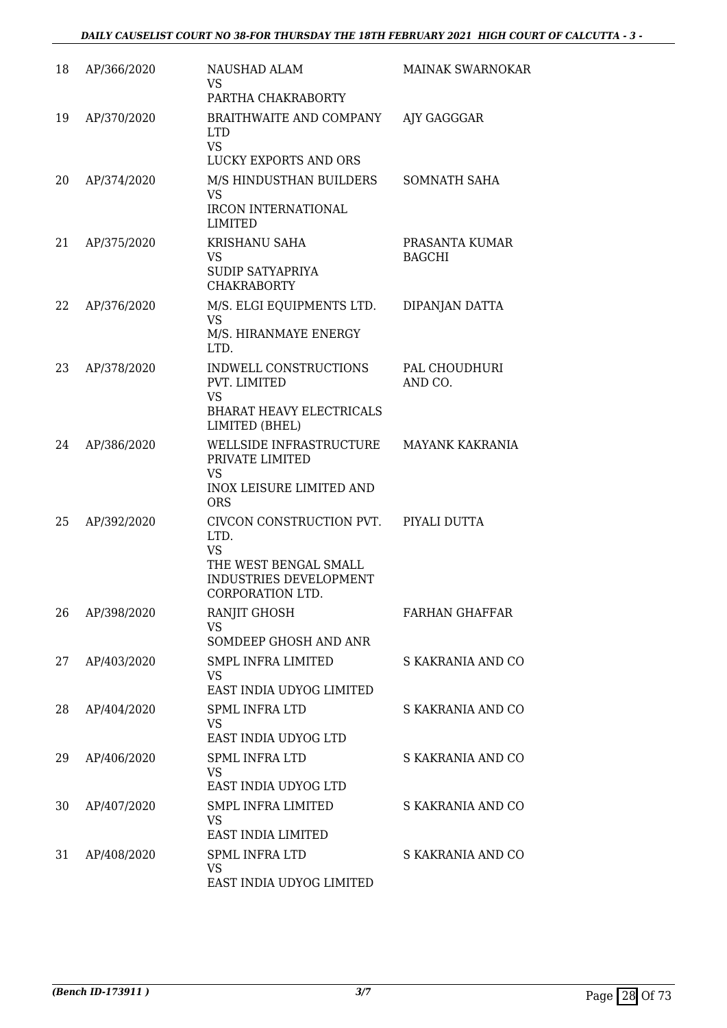| 18 | AP/366/2020 | NAUSHAD ALAM<br>VS.                                                                                                  | <b>MAINAK SWARNOKAR</b>         |
|----|-------------|----------------------------------------------------------------------------------------------------------------------|---------------------------------|
|    |             | PARTHA CHAKRABORTY                                                                                                   |                                 |
| 19 | AP/370/2020 | BRAITHWAITE AND COMPANY<br>LTD.<br><b>VS</b>                                                                         | AJY GAGGGAR                     |
|    |             | LUCKY EXPORTS AND ORS                                                                                                |                                 |
| 20 | AP/374/2020 | M/S HINDUSTHAN BUILDERS<br><b>VS</b><br>IRCON INTERNATIONAL<br>LIMITED                                               | SOMNATH SAHA                    |
| 21 | AP/375/2020 | KRISHANU SAHA<br>VS<br>SUDIP SATYAPRIYA<br><b>CHAKRABORTY</b>                                                        | PRASANTA KUMAR<br><b>BAGCHI</b> |
| 22 | AP/376/2020 | M/S. ELGI EQUIPMENTS LTD.<br>VS<br>M/S. HIRANMAYE ENERGY<br>LTD.                                                     | DIPANJAN DATTA                  |
| 23 | AP/378/2020 | INDWELL CONSTRUCTIONS<br>PVT. LIMITED<br><b>VS</b><br><b>BHARAT HEAVY ELECTRICALS</b><br>LIMITED (BHEL)              | PAL CHOUDHURI<br>AND CO.        |
| 24 | AP/386/2020 | WELLSIDE INFRASTRUCTURE<br>PRIVATE LIMITED<br><b>VS</b><br>INOX LEISURE LIMITED AND<br><b>ORS</b>                    | <b>MAYANK KAKRANIA</b>          |
| 25 | AP/392/2020 | CIVCON CONSTRUCTION PVT.<br>LTD.<br><b>VS</b><br>THE WEST BENGAL SMALL<br>INDUSTRIES DEVELOPMENT<br>CORPORATION LTD. | PIYALI DUTTA                    |
| 26 | AP/398/2020 | RANJIT GHOSH<br><b>VS</b><br>SOMDEEP GHOSH AND ANR                                                                   | <b>FARHAN GHAFFAR</b>           |
| 27 | AP/403/2020 | <b>SMPL INFRA LIMITED</b><br><b>VS</b><br>EAST INDIA UDYOG LIMITED                                                   | S KAKRANIA AND CO               |
| 28 | AP/404/2020 | <b>SPML INFRA LTD</b><br>VS<br>EAST INDIA UDYOG LTD                                                                  | S KAKRANIA AND CO               |
| 29 | AP/406/2020 | <b>SPML INFRA LTD</b><br>VS.<br>EAST INDIA UDYOG LTD                                                                 | S KAKRANIA AND CO               |
| 30 | AP/407/2020 | <b>SMPL INFRA LIMITED</b><br>VS<br>EAST INDIA LIMITED                                                                | S KAKRANIA AND CO               |
| 31 | AP/408/2020 | <b>SPML INFRA LTD</b><br>VS<br>EAST INDIA UDYOG LIMITED                                                              | S KAKRANIA AND CO               |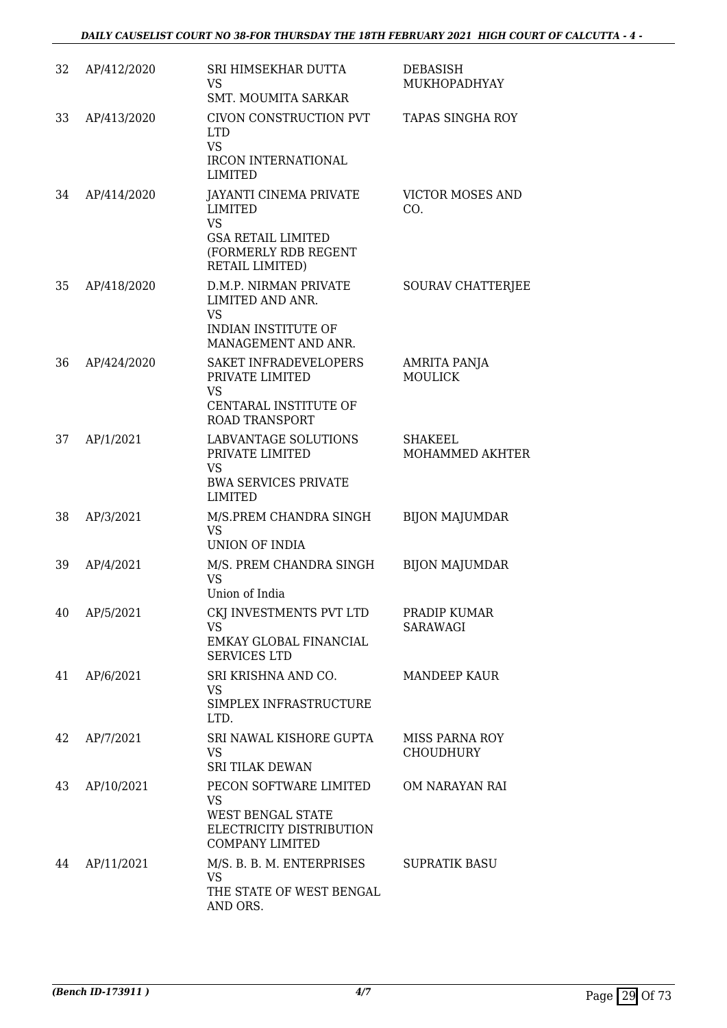| 32 | AP/412/2020 | SRI HIMSEKHAR DUTTA<br>VS<br>SMT. MOUMITA SARKAR                                                                              | <b>DEBASISH</b><br>MUKHOPADHYAY           |
|----|-------------|-------------------------------------------------------------------------------------------------------------------------------|-------------------------------------------|
| 33 | AP/413/2020 | CIVON CONSTRUCTION PVT<br>LTD.<br><b>VS</b><br><b>IRCON INTERNATIONAL</b><br><b>LIMITED</b>                                   | <b>TAPAS SINGHA ROY</b>                   |
| 34 | AP/414/2020 | JAYANTI CINEMA PRIVATE<br><b>LIMITED</b><br><b>VS</b><br><b>GSA RETAIL LIMITED</b><br>(FORMERLY RDB REGENT<br>RETAIL LIMITED) | <b>VICTOR MOSES AND</b><br>CO.            |
| 35 | AP/418/2020 | D.M.P. NIRMAN PRIVATE<br>LIMITED AND ANR.<br><b>VS</b><br>INDIAN INSTITUTE OF<br>MANAGEMENT AND ANR.                          | SOURAV CHATTERJEE                         |
| 36 | AP/424/2020 | SAKET INFRADEVELOPERS<br>PRIVATE LIMITED<br><b>VS</b><br>CENTARAL INSTITUTE OF<br><b>ROAD TRANSPORT</b>                       | <b>AMRITA PANJA</b><br><b>MOULICK</b>     |
| 37 | AP/1/2021   | LABVANTAGE SOLUTIONS<br>PRIVATE LIMITED<br><b>VS</b><br><b>BWA SERVICES PRIVATE</b><br><b>LIMITED</b>                         | <b>SHAKEEL</b><br>MOHAMMED AKHTER         |
| 38 | AP/3/2021   | M/S.PREM CHANDRA SINGH<br><b>VS</b><br><b>UNION OF INDIA</b>                                                                  | <b>BIJON MAJUMDAR</b>                     |
| 39 | AP/4/2021   | M/S. PREM CHANDRA SINGH<br><b>VS</b><br>Union of India                                                                        | <b>BIJON MAJUMDAR</b>                     |
| 40 | AP/5/2021   | CKJ INVESTMENTS PVT LTD<br>VS<br>EMKAY GLOBAL FINANCIAL<br><b>SERVICES LTD</b>                                                | PRADIP KUMAR<br>SARAWAGI                  |
| 41 | AP/6/2021   | SRI KRISHNA AND CO.<br><b>VS</b><br>SIMPLEX INFRASTRUCTURE<br>LTD.                                                            | MANDEEP KAUR                              |
| 42 | AP/7/2021   | SRI NAWAL KISHORE GUPTA<br><b>VS</b><br><b>SRI TILAK DEWAN</b>                                                                | <b>MISS PARNA ROY</b><br><b>CHOUDHURY</b> |
| 43 | AP/10/2021  | PECON SOFTWARE LIMITED<br><b>VS</b><br>WEST BENGAL STATE<br>ELECTRICITY DISTRIBUTION<br><b>COMPANY LIMITED</b>                | OM NARAYAN RAI                            |
| 44 | AP/11/2021  | M/S. B. B. M. ENTERPRISES<br><b>VS</b><br>THE STATE OF WEST BENGAL<br>AND ORS.                                                | <b>SUPRATIK BASU</b>                      |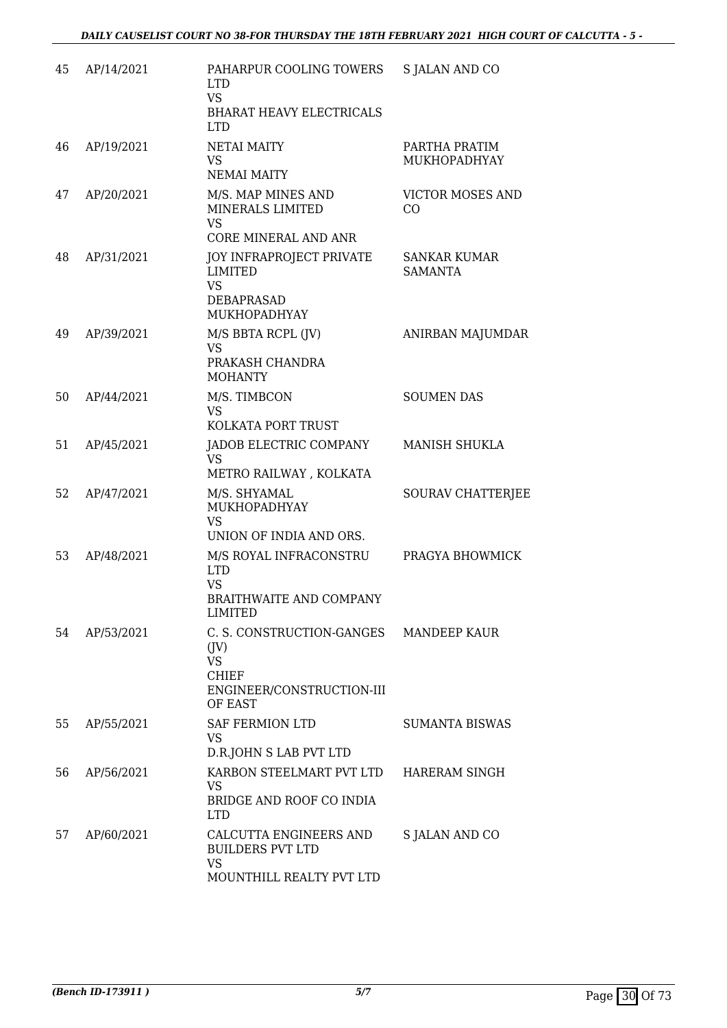| 45 | AP/14/2021 | PAHARPUR COOLING TOWERS<br><b>LTD</b><br><b>VS</b><br>BHARAT HEAVY ELECTRICALS<br><b>LTD</b>                        | <b>S JALAN AND CO</b>          |
|----|------------|---------------------------------------------------------------------------------------------------------------------|--------------------------------|
| 46 | AP/19/2021 | <b>NETAI MAITY</b><br><b>VS</b><br><b>NEMAI MAITY</b>                                                               | PARTHA PRATIM<br>MUKHOPADHYAY  |
| 47 | AP/20/2021 | M/S. MAP MINES AND<br>MINERALS LIMITED<br><b>VS</b><br><b>CORE MINERAL AND ANR</b>                                  | <b>VICTOR MOSES AND</b><br>CO  |
| 48 | AP/31/2021 | <b>JOY INFRAPROJECT PRIVATE</b><br><b>LIMITED</b><br><b>VS</b><br>DEBAPRASAD<br>MUKHOPADHYAY                        | SANKAR KUMAR<br><b>SAMANTA</b> |
| 49 | AP/39/2021 | M/S BBTA RCPL (JV)<br><b>VS</b><br>PRAKASH CHANDRA<br><b>MOHANTY</b>                                                | ANIRBAN MAJUMDAR               |
| 50 | AP/44/2021 | M/S. TIMBCON<br><b>VS</b><br>KOLKATA PORT TRUST                                                                     | <b>SOUMEN DAS</b>              |
| 51 | AP/45/2021 | JADOB ELECTRIC COMPANY<br><b>VS</b><br>METRO RAILWAY, KOLKATA                                                       | <b>MANISH SHUKLA</b>           |
| 52 | AP/47/2021 | M/S. SHYAMAL<br>MUKHOPADHYAY<br><b>VS</b><br>UNION OF INDIA AND ORS.                                                | <b>SOURAV CHATTERJEE</b>       |
| 53 | AP/48/2021 | M/S ROYAL INFRACONSTRU<br><b>LTD</b><br><b>VS</b><br>BRAITHWAITE AND COMPANY<br>LIMITED                             | PRAGYA BHOWMICK                |
| 54 | AP/53/2021 | C. S. CONSTRUCTION-GANGES MANDEEP KAUR<br>(IV)<br><b>VS</b><br><b>CHIEF</b><br>ENGINEER/CONSTRUCTION-III<br>OF EAST |                                |
| 55 | AP/55/2021 | <b>SAF FERMION LTD</b><br>VS<br>D.R.JOHN S LAB PVT LTD                                                              | <b>SUMANTA BISWAS</b>          |
| 56 | AP/56/2021 | KARBON STEELMART PVT LTD HARERAM SINGH<br><b>VS</b><br>BRIDGE AND ROOF CO INDIA<br>LTD.                             |                                |
| 57 | AP/60/2021 | CALCUTTA ENGINEERS AND<br><b>BUILDERS PVT LTD</b><br><b>VS</b><br>MOUNTHILL REALTY PVT LTD                          | S JALAN AND CO                 |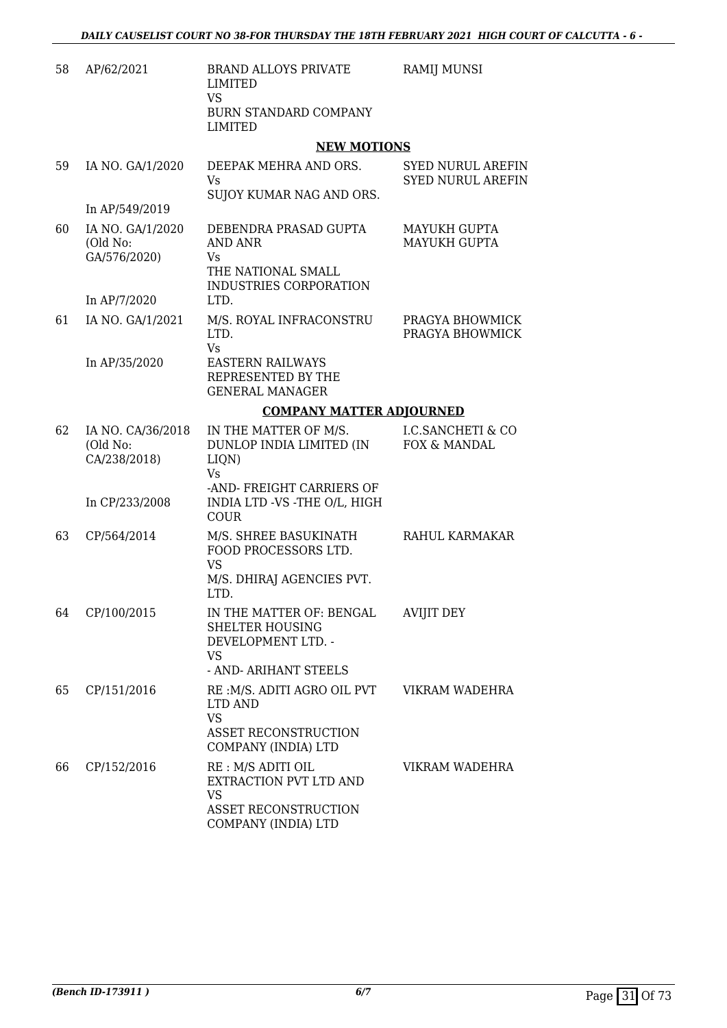| 58 | AP/62/2021                                    | <b>BRAND ALLOYS PRIVATE</b><br>LIMITED                                                                  | RAMIJ MUNSI                                          |  |  |
|----|-----------------------------------------------|---------------------------------------------------------------------------------------------------------|------------------------------------------------------|--|--|
|    |                                               | <b>VS</b><br><b>BURN STANDARD COMPANY</b><br>LIMITED                                                    |                                                      |  |  |
|    |                                               | <b>NEW MOTIONS</b>                                                                                      |                                                      |  |  |
| 59 | IA NO. GA/1/2020                              | DEEPAK MEHRA AND ORS.<br>Vs.<br>SUJOY KUMAR NAG AND ORS.                                                | <b>SYED NURUL AREFIN</b><br><b>SYED NURUL AREFIN</b> |  |  |
|    | In AP/549/2019                                |                                                                                                         |                                                      |  |  |
| 60 | IA NO. GA/1/2020<br>(Old No:<br>GA/576/2020)  | DEBENDRA PRASAD GUPTA<br>AND ANR<br>Vs<br>THE NATIONAL SMALL<br>INDUSTRIES CORPORATION                  | MAYUKH GUPTA<br><b>MAYUKH GUPTA</b>                  |  |  |
|    | In AP/7/2020                                  | LTD.                                                                                                    |                                                      |  |  |
| 61 | IA NO. GA/1/2021                              | M/S. ROYAL INFRACONSTRU<br>LTD.<br>Vs                                                                   | PRAGYA BHOWMICK<br>PRAGYA BHOWMICK                   |  |  |
|    | In AP/35/2020                                 | <b>EASTERN RAILWAYS</b><br>REPRESENTED BY THE<br><b>GENERAL MANAGER</b>                                 |                                                      |  |  |
|    |                                               |                                                                                                         | <b>COMPANY MATTER ADJOURNED</b>                      |  |  |
| 62 | IA NO. CA/36/2018<br>(Old No:<br>CA/238/2018) | IN THE MATTER OF M/S.<br>DUNLOP INDIA LIMITED (IN<br>LIQN)<br>Vs.<br>-AND- FREIGHT CARRIERS OF          | <b>I.C.SANCHETI &amp; CO</b><br>FOX & MANDAL         |  |  |
|    | In CP/233/2008                                | INDIA LTD -VS -THE O/L, HIGH<br>COUR                                                                    |                                                      |  |  |
| 63 | CP/564/2014                                   | M/S. SHREE BASUKINATH<br>FOOD PROCESSORS LTD.<br><b>VS</b><br>M/S. DHIRAJ AGENCIES PVT.<br>LTD.         | RAHUL KARMAKAR                                       |  |  |
|    | 64 CP/100/2015                                | IN THE MATTER OF: BENGAL AVIJIT DEY<br><b>SHELTER HOUSING</b><br>DEVELOPMENT LTD. -<br><b>VS</b>        |                                                      |  |  |
|    |                                               | - AND- ARIHANT STEELS                                                                                   |                                                      |  |  |
| 65 | CP/151/2016                                   | RE: M/S. ADITI AGRO OIL PVT<br>LTD AND<br><b>VS</b><br>ASSET RECONSTRUCTION<br>COMPANY (INDIA) LTD      | VIKRAM WADEHRA                                       |  |  |
| 66 | CP/152/2016                                   | RE: M/S ADITI OIL<br>EXTRACTION PVT LTD AND<br><b>VS</b><br>ASSET RECONSTRUCTION<br>COMPANY (INDIA) LTD | VIKRAM WADEHRA                                       |  |  |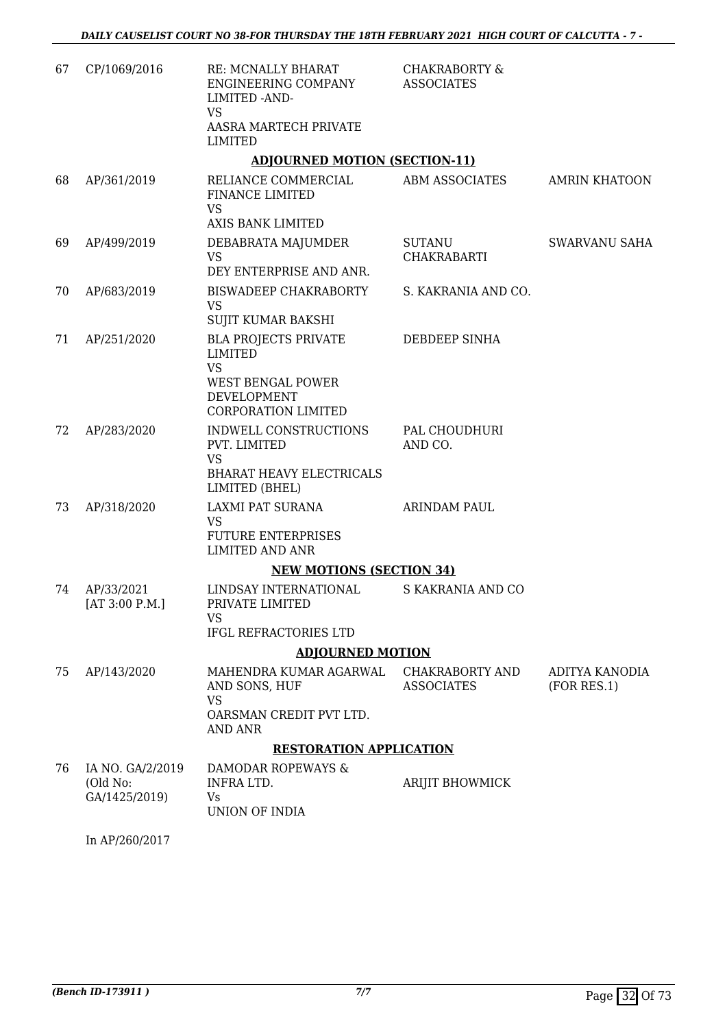| 67 | CP/1069/2016                                  | RE: MCNALLY BHARAT<br>ENGINEERING COMPANY<br>LIMITED - AND-<br>VS                                | <b>CHAKRABORTY &amp;</b><br><b>ASSOCIATES</b> |                      |
|----|-----------------------------------------------|--------------------------------------------------------------------------------------------------|-----------------------------------------------|----------------------|
|    |                                               | AASRA MARTECH PRIVATE<br>LIMITED                                                                 |                                               |                      |
|    |                                               | <b>ADJOURNED MOTION (SECTION-11)</b>                                                             |                                               |                      |
| 68 | AP/361/2019                                   | RELIANCE COMMERCIAL<br>FINANCE LIMITED<br><b>VS</b><br>AXIS BANK LIMITED                         | <b>ABM ASSOCIATES</b>                         | <b>AMRIN KHATOON</b> |
| 69 | AP/499/2019                                   | DEBABRATA MAJUMDER<br><b>VS</b><br>DEY ENTERPRISE AND ANR.                                       | SUTANU<br>CHAKRABARTI                         | SWARVANU SAHA        |
|    |                                               |                                                                                                  |                                               |                      |
| 70 | AP/683/2019                                   | BISWADEEP CHAKRABORTY<br><b>VS</b><br>SUJIT KUMAR BAKSHI                                         | S. KAKRANIA AND CO.                           |                      |
| 71 | AP/251/2020                                   | <b>BLA PROJECTS PRIVATE</b><br>LIMITED<br><b>VS</b>                                              | DEBDEEP SINHA                                 |                      |
|    |                                               | <b>WEST BENGAL POWER</b><br>DEVELOPMENT<br>CORPORATION LIMITED                                   |                                               |                      |
| 72 | AP/283/2020                                   | INDWELL CONSTRUCTIONS<br>PVT. LIMITED<br><b>VS</b><br>BHARAT HEAVY ELECTRICALS<br>LIMITED (BHEL) | PAL CHOUDHURI<br>AND CO.                      |                      |
| 73 | AP/318/2020                                   | LAXMI PAT SURANA<br><b>VS</b><br><b>FUTURE ENTERPRISES</b><br><b>LIMITED AND ANR</b>             | <b>ARINDAM PAUL</b>                           |                      |
|    |                                               | <b>NEW MOTIONS (SECTION 34)</b>                                                                  |                                               |                      |
| 74 | AP/33/2021<br>[AT 3:00 P.M.]                  | LINDSAY INTERNATIONAL<br>PRIVATE LIMITED                                                         | S KAKRANIA AND CO                             |                      |
|    |                                               | VS<br>IFGL REFRACTORIES LTD                                                                      |                                               |                      |
|    |                                               | <b>ADJOURNED MOTION</b>                                                                          |                                               |                      |
| 75 | AP/143/2020                                   | MAHENDRA KUMAR AGARWAL                                                                           | CHAKRABORTY AND                               | ADITYA KANODIA       |
|    |                                               | AND SONS, HUF<br><b>VS</b>                                                                       | <b>ASSOCIATES</b>                             | (FOR RES.1)          |
|    |                                               | OARSMAN CREDIT PVT LTD.<br><b>AND ANR</b>                                                        |                                               |                      |
|    |                                               | <b>RESTORATION APPLICATION</b>                                                                   |                                               |                      |
| 76 | IA NO. GA/2/2019<br>(Old No:<br>GA/1425/2019) | DAMODAR ROPEWAYS &<br>INFRA LTD.<br>Vs                                                           | ARIJIT BHOWMICK                               |                      |
|    | In AP/260/2017                                | UNION OF INDIA                                                                                   |                                               |                      |
|    |                                               |                                                                                                  |                                               |                      |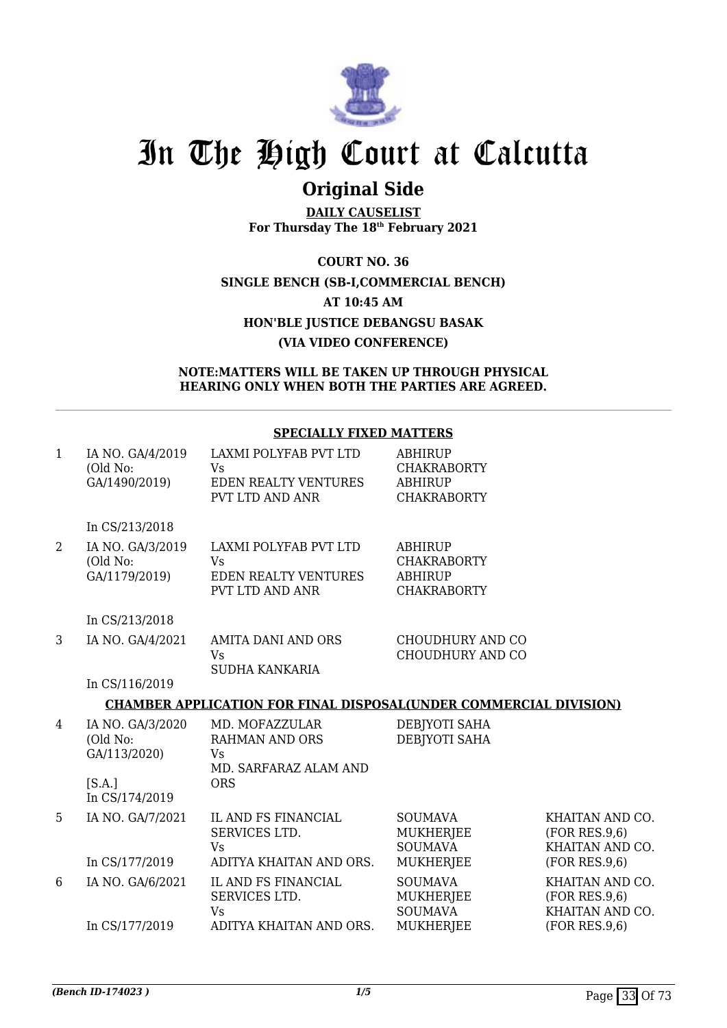

## **Original Side**

**DAILY CAUSELIST For Thursday The 18th February 2021**

**COURT NO. 36 SINGLE BENCH (SB-I,COMMERCIAL BENCH) AT 10:45 AM HON'BLE JUSTICE DEBANGSU BASAK (VIA VIDEO CONFERENCE)**

**NOTE:MATTERS WILL BE TAKEN UP THROUGH PHYSICAL HEARING ONLY WHEN BOTH THE PARTIES ARE AGREED.**

#### **SPECIALLY FIXED MATTERS**

| $\mathbf{1}$ | IA NO. GA/4/2019<br>(Old No:<br>GA/1490/2019)                            | LAXMI POLYFAB PVT LTD<br><b>Vs</b><br><b>EDEN REALTY VENTURES</b><br>PVT LTD AND ANR | <b>ABHIRUP</b><br><b>CHAKRABORTY</b><br><b>ABHIRUP</b><br><b>CHAKRABORTY</b> |                                                                      |
|--------------|--------------------------------------------------------------------------|--------------------------------------------------------------------------------------|------------------------------------------------------------------------------|----------------------------------------------------------------------|
|              | In CS/213/2018                                                           |                                                                                      |                                                                              |                                                                      |
| 2            | IA NO. GA/3/2019<br>(Old No:<br>GA/1179/2019)                            | LAXMI POLYFAB PVT LTD<br>Vs<br><b>EDEN REALTY VENTURES</b><br>PVT LTD AND ANR        | ABHIRUP<br><b>CHAKRABORTY</b><br><b>ABHIRUP</b><br><b>CHAKRABORTY</b>        |                                                                      |
|              | In CS/213/2018                                                           |                                                                                      |                                                                              |                                                                      |
| 3            | IA NO. GA/4/2021                                                         | <b>AMITA DANI AND ORS</b><br>Vs<br><b>SUDHA KANKARIA</b>                             | CHOUDHURY AND CO<br>CHOUDHURY AND CO                                         |                                                                      |
|              | In CS/116/2019                                                           |                                                                                      |                                                                              |                                                                      |
|              |                                                                          | <b>CHAMBER APPLICATION FOR FINAL DISPOSAL(UNDER COMMERCIAL DIVISION)</b>             |                                                                              |                                                                      |
| 4            | IA NO. GA/3/2020<br>(Old No:<br>GA/113/2020)<br>[S.A.]<br>In CS/174/2019 | MD. MOFAZZULAR<br><b>RAHMAN AND ORS</b><br>Vs<br>MD. SARFARAZ ALAM AND<br><b>ORS</b> | DEBJYOTI SAHA<br>DEBJYOTI SAHA                                               |                                                                      |
| 5            | IA NO. GA/7/2021<br>In CS/177/2019                                       | IL AND FS FINANCIAL<br>SERVICES LTD.<br><b>Vs</b><br>ADITYA KHAITAN AND ORS.         | <b>SOUMAVA</b><br><b>MUKHERJEE</b><br><b>SOUMAVA</b><br>MUKHERJEE            | KHAITAN AND CO.<br>(FOR RES.9.6)<br>KHAITAN AND CO.<br>(FOR RES.9.6) |
| 6            | IA NO. GA/6/2021                                                         | IL AND FS FINANCIAL<br>SERVICES LTD.<br>Vs                                           | <b>SOUMAVA</b><br>MUKHERJEE<br><b>SOUMAVA</b>                                | KHAITAN AND CO.<br>(FOR RES.9.6)<br>KHAITAN AND CO.                  |
|              | In CS/177/2019                                                           | ADITYA KHAITAN AND ORS.                                                              | <b>MUKHERJEE</b>                                                             | (FOR RES.9,6)                                                        |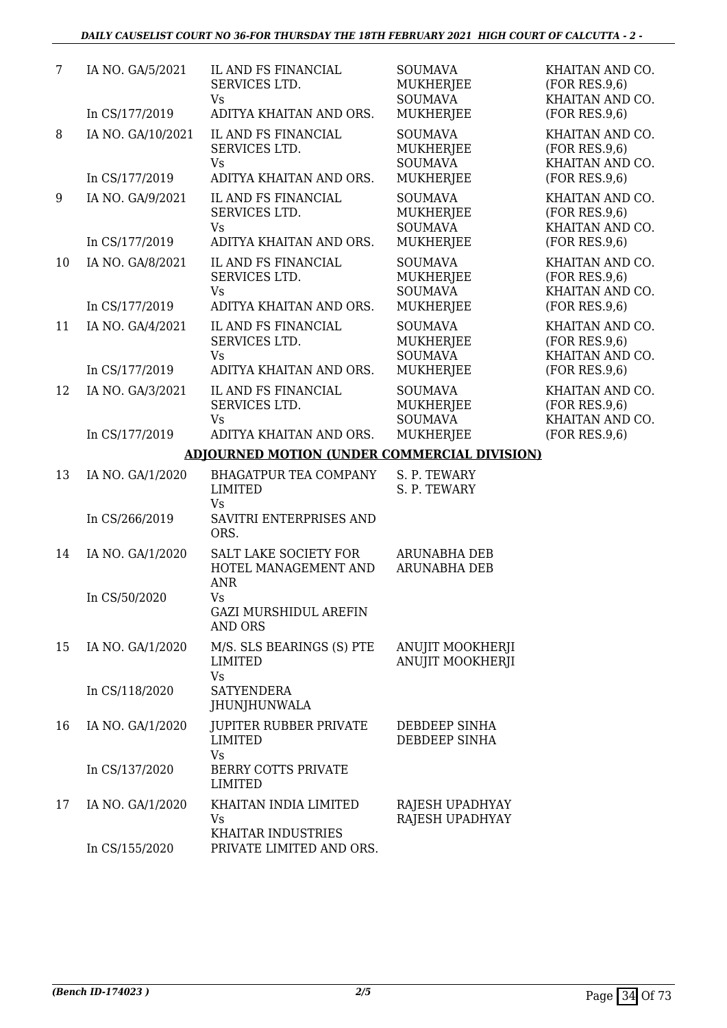| 7  | IA NO. GA/5/2021                    | IL AND FS FINANCIAL<br>SERVICES LTD.<br>Vs                                   | <b>SOUMAVA</b><br><b>MUKHERJEE</b><br><b>SOUMAVA</b>                     | KHAITAN AND CO.<br>(FOR RES.9,6)<br>KHAITAN AND CO.                  |
|----|-------------------------------------|------------------------------------------------------------------------------|--------------------------------------------------------------------------|----------------------------------------------------------------------|
|    | In CS/177/2019                      | ADITYA KHAITAN AND ORS.                                                      | <b>MUKHERJEE</b>                                                         | (FOR RES.9,6)                                                        |
| 8  | IA NO. GA/10/2021<br>In CS/177/2019 | IL AND FS FINANCIAL<br>SERVICES LTD.<br><b>Vs</b><br>ADITYA KHAITAN AND ORS. | <b>SOUMAVA</b><br><b>MUKHERJEE</b><br><b>SOUMAVA</b><br><b>MUKHERJEE</b> | KHAITAN AND CO.<br>(FOR RES.9,6)<br>KHAITAN AND CO.<br>(FOR RES.9,6) |
|    |                                     |                                                                              |                                                                          |                                                                      |
| 9  | IA NO. GA/9/2021                    | IL AND FS FINANCIAL<br>SERVICES LTD.<br><b>Vs</b>                            | <b>SOUMAVA</b><br><b>MUKHERJEE</b><br><b>SOUMAVA</b>                     | KHAITAN AND CO.<br>(FOR RES.9,6)<br>KHAITAN AND CO.                  |
|    | In CS/177/2019                      | ADITYA KHAITAN AND ORS.                                                      | <b>MUKHERJEE</b>                                                         | (FOR RES.9,6)                                                        |
| 10 | IA NO. GA/8/2021                    | IL AND FS FINANCIAL<br>SERVICES LTD.<br>Vs                                   | <b>SOUMAVA</b><br><b>MUKHERJEE</b><br><b>SOUMAVA</b>                     | KHAITAN AND CO.<br>(FOR RES.9,6)<br>KHAITAN AND CO.                  |
|    | In CS/177/2019                      | ADITYA KHAITAN AND ORS.                                                      | <b>MUKHERJEE</b>                                                         | (FOR RES.9,6)                                                        |
| 11 | IA NO. GA/4/2021<br>In CS/177/2019  | IL AND FS FINANCIAL<br>SERVICES LTD.<br><b>Vs</b><br>ADITYA KHAITAN AND ORS. | <b>SOUMAVA</b><br><b>MUKHERJEE</b><br><b>SOUMAVA</b><br><b>MUKHERJEE</b> | KHAITAN AND CO.<br>(FOR RES.9,6)<br>KHAITAN AND CO.<br>(FOR RES.9,6) |
|    |                                     |                                                                              |                                                                          |                                                                      |
| 12 | IA NO. GA/3/2021                    | IL AND FS FINANCIAL<br>SERVICES LTD.<br><b>Vs</b>                            | <b>SOUMAVA</b><br><b>MUKHERJEE</b><br><b>SOUMAVA</b>                     | KHAITAN AND CO.<br>(FOR RES.9,6)<br>KHAITAN AND CO.                  |
|    | In CS/177/2019                      | ADITYA KHAITAN AND ORS.                                                      | <b>MUKHERJEE</b>                                                         | (FOR RES.9,6)                                                        |
|    |                                     | <b>ADJOURNED MOTION (UNDER COMMERCIAL DIVISION)</b>                          |                                                                          |                                                                      |
| 13 | IA NO. GA/1/2020                    | <b>BHAGATPUR TEA COMPANY</b><br>LIMITED<br>Vs                                | S. P. TEWARY<br>S. P. TEWARY                                             |                                                                      |
|    | In CS/266/2019                      | SAVITRI ENTERPRISES AND<br>ORS.                                              |                                                                          |                                                                      |
| 14 | IA NO. GA/1/2020                    | SALT LAKE SOCIETY FOR<br>HOTEL MANAGEMENT AND<br><b>ANR</b>                  | <b>ARUNABHA DEB</b><br>ARUNABHA DEB                                      |                                                                      |
|    | In CS/50/2020                       | Vs<br><b>GAZI MURSHIDUL AREFIN</b><br><b>AND ORS</b>                         |                                                                          |                                                                      |
| 15 | IA NO. GA/1/2020                    | M/S. SLS BEARINGS (S) PTE<br>LIMITED<br><b>Vs</b>                            | <b>ANUJIT MOOKHERJI</b><br>ANUJIT MOOKHERJI                              |                                                                      |
|    | In CS/118/2020                      | <b>SATYENDERA</b><br>JHUNJHUNWALA                                            |                                                                          |                                                                      |
| 16 | IA NO. GA/1/2020                    | JUPITER RUBBER PRIVATE<br><b>LIMITED</b><br>Vs                               | DEBDEEP SINHA<br>DEBDEEP SINHA                                           |                                                                      |
|    | In CS/137/2020                      | BERRY COTTS PRIVATE<br><b>LIMITED</b>                                        |                                                                          |                                                                      |
| 17 | IA NO. GA/1/2020                    | KHAITAN INDIA LIMITED<br>Vs<br>KHAITAR INDUSTRIES                            | RAJESH UPADHYAY<br>RAJESH UPADHYAY                                       |                                                                      |
|    | In CS/155/2020                      | PRIVATE LIMITED AND ORS.                                                     |                                                                          |                                                                      |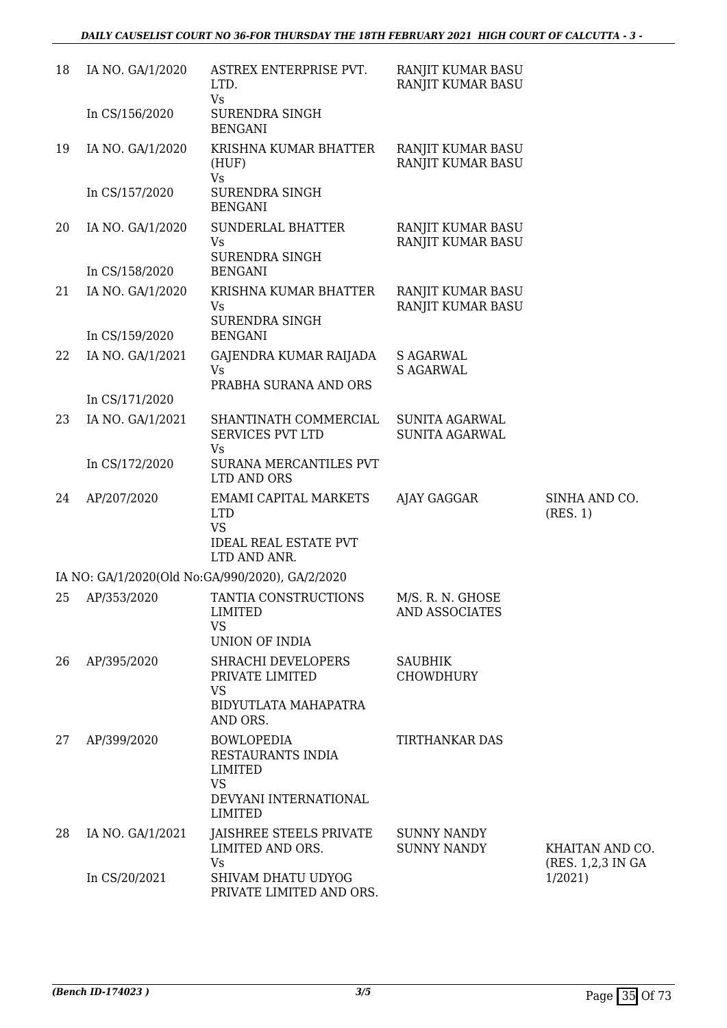| 18 | IA NO. GA/1/2020 | ASTREX ENTERPRISE PVT.<br>LTD.                                                                            | RANJIT KUMAR BASU<br>RANJIT KUMAR BASU         |                                       |
|----|------------------|-----------------------------------------------------------------------------------------------------------|------------------------------------------------|---------------------------------------|
|    | In CS/156/2020   | Vs<br>SURENDRA SINGH<br><b>BENGANI</b>                                                                    |                                                |                                       |
| 19 | IA NO. GA/1/2020 | KRISHNA KUMAR BHATTER<br>(HUF)<br>Vs                                                                      | RANJIT KUMAR BASU<br>RANJIT KUMAR BASU         |                                       |
|    | In CS/157/2020   | SURENDRA SINGH<br><b>BENGANI</b>                                                                          |                                                |                                       |
| 20 | IA NO. GA/1/2020 | SUNDERLAL BHATTER<br>Vs<br><b>SURENDRA SINGH</b>                                                          | RANJIT KUMAR BASU<br>RANJIT KUMAR BASU         |                                       |
|    | In CS/158/2020   | <b>BENGANI</b>                                                                                            |                                                |                                       |
| 21 | IA NO. GA/1/2020 | KRISHNA KUMAR BHATTER<br>Vs<br><b>SURENDRA SINGH</b>                                                      | RANJIT KUMAR BASU<br>RANJIT KUMAR BASU         |                                       |
|    | In CS/159/2020   | <b>BENGANI</b>                                                                                            |                                                |                                       |
| 22 | IA NO. GA/1/2021 | GAJENDRA KUMAR RAIJADA<br><b>Vs</b>                                                                       | <b>S AGARWAL</b><br><b>S AGARWAL</b>           |                                       |
|    | In CS/171/2020   | PRABHA SURANA AND ORS                                                                                     |                                                |                                       |
| 23 | IA NO. GA/1/2021 | SHANTINATH COMMERCIAL<br><b>SERVICES PVT LTD</b>                                                          | <b>SUNITA AGARWAL</b><br><b>SUNITA AGARWAL</b> |                                       |
|    | In CS/172/2020   | Vs<br>SURANA MERCANTILES PVT<br><b>LTD AND ORS</b>                                                        |                                                |                                       |
| 24 | AP/207/2020      | <b>EMAMI CAPITAL MARKETS</b><br><b>LTD</b><br><b>VS</b><br><b>IDEAL REAL ESTATE PVT</b><br>LTD AND ANR.   | AJAY GAGGAR                                    | SINHA AND CO.<br>(RES. 1)             |
|    |                  | IA NO: GA/1/2020(Old No:GA/990/2020), GA/2/2020                                                           |                                                |                                       |
| 25 | AP/353/2020      | TANTIA CONSTRUCTIONS<br><b>LIMITED</b><br><b>VS</b><br>UNION OF INDIA                                     | M/S. R. N. GHOSE<br>AND ASSOCIATES             |                                       |
| 26 | AP/395/2020      | SHRACHI DEVELOPERS<br>PRIVATE LIMITED<br><b>VS</b><br>BIDYUTLATA MAHAPATRA<br>AND ORS.                    | <b>SAUBHIK</b><br><b>CHOWDHURY</b>             |                                       |
| 27 | AP/399/2020      | <b>BOWLOPEDIA</b><br>RESTAURANTS INDIA<br>LIMITED<br><b>VS</b><br>DEVYANI INTERNATIONAL<br><b>LIMITED</b> | <b>TIRTHANKAR DAS</b>                          |                                       |
| 28 | IA NO. GA/1/2021 | JAISHREE STEELS PRIVATE<br>LIMITED AND ORS.<br><b>Vs</b>                                                  | <b>SUNNY NANDY</b><br><b>SUNNY NANDY</b>       | KHAITAN AND CO.<br>(RES. 1,2,3 IN GA) |
|    | In CS/20/2021    | SHIVAM DHATU UDYOG<br>PRIVATE LIMITED AND ORS.                                                            |                                                | 1/2021                                |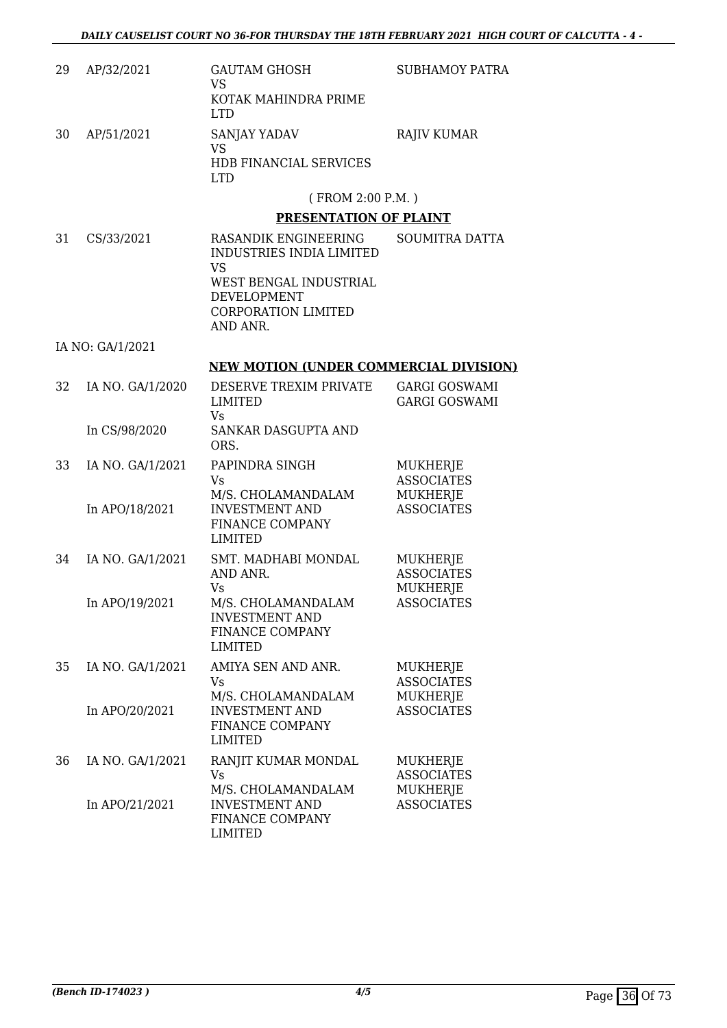| 29 | AP/32/2021       | <b>GAUTAM GHOSH</b><br><b>VS</b>                                                 | SUBHAMOY PATRA                               |
|----|------------------|----------------------------------------------------------------------------------|----------------------------------------------|
|    |                  | KOTAK MAHINDRA PRIME<br><b>LTD</b>                                               |                                              |
| 30 | AP/51/2021       | SANJAY YADAV<br><b>VS</b>                                                        | <b>RAJIV KUMAR</b>                           |
|    |                  | HDB FINANCIAL SERVICES<br><b>LTD</b>                                             |                                              |
|    |                  | (FROM 2:00 P.M.)                                                                 |                                              |
|    |                  | PRESENTATION OF PLAINT                                                           |                                              |
| 31 | CS/33/2021       | RASANDIK ENGINEERING<br><b>INDUSTRIES INDIA LIMITED</b><br><b>VS</b>             | <b>SOUMITRA DATTA</b>                        |
|    |                  | WEST BENGAL INDUSTRIAL<br>DEVELOPMENT<br><b>CORPORATION LIMITED</b><br>AND ANR.  |                                              |
|    | IA NO: GA/1/2021 |                                                                                  |                                              |
|    |                  | <b>NEW MOTION (UNDER COMMERCIAL DIVISION)</b>                                    |                                              |
| 32 | IA NO. GA/1/2020 | DESERVE TREXIM PRIVATE<br>LIMITED                                                | <b>GARGI GOSWAMI</b><br><b>GARGI GOSWAMI</b> |
|    | In CS/98/2020    | Vs<br>SANKAR DASGUPTA AND<br>ORS.                                                |                                              |
| 33 | IA NO. GA/1/2021 | PAPINDRA SINGH<br><b>Vs</b>                                                      | MUKHERJE<br><b>ASSOCIATES</b>                |
|    | In APO/18/2021   | M/S. CHOLAMANDALAM<br><b>INVESTMENT AND</b><br>FINANCE COMPANY<br><b>LIMITED</b> | MUKHERJE<br><b>ASSOCIATES</b>                |
| 34 | IA NO. GA/1/2021 | SMT. MADHABI MONDAL<br>AND ANR.                                                  | MUKHERJE<br><b>ASSOCIATES</b>                |
|    | In APO/19/2021   | Vs<br>M/S. CHOLAMANDALAM<br><b>INVESTMENT AND</b><br>FINANCE COMPANY<br>LIMITED  | MUKHERJE<br><b>ASSOCIATES</b>                |
| 35 | IA NO. GA/1/2021 | AMIYA SEN AND ANR.<br>Vs                                                         | MUKHERJE<br><b>ASSOCIATES</b>                |
|    | In APO/20/2021   | M/S. CHOLAMANDALAM<br><b>INVESTMENT AND</b><br>FINANCE COMPANY<br><b>LIMITED</b> | <b>MUKHERJE</b><br><b>ASSOCIATES</b>         |
| 36 | IA NO. GA/1/2021 | RANJIT KUMAR MONDAL<br><b>Vs</b>                                                 | <b>MUKHERJE</b><br><b>ASSOCIATES</b>         |
|    | In APO/21/2021   | M/S. CHOLAMANDALAM<br><b>INVESTMENT AND</b><br>FINANCE COMPANY<br><b>LIMITED</b> | MUKHERJE<br><b>ASSOCIATES</b>                |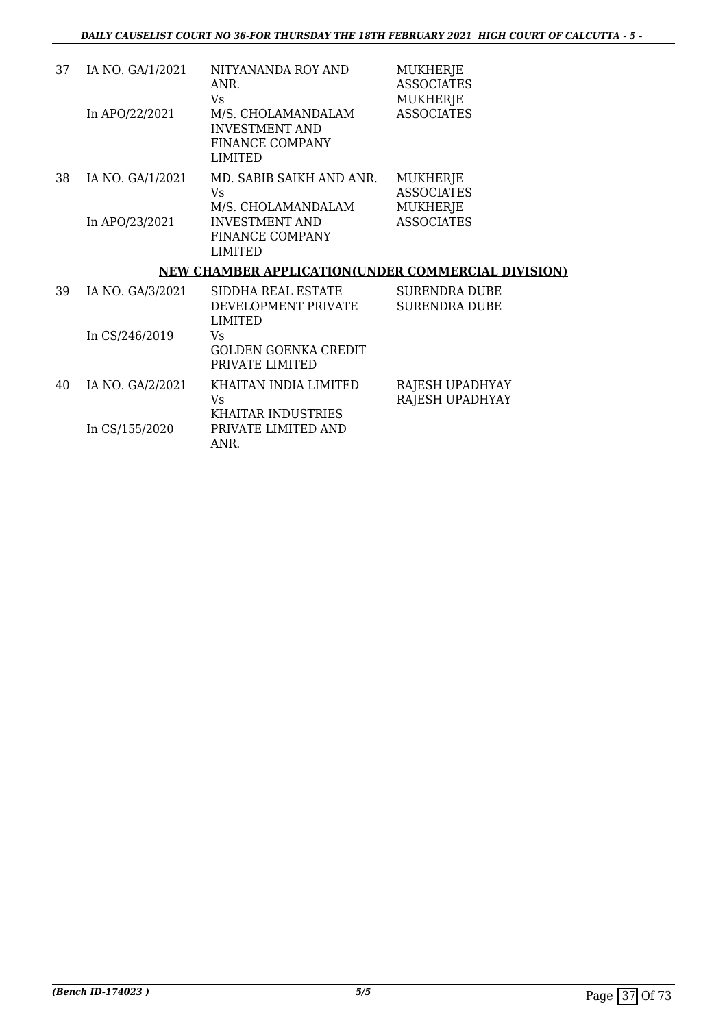| 37 | IA NO. GA/1/2021 | NITYANANDA ROY AND<br>ANR.<br>Vs.                                                | <b>MUKHERJE</b><br><b>ASSOCIATES</b><br><b>MUKHERJE</b> |
|----|------------------|----------------------------------------------------------------------------------|---------------------------------------------------------|
|    | In APO/22/2021   | M/S. CHOLAMANDALAM<br><b>INVESTMENT AND</b><br><b>FINANCE COMPANY</b><br>LIMITED | <b>ASSOCIATES</b>                                       |
| 38 | IA NO. GA/1/2021 | MD. SABIB SAIKH AND ANR.<br>Vs.<br>M/S. CHOLAMANDALAM                            | <b>MUKHERJE</b><br><b>ASSOCIATES</b><br><b>MUKHERJE</b> |
|    | In APO/23/2021   | <b>INVESTMENT AND</b><br>FINANCE COMPANY<br>LIMITED                              | <b>ASSOCIATES</b>                                       |
|    |                  | <b>NEW CHAMBER APPLICATION(UNDER COMMERCIAL DIVISION)</b>                        |                                                         |
| 39 | IA NO. GA/3/2021 | SIDDHA REAL ESTATE<br>DEVELOPMENT PRIVATE<br>LIMITED                             | SURENDRA DUBE<br>SURENDRA DUBE                          |
|    | In CS/246/2019   | Vs                                                                               |                                                         |

|    |                  | <b>GOLDEN GOENKA CREDIT</b><br>PRIVATE LIMITED |                        |
|----|------------------|------------------------------------------------|------------------------|
| 40 | IA NO. GA/2/2021 | KHAITAN INDIA LIMITED                          | RAJESH UPADHYAY        |
|    |                  | Vs                                             | <b>RAJESH UPADHYAY</b> |
|    |                  | KHAITAR INDUSTRIES                             |                        |
|    | In CS/155/2020   | PRIVATE LIMITED AND                            |                        |
|    |                  | ANR.                                           |                        |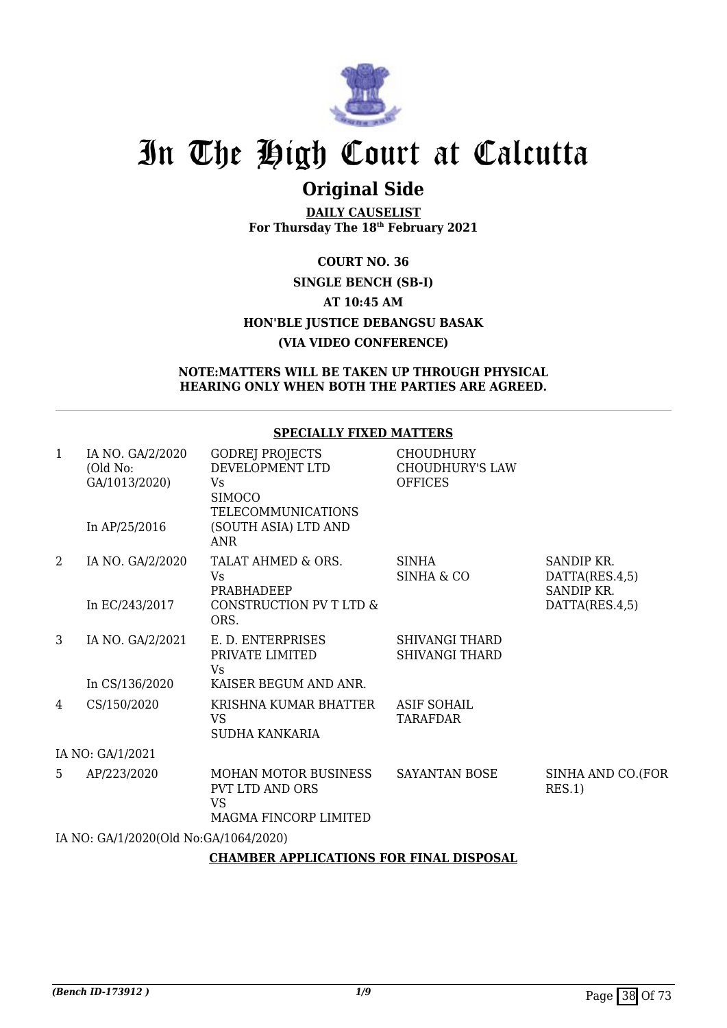

# **Original Side**

**DAILY CAUSELIST For Thursday The 18th February 2021**

## **COURT NO. 36 SINGLE BENCH (SB-I) AT 10:45 AM HON'BLE JUSTICE DEBANGSU BASAK (VIA VIDEO CONFERENCE)**

### **NOTE:MATTERS WILL BE TAKEN UP THROUGH PHYSICAL HEARING ONLY WHEN BOTH THE PARTIES ARE AGREED.**

## **SPECIALLY FIXED MATTERS**

| 1 | IA NO. GA/2/2020<br>(Old No:<br>GA/1013/2020) | <b>GODREJ PROJECTS</b><br>DEVELOPMENT LTD<br>Vs<br><b>SIMOCO</b>              | <b>CHOUDHURY</b><br><b>CHOUDHURY'S LAW</b><br><b>OFFICES</b> |                                            |
|---|-----------------------------------------------|-------------------------------------------------------------------------------|--------------------------------------------------------------|--------------------------------------------|
|   | In $AP/25/2016$                               | <b>TELECOMMUNICATIONS</b><br>(SOUTH ASIA) LTD AND<br><b>ANR</b>               |                                                              |                                            |
| 2 | IA NO. GA/2/2020                              | TALAT AHMED & ORS.<br>Vs<br>PRABHADEEP                                        | <b>SINHA</b><br><b>SINHA &amp; CO</b>                        | SANDIP KR.<br>DATTA(RES.4,5)<br>SANDIP KR. |
|   | In EC/243/2017                                | CONSTRUCTION PV T LTD &<br>ORS.                                               |                                                              | DATTA(RES.4,5)                             |
| 3 | IA NO. GA/2/2021                              | E. D. ENTERPRISES<br>PRIVATE LIMITED<br>Vs                                    | <b>SHIVANGI THARD</b><br><b>SHIVANGI THARD</b>               |                                            |
|   | In CS/136/2020                                | KAISER BEGUM AND ANR.                                                         |                                                              |                                            |
| 4 | CS/150/2020                                   | KRISHNA KUMAR BHATTER<br><b>VS</b><br><b>SUDHA KANKARIA</b>                   | <b>ASIF SOHAIL</b><br><b>TARAFDAR</b>                        |                                            |
|   | IA NO: GA/1/2021                              |                                                                               |                                                              |                                            |
| 5 | AP/223/2020                                   | MOHAN MOTOR BUSINESS<br>PVT LTD AND ORS<br><b>VS</b><br>MAGMA FINCORP LIMITED | <b>SAYANTAN BOSE</b>                                         | SINHA AND CO.(FOR<br>RES.1)                |
|   | IA NO: GA/1/2020(Old No:GA/1064/2020)         |                                                                               |                                                              |                                            |
|   |                                               | CILLMARD ADDITOATIONS FOR FINIAL DISPOSAL                                     |                                                              |                                            |

## **CHAMBER APPLICATIONS FOR FINAL DISPOSAL**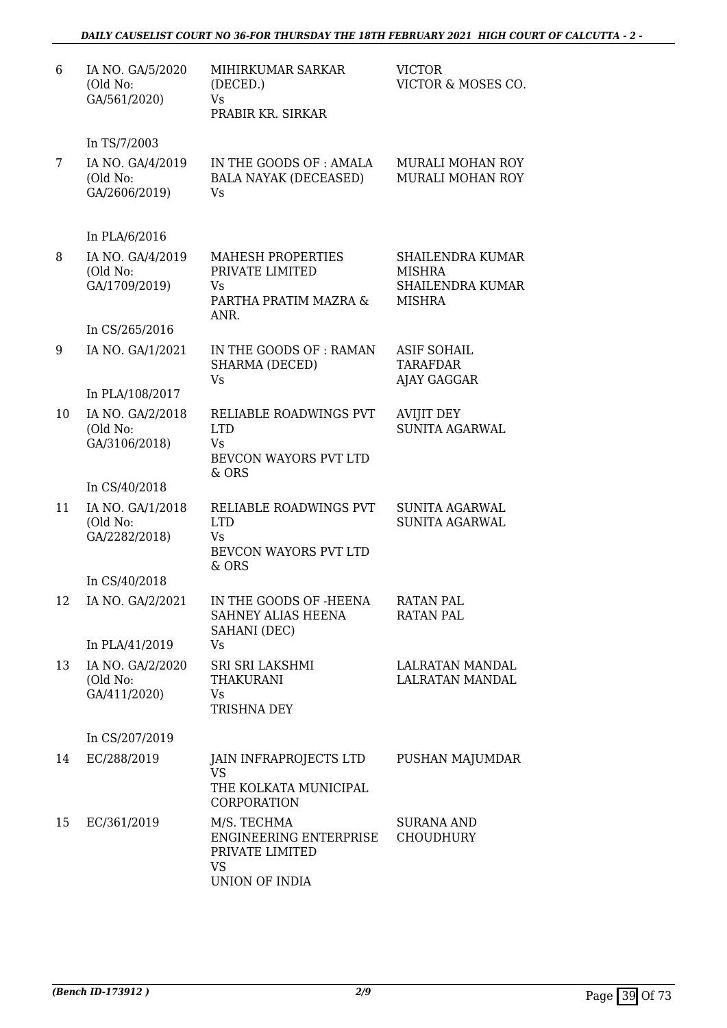## *DAILY CAUSELIST COURT NO 36-FOR THURSDAY THE 18TH FEBRUARY 2021 HIGH COURT OF CALCUTTA - 2 -*

| 6  | IA NO. GA/5/2020<br>(Old No:<br>GA/561/2020)                   | MIHIRKUMAR SARKAR<br>(DECED.)<br>Vs<br>PRABIR KR. SIRKAR                                | <b>VICTOR</b><br>VICTOR & MOSES CO.                                    |
|----|----------------------------------------------------------------|-----------------------------------------------------------------------------------------|------------------------------------------------------------------------|
|    | In TS/7/2003                                                   |                                                                                         |                                                                        |
| 7  | IA NO. GA/4/2019<br>(Old No:<br>GA/2606/2019)                  | IN THE GOODS OF: AMALA<br><b>BALA NAYAK (DECEASED)</b><br>Vs                            | <b>MURALI MOHAN ROY</b><br><b>MURALI MOHAN ROY</b>                     |
|    | In PLA/6/2016                                                  |                                                                                         |                                                                        |
| 8  | IA NO. GA/4/2019<br>(Old No:<br>GA/1709/2019)                  | <b>MAHESH PROPERTIES</b><br>PRIVATE LIMITED<br>Vs<br>PARTHA PRATIM MAZRA &<br>ANR.      | SHAILENDRA KUMAR<br><b>MISHRA</b><br>SHAILENDRA KUMAR<br><b>MISHRA</b> |
|    | In CS/265/2016                                                 |                                                                                         |                                                                        |
| 9  | IA NO. GA/1/2021                                               | IN THE GOODS OF: RAMAN<br>SHARMA (DECED)<br>Vs                                          | <b>ASIF SOHAIL</b><br><b>TARAFDAR</b><br>AJAY GAGGAR                   |
|    | In PLA/108/2017                                                |                                                                                         |                                                                        |
| 10 | IA NO. GA/2/2018<br>(Old No:<br>GA/3106/2018)                  | RELIABLE ROADWINGS PVT<br><b>LTD</b><br>Vs<br>BEVCON WAYORS PVT LTD<br>& ORS            | <b>AVIJIT DEY</b><br><b>SUNITA AGARWAL</b>                             |
|    | In CS/40/2018                                                  |                                                                                         |                                                                        |
| 11 | IA NO. GA/1/2018<br>(Old No:<br>GA/2282/2018)                  | RELIABLE ROADWINGS PVT<br><b>LTD</b><br>Vs<br>BEVCON WAYORS PVT LTD<br>& ORS            | SUNITA AGARWAL<br><b>SUNITA AGARWAL</b>                                |
|    | In CS/40/2018                                                  |                                                                                         |                                                                        |
| 12 | IA NO. GA/2/2021                                               | IN THE GOODS OF -HEENA<br>SAHNEY ALIAS HEENA<br>SAHANI (DEC)                            | <b>RATAN PAL</b><br><b>RATAN PAL</b>                                   |
| 13 | In PLA/41/2019<br>IA NO. GA/2/2020<br>(Old No:<br>GA/411/2020) | Vs<br>SRI SRI LAKSHMI<br><b>THAKURANI</b><br><b>Vs</b><br><b>TRISHNA DEY</b>            | LALRATAN MANDAL<br><b>LALRATAN MANDAL</b>                              |
|    | In CS/207/2019                                                 |                                                                                         |                                                                        |
| 14 | EC/288/2019                                                    | JAIN INFRAPROJECTS LTD<br><b>VS</b><br>THE KOLKATA MUNICIPAL<br>CORPORATION             | PUSHAN MAJUMDAR                                                        |
| 15 | EC/361/2019                                                    | M/S. TECHMA<br>ENGINEERING ENTERPRISE<br>PRIVATE LIMITED<br><b>VS</b><br>UNION OF INDIA | <b>SURANA AND</b><br><b>CHOUDHURY</b>                                  |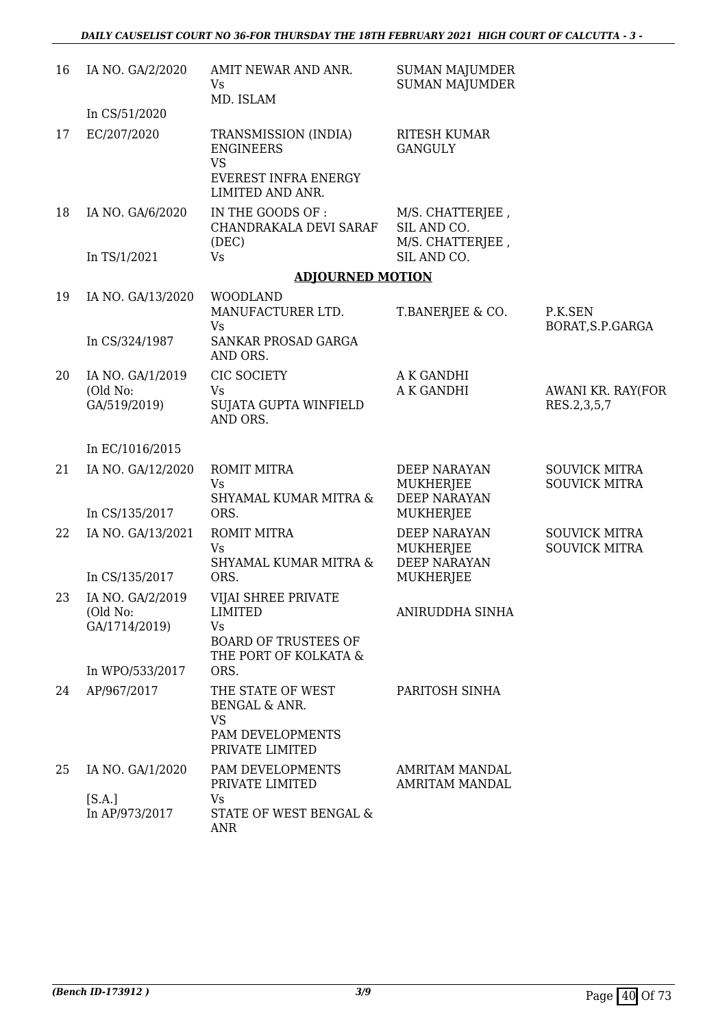| 16 | IA NO. GA/2/2020                              | AMIT NEWAR AND ANR.<br>Vs<br>MD. ISLAM                                                                     | <b>SUMAN MAJUMDER</b><br><b>SUMAN MAJUMDER</b>                 |                                              |
|----|-----------------------------------------------|------------------------------------------------------------------------------------------------------------|----------------------------------------------------------------|----------------------------------------------|
|    | In CS/51/2020                                 |                                                                                                            |                                                                |                                              |
| 17 | EC/207/2020                                   | TRANSMISSION (INDIA)<br><b>ENGINEERS</b><br><b>VS</b><br><b>EVEREST INFRA ENERGY</b><br>LIMITED AND ANR.   | <b>RITESH KUMAR</b><br><b>GANGULY</b>                          |                                              |
| 18 | IA NO. GA/6/2020                              | IN THE GOODS OF :<br>CHANDRAKALA DEVI SARAF<br>(DEC)                                                       | M/S. CHATTERJEE,<br>SIL AND CO.<br>M/S. CHATTERJEE,            |                                              |
|    | In TS/1/2021                                  | <b>Vs</b>                                                                                                  | SIL AND CO.                                                    |                                              |
|    |                                               | <b>ADJOURNED MOTION</b>                                                                                    |                                                                |                                              |
| 19 | IA NO. GA/13/2020                             | <b>WOODLAND</b><br>MANUFACTURER LTD.<br><b>Vs</b>                                                          | T.BANERJEE & CO.                                               | P.K.SEN<br>BORAT, S.P. GARGA                 |
|    | In CS/324/1987                                | SANKAR PROSAD GARGA<br>AND ORS.                                                                            |                                                                |                                              |
| 20 | IA NO. GA/1/2019                              | CIC SOCIETY                                                                                                | A K GANDHI                                                     |                                              |
|    | (Old No:<br>GA/519/2019)                      | Vs<br>SUJATA GUPTA WINFIELD<br>AND ORS.                                                                    | A K GANDHI                                                     | AWANI KR. RAY(FOR<br>RES.2,3,5,7             |
|    | In EC/1016/2015                               |                                                                                                            |                                                                |                                              |
| 21 | IA NO. GA/12/2020                             | <b>ROMIT MITRA</b><br><b>Vs</b><br>SHYAMAL KUMAR MITRA &                                                   | <b>DEEP NARAYAN</b><br><b>MUKHERJEE</b><br><b>DEEP NARAYAN</b> | <b>SOUVICK MITRA</b><br><b>SOUVICK MITRA</b> |
|    | In CS/135/2017                                | ORS.                                                                                                       | <b>MUKHERJEE</b>                                               |                                              |
| 22 | IA NO. GA/13/2021                             | <b>ROMIT MITRA</b><br><b>Vs</b><br>SHYAMAL KUMAR MITRA &                                                   | <b>DEEP NARAYAN</b><br>MUKHERJEE<br><b>DEEP NARAYAN</b>        | <b>SOUVICK MITRA</b><br><b>SOUVICK MITRA</b> |
|    | In CS/135/2017                                | ORS.                                                                                                       | MUKHERJEE                                                      |                                              |
| 23 | IA NO. GA/2/2019<br>(Old No:<br>GA/1714/2019) | VIJAI SHREE PRIVATE<br><b>LIMITED</b><br><b>Vs</b><br><b>BOARD OF TRUSTEES OF</b><br>THE PORT OF KOLKATA & | ANIRUDDHA SINHA                                                |                                              |
|    | In WPO/533/2017                               | ORS.                                                                                                       |                                                                |                                              |
| 24 | AP/967/2017                                   | THE STATE OF WEST<br><b>BENGAL &amp; ANR.</b><br><b>VS</b><br>PAM DEVELOPMENTS<br>PRIVATE LIMITED          | PARITOSH SINHA                                                 |                                              |
| 25 | IA NO. GA/1/2020                              | PAM DEVELOPMENTS<br>PRIVATE LIMITED                                                                        | AMRITAM MANDAL<br><b>AMRITAM MANDAL</b>                        |                                              |
|    | [S.A.]<br>In AP/973/2017                      | Vs<br>STATE OF WEST BENGAL &<br><b>ANR</b>                                                                 |                                                                |                                              |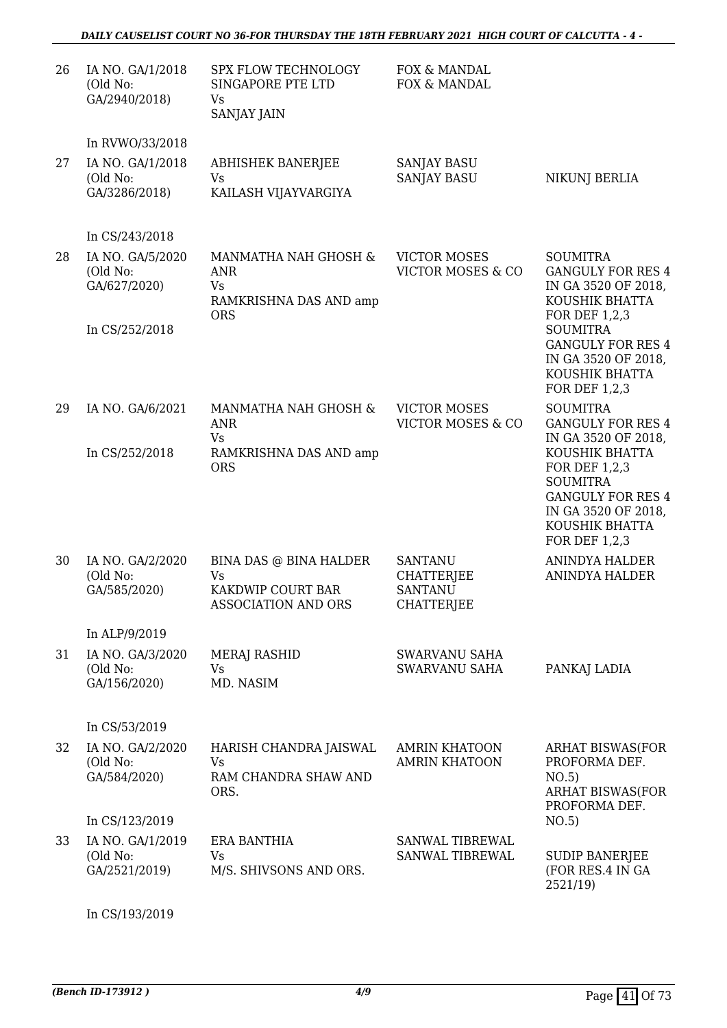| 26 | IA NO. GA/1/2018<br>(Old No:<br>GA/2940/2018) | SPX FLOW TECHNOLOGY<br>SINGAPORE PTE LTD<br>Vs<br>SANJAY JAIN                           | FOX & MANDAL<br>FOX & MANDAL                                               |                                                                                                                                          |
|----|-----------------------------------------------|-----------------------------------------------------------------------------------------|----------------------------------------------------------------------------|------------------------------------------------------------------------------------------------------------------------------------------|
|    | In RVWO/33/2018                               |                                                                                         |                                                                            |                                                                                                                                          |
| 27 | IA NO. GA/1/2018<br>(Old No:<br>GA/3286/2018) | <b>ABHISHEK BANERJEE</b><br><b>Vs</b><br>KAILASH VIJAYVARGIYA                           | <b>SANJAY BASU</b><br><b>SANJAY BASU</b>                                   | NIKUNJ BERLIA                                                                                                                            |
|    | In CS/243/2018                                |                                                                                         |                                                                            |                                                                                                                                          |
| 28 | IA NO. GA/5/2020<br>(Old No:<br>GA/627/2020)  | MANMATHA NAH GHOSH &<br><b>ANR</b><br><b>Vs</b><br>RAMKRISHNA DAS AND amp<br><b>ORS</b> | <b>VICTOR MOSES</b><br>VICTOR MOSES & CO                                   | <b>SOUMITRA</b><br><b>GANGULY FOR RES 4</b><br>IN GA 3520 OF 2018,<br>KOUSHIK BHATTA<br>FOR DEF 1,2,3                                    |
|    | In CS/252/2018                                |                                                                                         |                                                                            | <b>SOUMITRA</b><br><b>GANGULY FOR RES 4</b><br>IN GA 3520 OF 2018,<br>KOUSHIK BHATTA<br>FOR DEF 1,2,3                                    |
| 29 | IA NO. GA/6/2021                              | MANMATHA NAH GHOSH &<br><b>ANR</b><br><b>Vs</b>                                         | <b>VICTOR MOSES</b><br>VICTOR MOSES & CO                                   | <b>SOUMITRA</b><br><b>GANGULY FOR RES 4</b><br>IN GA 3520 OF 2018,                                                                       |
|    | In CS/252/2018                                | RAMKRISHNA DAS AND amp<br><b>ORS</b>                                                    |                                                                            | KOUSHIK BHATTA<br>FOR DEF 1,2,3<br><b>SOUMITRA</b><br><b>GANGULY FOR RES 4</b><br>IN GA 3520 OF 2018,<br>KOUSHIK BHATTA<br>FOR DEF 1,2,3 |
| 30 | IA NO. GA/2/2020<br>(Old No:<br>GA/585/2020)  | BINA DAS @ BINA HALDER<br>Vs<br>KAKDWIP COURT BAR<br>ASSOCIATION AND ORS                | <b>SANTANU</b><br><b>CHATTERJEE</b><br><b>SANTANU</b><br><b>CHATTERJEE</b> | <b>ANINDYA HALDER</b><br>ANINDYA HALDER                                                                                                  |
|    | In ALP/9/2019                                 |                                                                                         |                                                                            |                                                                                                                                          |
| 31 | IA NO. GA/3/2020<br>(Old No:<br>GA/156/2020)  | MERAJ RASHID<br><b>Vs</b><br>MD. NASIM                                                  | SWARVANU SAHA<br>SWARVANU SAHA                                             | PANKAJ LADIA                                                                                                                             |
|    | In CS/53/2019                                 |                                                                                         |                                                                            |                                                                                                                                          |
| 32 | IA NO. GA/2/2020<br>(Old No:<br>GA/584/2020)  | HARISH CHANDRA JAISWAL<br><b>Vs</b><br>RAM CHANDRA SHAW AND<br>ORS.                     | <b>AMRIN KHATOON</b><br><b>AMRIN KHATOON</b>                               | <b>ARHAT BISWAS(FOR</b><br>PROFORMA DEF.<br>NO.5)<br><b>ARHAT BISWAS(FOR</b><br>PROFORMA DEF.                                            |
|    | In CS/123/2019                                |                                                                                         |                                                                            | NO.5)                                                                                                                                    |
| 33 | IA NO. GA/1/2019<br>(Old No:<br>GA/2521/2019) | ERA BANTHIA<br>Vs<br>M/S. SHIVSONS AND ORS.                                             | SANWAL TIBREWAL<br>SANWAL TIBREWAL                                         | <b>SUDIP BANERJEE</b><br>(FOR RES.4 IN GA<br>2521/19)                                                                                    |
|    |                                               |                                                                                         |                                                                            |                                                                                                                                          |

In CS/193/2019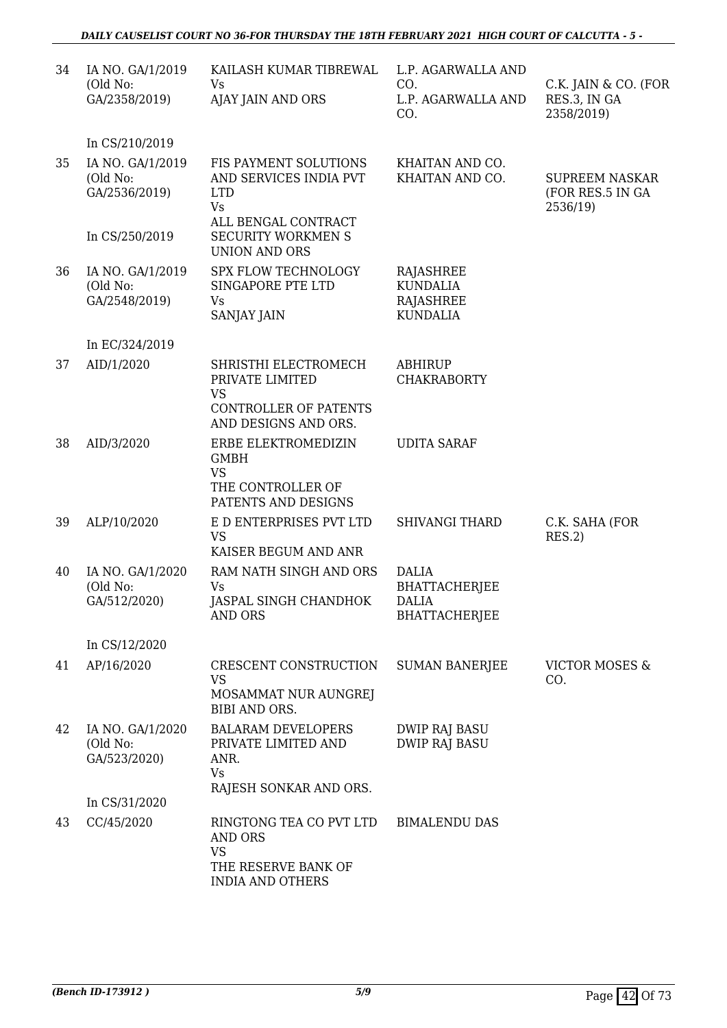| 34 | IA NO. GA/1/2019<br>(Old No:<br>GA/2358/2019)                   | KAILASH KUMAR TIBREWAL<br>Vs<br>AJAY JAIN AND ORS                                                                              | L.P. AGARWALLA AND<br>CO.<br>L.P. AGARWALLA AND<br>CO.                       | C.K. JAIN & CO. (FOR<br>RES.3, IN GA<br>2358/2019)    |
|----|-----------------------------------------------------------------|--------------------------------------------------------------------------------------------------------------------------------|------------------------------------------------------------------------------|-------------------------------------------------------|
|    | In CS/210/2019                                                  |                                                                                                                                |                                                                              |                                                       |
| 35 | IA NO. GA/1/2019<br>(Old No:<br>GA/2536/2019)<br>In CS/250/2019 | FIS PAYMENT SOLUTIONS<br>AND SERVICES INDIA PVT<br><b>LTD</b><br><b>Vs</b><br>ALL BENGAL CONTRACT<br><b>SECURITY WORKMEN S</b> | KHAITAN AND CO.<br>KHAITAN AND CO.                                           | <b>SUPREEM NASKAR</b><br>(FOR RES.5 IN GA<br>2536/19) |
|    |                                                                 | <b>UNION AND ORS</b>                                                                                                           |                                                                              |                                                       |
| 36 | IA NO. GA/1/2019<br>(Old No:<br>GA/2548/2019)                   | <b>SPX FLOW TECHNOLOGY</b><br>SINGAPORE PTE LTD<br>Vs<br><b>SANJAY JAIN</b>                                                    | RAJASHREE<br><b>KUNDALIA</b><br><b>RAJASHREE</b><br><b>KUNDALIA</b>          |                                                       |
|    | In EC/324/2019                                                  |                                                                                                                                |                                                                              |                                                       |
| 37 | AID/1/2020                                                      | SHRISTHI ELECTROMECH<br>PRIVATE LIMITED<br><b>VS</b><br>CONTROLLER OF PATENTS<br>AND DESIGNS AND ORS.                          | <b>ABHIRUP</b><br><b>CHAKRABORTY</b>                                         |                                                       |
| 38 | AID/3/2020                                                      | ERBE ELEKTROMEDIZIN<br><b>GMBH</b><br><b>VS</b><br>THE CONTROLLER OF<br>PATENTS AND DESIGNS                                    | <b>UDITA SARAF</b>                                                           |                                                       |
| 39 | ALP/10/2020                                                     | E D ENTERPRISES PVT LTD<br><b>VS</b><br>KAISER BEGUM AND ANR                                                                   | <b>SHIVANGI THARD</b>                                                        | C.K. SAHA (FOR<br>RES.2)                              |
| 40 | IA NO. GA/1/2020<br>(Old No:<br>GA/512/2020)                    | RAM NATH SINGH AND ORS<br>Vs<br>JASPAL SINGH CHANDHOK<br><b>AND ORS</b>                                                        | <b>DALIA</b><br><b>BHATTACHERJEE</b><br><b>DALIA</b><br><b>BHATTACHERJEE</b> |                                                       |
|    | In CS/12/2020                                                   |                                                                                                                                |                                                                              |                                                       |
| 41 | AP/16/2020                                                      | CRESCENT CONSTRUCTION<br><b>VS</b><br>MOSAMMAT NUR AUNGREJ<br>BIBI AND ORS.                                                    | <b>SUMAN BANERJEE</b>                                                        | <b>VICTOR MOSES &amp;</b><br>CO.                      |
| 42 | IA NO. GA/1/2020<br>(Old No:<br>GA/523/2020)                    | <b>BALARAM DEVELOPERS</b><br>PRIVATE LIMITED AND<br>ANR.<br><b>Vs</b><br>RAJESH SONKAR AND ORS.                                | <b>DWIP RAJ BASU</b><br><b>DWIP RAJ BASU</b>                                 |                                                       |
|    | In CS/31/2020                                                   |                                                                                                                                |                                                                              |                                                       |
| 43 | CC/45/2020                                                      | RINGTONG TEA CO PVT LTD<br><b>AND ORS</b><br><b>VS</b><br>THE RESERVE BANK OF<br><b>INDIA AND OTHERS</b>                       | <b>BIMALENDU DAS</b>                                                         |                                                       |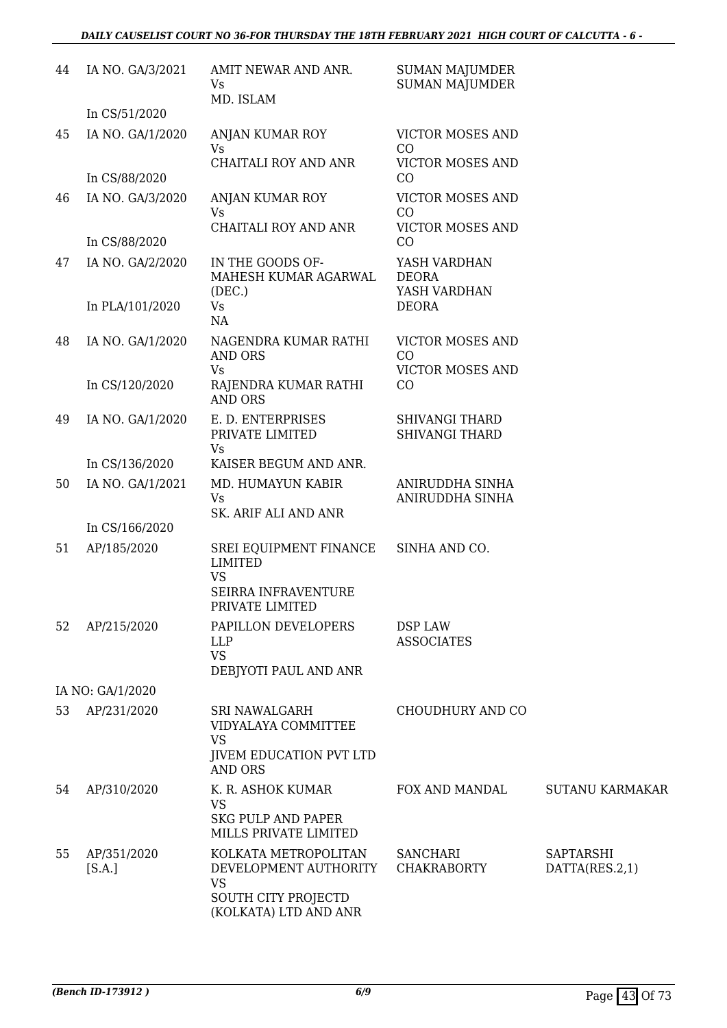| 44 | IA NO. GA/3/2021      | AMIT NEWAR AND ANR.<br>Vs<br>MD. ISLAM                                               | <b>SUMAN MAJUMDER</b><br><b>SUMAN MAJUMDER</b>    |                             |
|----|-----------------------|--------------------------------------------------------------------------------------|---------------------------------------------------|-----------------------------|
|    | In CS/51/2020         |                                                                                      |                                                   |                             |
| 45 | IA NO. GA/1/2020      | ANJAN KUMAR ROY<br><b>Vs</b>                                                         | <b>VICTOR MOSES AND</b><br>CO                     |                             |
|    |                       | CHAITALI ROY AND ANR                                                                 | <b>VICTOR MOSES AND</b>                           |                             |
|    | In CS/88/2020         |                                                                                      | CO                                                |                             |
| 46 | IA NO. GA/3/2020      | ANJAN KUMAR ROY<br><b>Vs</b>                                                         | VICTOR MOSES AND<br>CO                            |                             |
|    |                       | CHAITALI ROY AND ANR                                                                 | VICTOR MOSES AND                                  |                             |
|    | In CS/88/2020         |                                                                                      | CO                                                |                             |
| 47 | IA NO. GA/2/2020      | IN THE GOODS OF-<br>MAHESH KUMAR AGARWAL<br>(DEC.)                                   | YASH VARDHAN<br><b>DEORA</b><br>YASH VARDHAN      |                             |
|    | In PLA/101/2020       | <b>Vs</b><br>NA                                                                      | <b>DEORA</b>                                      |                             |
| 48 | IA NO. GA/1/2020      | NAGENDRA KUMAR RATHI<br><b>AND ORS</b><br><b>Vs</b>                                  | VICTOR MOSES AND<br>CO<br><b>VICTOR MOSES AND</b> |                             |
|    | In CS/120/2020        | RAJENDRA KUMAR RATHI<br><b>AND ORS</b>                                               | CO                                                |                             |
| 49 | IA NO. GA/1/2020      | E. D. ENTERPRISES<br>PRIVATE LIMITED                                                 | <b>SHIVANGI THARD</b><br><b>SHIVANGI THARD</b>    |                             |
|    | In CS/136/2020        | Vs<br>KAISER BEGUM AND ANR.                                                          |                                                   |                             |
| 50 | IA NO. GA/1/2021      | MD. HUMAYUN KABIR<br>Vs                                                              | ANIRUDDHA SINHA<br>ANIRUDDHA SINHA                |                             |
|    | In CS/166/2020        | SK. ARIF ALI AND ANR                                                                 |                                                   |                             |
| 51 | AP/185/2020           | SREI EQUIPMENT FINANCE<br><b>LIMITED</b><br><b>VS</b>                                | SINHA AND CO.                                     |                             |
|    |                       | SEIRRA INFRAVENTURE<br>PRIVATE LIMITED                                               |                                                   |                             |
| 52 | AP/215/2020           | PAPILLON DEVELOPERS<br><b>LLP</b><br><b>VS</b><br>DEBJYOTI PAUL AND ANR              | DSP LAW<br><b>ASSOCIATES</b>                      |                             |
|    | IA NO: GA/1/2020      |                                                                                      |                                                   |                             |
| 53 | AP/231/2020           | SRI NAWALGARH<br>VIDYALAYA COMMITTEE                                                 | CHOUDHURY AND CO                                  |                             |
|    |                       | <b>VS</b><br><b>JIVEM EDUCATION PVT LTD</b><br><b>AND ORS</b>                        |                                                   |                             |
| 54 | AP/310/2020           | K. R. ASHOK KUMAR<br><b>VS</b><br><b>SKG PULP AND PAPER</b><br>MILLS PRIVATE LIMITED | FOX AND MANDAL                                    | <b>SUTANU KARMAKAR</b>      |
| 55 | AP/351/2020<br>[S.A.] | KOLKATA METROPOLITAN<br>DEVELOPMENT AUTHORITY<br><b>VS</b>                           | <b>SANCHARI</b><br><b>CHAKRABORTY</b>             | SAPTARSHI<br>DATTA(RES.2,1) |
|    |                       | SOUTH CITY PROJECTD<br>(KOLKATA) LTD AND ANR                                         |                                                   |                             |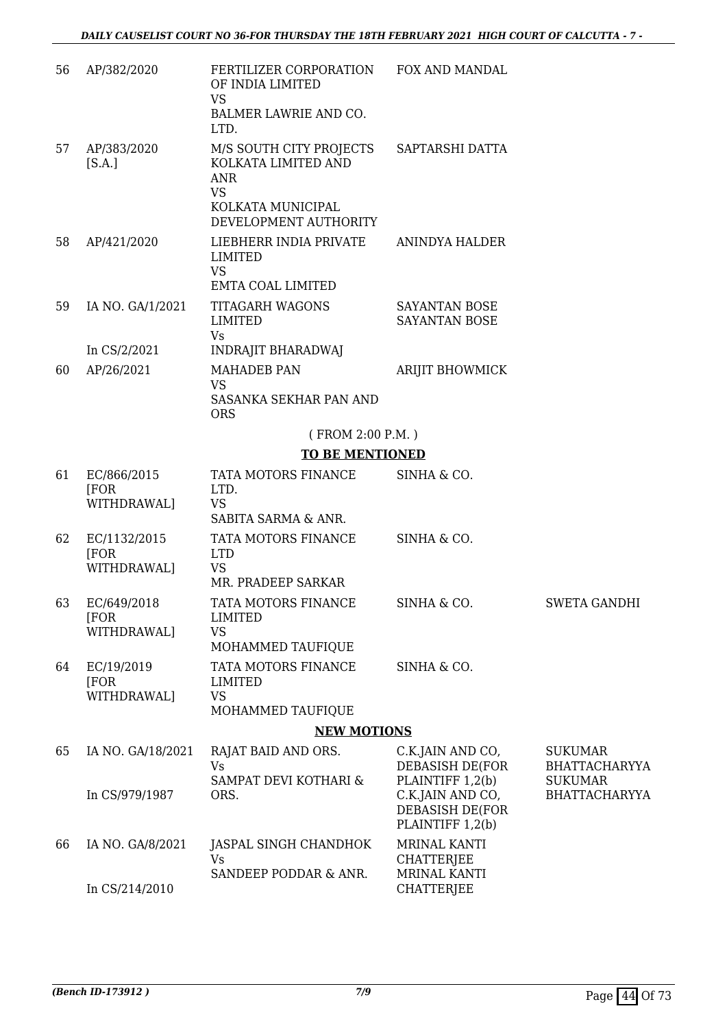| 56 | AP/382/2020                         | FERTILIZER CORPORATION FOX AND MANDAL<br>OF INDIA LIMITED<br><b>VS</b><br>BALMER LAWRIE AND CO.<br>LTD. |                                                                                                |                                                                                  |
|----|-------------------------------------|---------------------------------------------------------------------------------------------------------|------------------------------------------------------------------------------------------------|----------------------------------------------------------------------------------|
| 57 | AP/383/2020<br>[S.A.]               | M/S SOUTH CITY PROJECTS<br>KOLKATA LIMITED AND<br><b>ANR</b><br><b>VS</b><br>KOLKATA MUNICIPAL          | SAPTARSHI DATTA                                                                                |                                                                                  |
|    |                                     | DEVELOPMENT AUTHORITY                                                                                   |                                                                                                |                                                                                  |
| 58 | AP/421/2020                         | LIEBHERR INDIA PRIVATE<br><b>LIMITED</b><br><b>VS</b><br><b>EMTA COAL LIMITED</b>                       | ANINDYA HALDER                                                                                 |                                                                                  |
| 59 | IA NO. GA/1/2021                    | TITAGARH WAGONS<br>LIMITED<br><b>Vs</b>                                                                 | SAYANTAN BOSE<br><b>SAYANTAN BOSE</b>                                                          |                                                                                  |
|    | In CS/2/2021                        | <b>INDRAJIT BHARADWAJ</b>                                                                               |                                                                                                |                                                                                  |
| 60 | AP/26/2021                          | <b>MAHADEB PAN</b><br><b>VS</b><br>SASANKA SEKHAR PAN AND<br><b>ORS</b>                                 | <b>ARIJIT BHOWMICK</b>                                                                         |                                                                                  |
|    |                                     | (FROM 2:00 P.M.)                                                                                        |                                                                                                |                                                                                  |
|    |                                     | <b>TO BE MENTIONED</b>                                                                                  |                                                                                                |                                                                                  |
| 61 | EC/866/2015<br>[FOR<br>WITHDRAWAL]  | TATA MOTORS FINANCE<br>LTD.<br><b>VS</b><br>SABITA SARMA & ANR.                                         | SINHA & CO.                                                                                    |                                                                                  |
| 62 | EC/1132/2015<br>[FOR<br>WITHDRAWAL] | TATA MOTORS FINANCE<br><b>LTD</b><br><b>VS</b><br>MR. PRADEEP SARKAR                                    | SINHA & CO.                                                                                    |                                                                                  |
| 63 | EC/649/2018<br>[FOR]<br>WITHDRAWAL] | TATA MOTORS FINANCE<br><b>LIMITED</b><br><b>VS</b><br>MOHAMMED TAUFIQUE                                 | SINHA & CO.                                                                                    | SWETA GANDHI                                                                     |
| 64 | EC/19/2019<br>[FOR<br>WITHDRAWAL]   | TATA MOTORS FINANCE<br><b>LIMITED</b><br><b>VS</b><br>MOHAMMED TAUFIQUE                                 | SINHA & CO.                                                                                    |                                                                                  |
|    |                                     | <b>NEW MOTIONS</b>                                                                                      |                                                                                                |                                                                                  |
| 65 | IA NO. GA/18/2021<br>In CS/979/1987 | RAJAT BAID AND ORS.<br><b>Vs</b><br>SAMPAT DEVI KOTHARI &<br>ORS.                                       | C.K.JAIN AND CO,<br>DEBASISH DE(FOR<br>PLAINTIFF 1,2(b)<br>C.K.JAIN AND CO,<br>DEBASISH DE(FOR | <b>SUKUMAR</b><br><b>BHATTACHARYYA</b><br><b>SUKUMAR</b><br><b>BHATTACHARYYA</b> |
| 66 | IA NO. GA/8/2021                    | JASPAL SINGH CHANDHOK<br>Vs<br>SANDEEP PODDAR & ANR.                                                    | PLAINTIFF 1,2(b)<br>MRINAL KANTI<br><b>CHATTERJEE</b><br><b>MRINAL KANTI</b>                   |                                                                                  |
|    | In CS/214/2010                      |                                                                                                         | <b>CHATTERJEE</b>                                                                              |                                                                                  |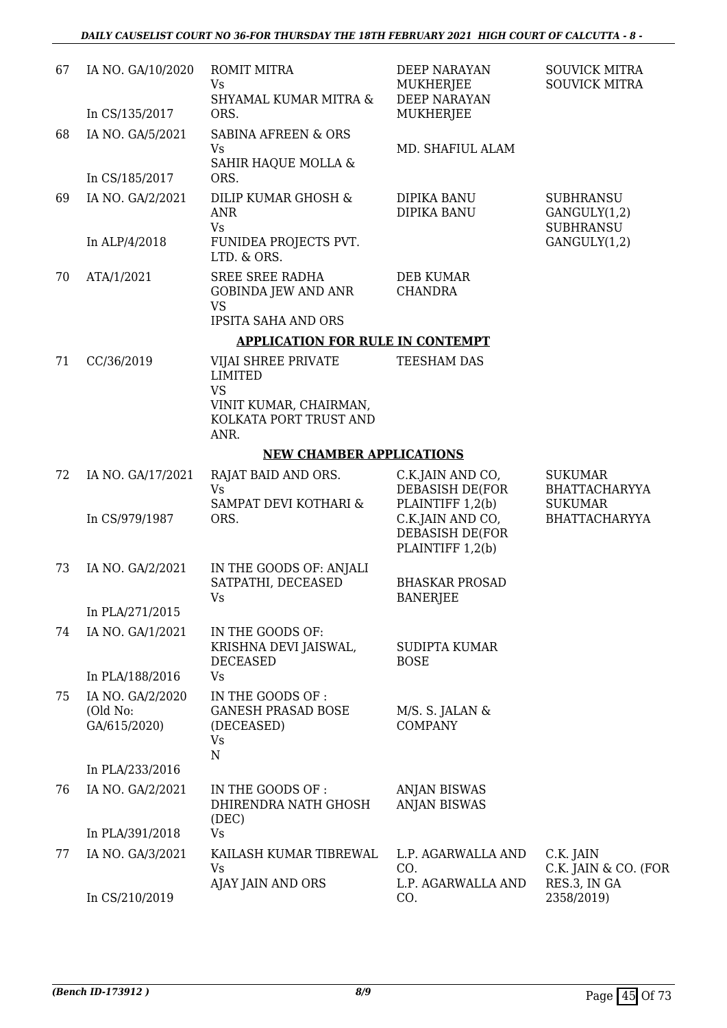| 67 | IA NO. GA/10/2020                            | <b>ROMIT MITRA</b><br>Vs<br>SHYAMAL KUMAR MITRA &                                               | DEEP NARAYAN<br>MUKHERJEE<br><b>DEEP NARAYAN</b>        | <b>SOUVICK MITRA</b><br><b>SOUVICK MITRA</b>             |
|----|----------------------------------------------|-------------------------------------------------------------------------------------------------|---------------------------------------------------------|----------------------------------------------------------|
|    | In CS/135/2017                               | ORS.                                                                                            | MUKHERJEE                                               |                                                          |
| 68 | IA NO. GA/5/2021                             | SABINA AFREEN & ORS<br><b>Vs</b>                                                                | MD. SHAFIUL ALAM                                        |                                                          |
|    | In CS/185/2017                               | SAHIR HAQUE MOLLA &<br>ORS.                                                                     |                                                         |                                                          |
| 69 | IA NO. GA/2/2021                             | DILIP KUMAR GHOSH &<br>ANR                                                                      | <b>DIPIKA BANU</b><br>DIPIKA BANU                       | <b>SUBHRANSU</b><br>GANGULY(1,2)                         |
|    | In ALP/4/2018                                | <b>Vs</b><br>FUNIDEA PROJECTS PVT.<br>LTD. & ORS.                                               |                                                         | <b>SUBHRANSU</b><br>GANGULY(1,2)                         |
| 70 | ATA/1/2021                                   | <b>SREE SREE RADHA</b><br><b>GOBINDA JEW AND ANR</b><br><b>VS</b><br><b>IPSITA SAHA AND ORS</b> | <b>DEB KUMAR</b><br><b>CHANDRA</b>                      |                                                          |
|    |                                              | <b>APPLICATION FOR RULE IN CONTEMPT</b>                                                         |                                                         |                                                          |
| 71 | CC/36/2019                                   | VIJAI SHREE PRIVATE<br><b>LIMITED</b><br><b>VS</b>                                              | TEESHAM DAS                                             |                                                          |
|    |                                              | VINIT KUMAR, CHAIRMAN,<br>KOLKATA PORT TRUST AND<br>ANR.                                        |                                                         |                                                          |
|    |                                              | <b>NEW CHAMBER APPLICATIONS</b>                                                                 |                                                         |                                                          |
| 72 | IA NO. GA/17/2021                            | RAJAT BAID AND ORS.<br><b>Vs</b><br>SAMPAT DEVI KOTHARI &                                       | C.K.JAIN AND CO,<br>DEBASISH DE(FOR<br>PLAINTIFF 1,2(b) | <b>SUKUMAR</b><br><b>BHATTACHARYYA</b><br><b>SUKUMAR</b> |
|    | In CS/979/1987                               | ORS.                                                                                            | C.K.JAIN AND CO,<br>DEBASISH DE(FOR<br>PLAINTIFF 1,2(b) | <b>BHATTACHARYYA</b>                                     |
| 73 | IA NO. GA/2/2021                             | IN THE GOODS OF: ANJALI<br>SATPATHI, DECEASED<br>Vs                                             | <b>BHASKAR PROSAD</b><br><b>BANERJEE</b>                |                                                          |
|    | In PLA/271/2015                              |                                                                                                 |                                                         |                                                          |
| 74 | IA NO. GA/1/2021                             | IN THE GOODS OF:<br>KRISHNA DEVI JAISWAL,<br><b>DECEASED</b>                                    | <b>SUDIPTA KUMAR</b><br><b>BOSE</b>                     |                                                          |
|    | In PLA/188/2016                              | Vs                                                                                              |                                                         |                                                          |
| 75 | IA NO. GA/2/2020<br>(Old No:<br>GA/615/2020) | IN THE GOODS OF:<br><b>GANESH PRASAD BOSE</b><br>(DECEASED)<br>Vs<br>$\mathbf N$                | M/S. S. JALAN &<br><b>COMPANY</b>                       |                                                          |
|    | In PLA/233/2016                              |                                                                                                 |                                                         |                                                          |
| 76 | IA NO. GA/2/2021                             | IN THE GOODS OF :<br>DHIRENDRA NATH GHOSH<br>(DEC)                                              | <b>ANJAN BISWAS</b><br><b>ANJAN BISWAS</b>              |                                                          |
|    | In PLA/391/2018                              | <b>Vs</b>                                                                                       |                                                         |                                                          |
| 77 | IA NO. GA/3/2021                             | KAILASH KUMAR TIBREWAL<br>Vs<br>AJAY JAIN AND ORS                                               | L.P. AGARWALLA AND<br>CO.<br>L.P. AGARWALLA AND         | C.K. JAIN<br>C.K. JAIN & CO. (FOR<br>RES.3, IN GA        |
|    | In CS/210/2019                               |                                                                                                 | CO.                                                     | 2358/2019)                                               |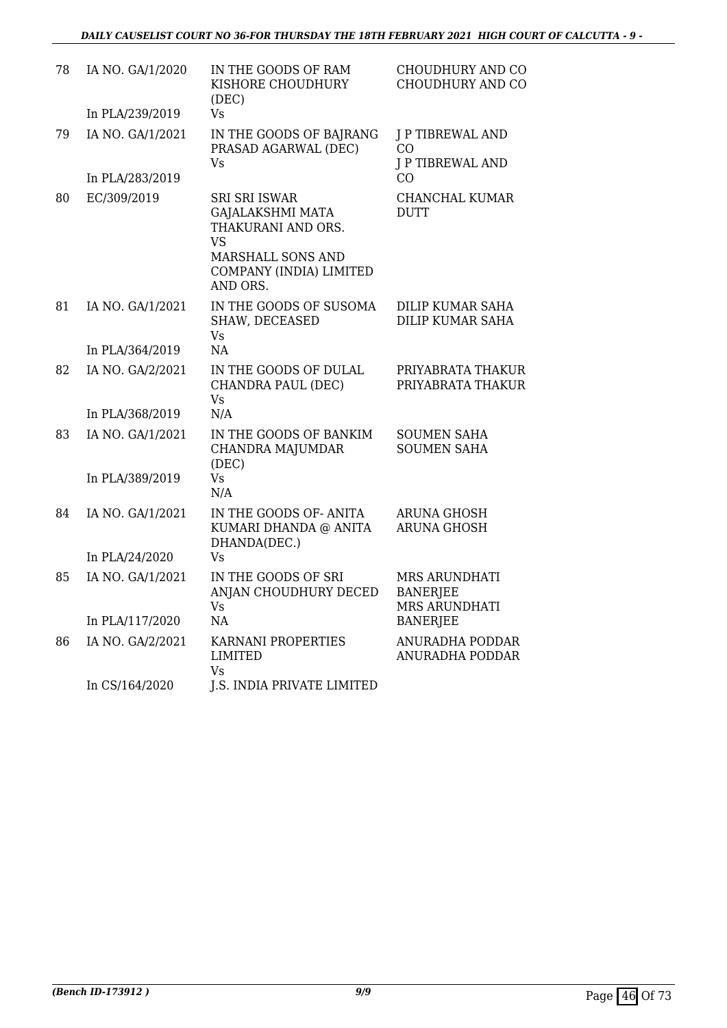| 78 | IA NO. GA/1/2020<br>In PLA/239/2019 | IN THE GOODS OF RAM<br>KISHORE CHOUDHURY<br>(DEC)<br>Vs                                                                                 | CHOUDHURY AND CO<br>CHOUDHURY AND CO                     |
|----|-------------------------------------|-----------------------------------------------------------------------------------------------------------------------------------------|----------------------------------------------------------|
| 79 | IA NO. GA/1/2021                    | IN THE GOODS OF BAJRANG<br>PRASAD AGARWAL (DEC)<br>Vs                                                                                   | J P TIBREWAL AND<br>CO<br><b>J P TIBREWAL AND</b>        |
|    | In PLA/283/2019                     |                                                                                                                                         | C <sub>O</sub>                                           |
| 80 | EC/309/2019                         | <b>SRI SRI ISWAR</b><br><b>GAJALAKSHMI MATA</b><br>THAKURANI AND ORS.<br>VS<br>MARSHALL SONS AND<br>COMPANY (INDIA) LIMITED<br>AND ORS. | <b>CHANCHAL KUMAR</b><br>DUTT                            |
| 81 | IA NO. GA/1/2021                    | IN THE GOODS OF SUSOMA<br>SHAW, DECEASED<br><b>Vs</b>                                                                                   | <b>DILIP KUMAR SAHA</b><br><b>DILIP KUMAR SAHA</b>       |
|    | In PLA/364/2019                     | <b>NA</b>                                                                                                                               |                                                          |
| 82 | IA NO. GA/2/2021                    | IN THE GOODS OF DULAL<br>CHANDRA PAUL (DEC)<br>Vs                                                                                       | PRIYABRATA THAKUR<br>PRIYABRATA THAKUR                   |
|    | In PLA/368/2019                     | N/A                                                                                                                                     |                                                          |
| 83 | IA NO. GA/1/2021                    | IN THE GOODS OF BANKIM<br><b>CHANDRA MAJUMDAR</b><br>(DEC)                                                                              | <b>SOUMEN SAHA</b><br><b>SOUMEN SAHA</b>                 |
|    | In PLA/389/2019                     | <b>Vs</b><br>N/A                                                                                                                        |                                                          |
| 84 | IA NO. GA/1/2021                    | IN THE GOODS OF-ANITA<br>KUMARI DHANDA @ ANITA<br>DHANDA(DEC.)                                                                          | <b>ARUNA GHOSH</b><br><b>ARUNA GHOSH</b>                 |
|    | In PLA/24/2020                      | Vs                                                                                                                                      |                                                          |
| 85 | IA NO. GA/1/2021                    | IN THE GOODS OF SRI<br>ANJAN CHOUDHURY DECED<br>Vs                                                                                      | <b>MRS ARUNDHATI</b><br><b>BANERJEE</b><br>MRS ARUNDHATI |
|    | In PLA/117/2020                     | NA                                                                                                                                      | <b>BANERJEE</b>                                          |
| 86 | IA NO. GA/2/2021                    | KARNANI PROPERTIES<br>LIMITED<br>Vs                                                                                                     | ANURADHA PODDAR<br>ANURADHA PODDAR                       |
|    | In CS/164/2020                      | J.S. INDIA PRIVATE LIMITED                                                                                                              |                                                          |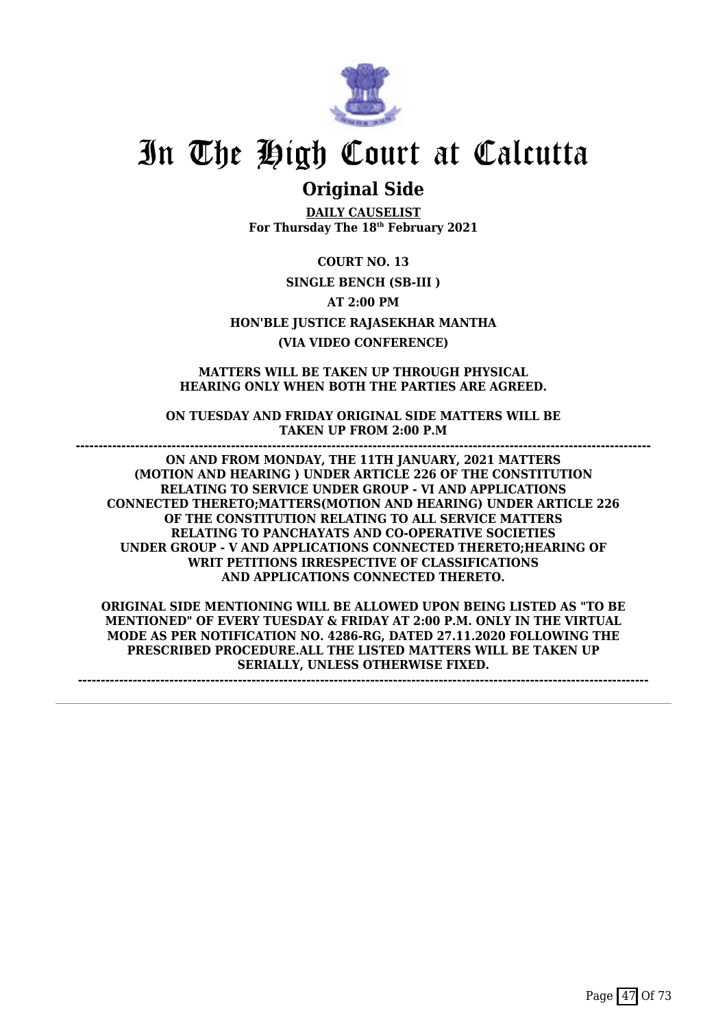

# **Original Side**

**DAILY CAUSELIST For Thursday The 18th February 2021**

**COURT NO. 13 SINGLE BENCH (SB-III ) AT 2:00 PM HON'BLE JUSTICE RAJASEKHAR MANTHA (VIA VIDEO CONFERENCE)**

**MATTERS WILL BE TAKEN UP THROUGH PHYSICAL HEARING ONLY WHEN BOTH THE PARTIES ARE AGREED.**

**ON TUESDAY AND FRIDAY ORIGINAL SIDE MATTERS WILL BE TAKEN UP FROM 2:00 P.M ------------------------------------------------------------------------------------------------------------------------------**

**ON AND FROM MONDAY, THE 11TH JANUARY, 2021 MATTERS (MOTION AND HEARING ) UNDER ARTICLE 226 OF THE CONSTITUTION RELATING TO SERVICE UNDER GROUP - VI AND APPLICATIONS CONNECTED THERETO;MATTERS(MOTION AND HEARING) UNDER ARTICLE 226 OF THE CONSTITUTION RELATING TO ALL SERVICE MATTERS RELATING TO PANCHAYATS AND CO-OPERATIVE SOCIETIES UNDER GROUP - V AND APPLICATIONS CONNECTED THERETO;HEARING OF WRIT PETITIONS IRRESPECTIVE OF CLASSIFICATIONS AND APPLICATIONS CONNECTED THERETO.**

**ORIGINAL SIDE MENTIONING WILL BE ALLOWED UPON BEING LISTED AS "TO BE MENTIONED" OF EVERY TUESDAY & FRIDAY AT 2:00 P.M. ONLY IN THE VIRTUAL MODE AS PER NOTIFICATION NO. 4286-RG, DATED 27.11.2020 FOLLOWING THE PRESCRIBED PROCEDURE.ALL THE LISTED MATTERS WILL BE TAKEN UP SERIALLY, UNLESS OTHERWISE FIXED.**

**-----------------------------------------------------------------------------------------------------------------------------**

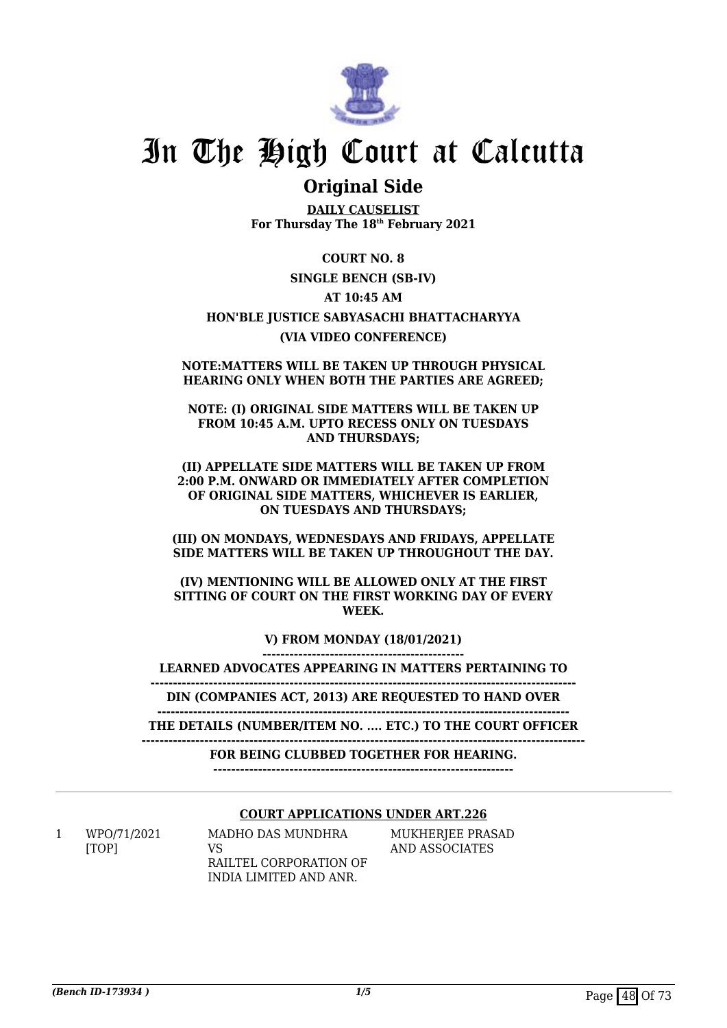

# **Original Side**

**DAILY CAUSELIST For Thursday The 18th February 2021**

### **COURT NO. 8**

### **SINGLE BENCH (SB-IV)**

### **AT 10:45 AM**

## **HON'BLE JUSTICE SABYASACHI BHATTACHARYYA (VIA VIDEO CONFERENCE)**

#### **NOTE:MATTERS WILL BE TAKEN UP THROUGH PHYSICAL HEARING ONLY WHEN BOTH THE PARTIES ARE AGREED;**

#### **NOTE: (I) ORIGINAL SIDE MATTERS WILL BE TAKEN UP FROM 10:45 A.M. UPTO RECESS ONLY ON TUESDAYS AND THURSDAYS;**

#### **(II) APPELLATE SIDE MATTERS WILL BE TAKEN UP FROM 2:00 P.M. ONWARD OR IMMEDIATELY AFTER COMPLETION OF ORIGINAL SIDE MATTERS, WHICHEVER IS EARLIER, ON TUESDAYS AND THURSDAYS;**

### **(III) ON MONDAYS, WEDNESDAYS AND FRIDAYS, APPELLATE SIDE MATTERS WILL BE TAKEN UP THROUGHOUT THE DAY.**

### **(IV) MENTIONING WILL BE ALLOWED ONLY AT THE FIRST SITTING OF COURT ON THE FIRST WORKING DAY OF EVERY WEEK.**

**V) FROM MONDAY (18/01/2021)**

**---------------------------------------------**

**LEARNED ADVOCATES APPEARING IN MATTERS PERTAINING TO -----------------------------------------------------------------------------------------------**

**DIN (COMPANIES ACT, 2013) ARE REQUESTED TO HAND OVER**

**-------------------------------------------------------------------------------------------- THE DETAILS (NUMBER/ITEM NO. .... ETC.) TO THE COURT OFFICER**

**---------------------------------------------------------------------------------------------------**

**FOR BEING CLUBBED TOGETHER FOR HEARING.**

**-------------------------------------------------------------------**

### **COURT APPLICATIONS UNDER ART.226**

1 WPO/71/2021 [TOP]

MADHO DAS MUNDHRA VS RAILTEL CORPORATION OF INDIA LIMITED AND ANR.

MUKHERJEE PRASAD AND ASSOCIATES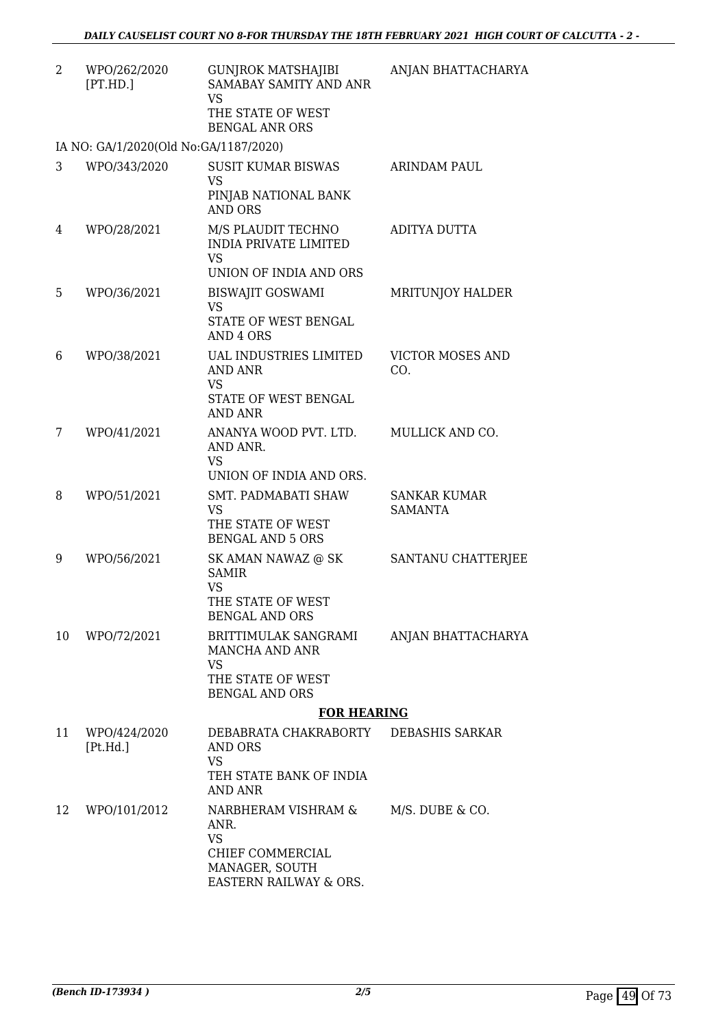| $\overline{2}$ | WPO/262/2020<br>[PT.HD.]              | <b>GUNJROK MATSHAJIBI</b><br>SAMABAY SAMITY AND ANR<br><b>VS</b><br>THE STATE OF WEST<br><b>BENGAL ANR ORS</b> | ANJAN BHATTACHARYA                    |
|----------------|---------------------------------------|----------------------------------------------------------------------------------------------------------------|---------------------------------------|
|                | IA NO: GA/1/2020(Old No:GA/1187/2020) |                                                                                                                |                                       |
| 3              | WPO/343/2020                          | <b>SUSIT KUMAR BISWAS</b><br><b>VS</b><br>PINJAB NATIONAL BANK<br><b>AND ORS</b>                               | <b>ARINDAM PAUL</b>                   |
| 4              | WPO/28/2021                           | M/S PLAUDIT TECHNO<br><b>INDIA PRIVATE LIMITED</b><br><b>VS</b><br>UNION OF INDIA AND ORS                      | ADITYA DUTTA                          |
| 5              | WPO/36/2021                           | <b>BISWAJIT GOSWAMI</b><br><b>VS</b><br>STATE OF WEST BENGAL<br>AND 4 ORS                                      | MRITUNJOY HALDER                      |
| 6              | WPO/38/2021                           | UAL INDUSTRIES LIMITED<br>AND ANR<br><b>VS</b><br>STATE OF WEST BENGAL<br><b>AND ANR</b>                       | <b>VICTOR MOSES AND</b><br>CO.        |
| 7              | WPO/41/2021                           | ANANYA WOOD PVT. LTD.<br>AND ANR.<br><b>VS</b><br>UNION OF INDIA AND ORS.                                      | MULLICK AND CO.                       |
| 8              | WPO/51/2021                           | SMT. PADMABATI SHAW<br><b>VS</b><br>THE STATE OF WEST<br><b>BENGAL AND 5 ORS</b>                               | <b>SANKAR KUMAR</b><br><b>SAMANTA</b> |
| 9              | WPO/56/2021                           | SK AMAN NAWAZ @ SK<br><b>SAMIR</b><br><b>VS</b><br>THE STATE OF WEST<br><b>BENGAL AND ORS</b>                  | SANTANU CHATTERJEE                    |
| 10             | WPO/72/2021                           | BRITTIMULAK SANGRAMI<br>MANCHA AND ANR<br>VS<br>THE STATE OF WEST<br><b>BENGAL AND ORS</b>                     | ANJAN BHATTACHARYA                    |
|                |                                       | <b>FOR HEARING</b>                                                                                             |                                       |
| 11             | WPO/424/2020<br>[Pt.Hd.]              | DEBABRATA CHAKRABORTY DEBASHIS SARKAR<br><b>AND ORS</b><br><b>VS</b><br>TEH STATE BANK OF INDIA<br>AND ANR     |                                       |
| 12             | WPO/101/2012                          | NARBHERAM VISHRAM &<br>ANR.<br><b>VS</b><br>CHIEF COMMERCIAL<br>MANAGER, SOUTH<br>EASTERN RAILWAY & ORS.       | M/S. DUBE & CO.                       |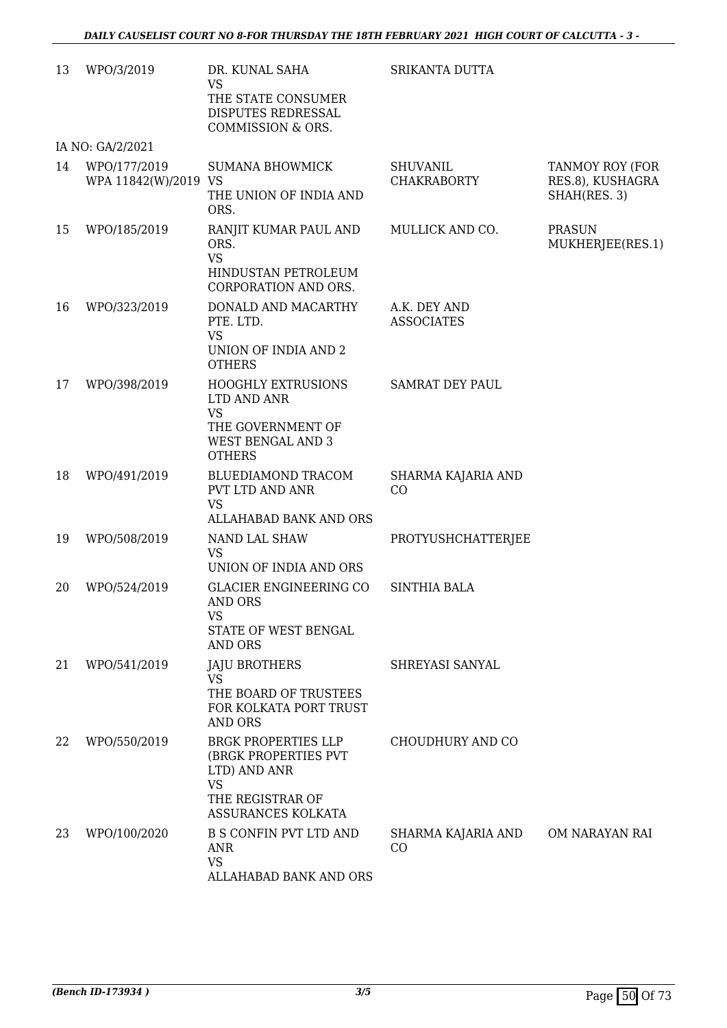| 13 | WPO/3/2019                           | DR. KUNAL SAHA<br>VS<br>THE STATE CONSUMER<br>DISPUTES REDRESSAL<br>COMMISSION & ORS.                                     | SRIKANTA DUTTA                        |                                                     |
|----|--------------------------------------|---------------------------------------------------------------------------------------------------------------------------|---------------------------------------|-----------------------------------------------------|
|    | IA NO: GA/2/2021                     |                                                                                                                           |                                       |                                                     |
| 14 | WPO/177/2019<br>WPA 11842(W)/2019 VS | <b>SUMANA BHOWMICK</b><br>THE UNION OF INDIA AND<br>ORS.                                                                  | <b>SHUVANIL</b><br><b>CHAKRABORTY</b> | TANMOY ROY (FOR<br>RES.8), KUSHAGRA<br>SHAH(RES. 3) |
| 15 | WPO/185/2019                         | RANJIT KUMAR PAUL AND<br>ORS.<br><b>VS</b><br>HINDUSTAN PETROLEUM<br>CORPORATION AND ORS.                                 | MULLICK AND CO.                       | <b>PRASUN</b><br>MUKHERJEE(RES.1)                   |
| 16 | WPO/323/2019                         | DONALD AND MACARTHY<br>PTE. LTD.<br><b>VS</b><br>UNION OF INDIA AND 2<br><b>OTHERS</b>                                    | A.K. DEY AND<br><b>ASSOCIATES</b>     |                                                     |
| 17 | WPO/398/2019                         | <b>HOOGHLY EXTRUSIONS</b><br>LTD AND ANR<br><b>VS</b><br>THE GOVERNMENT OF<br><b>WEST BENGAL AND 3</b><br><b>OTHERS</b>   | <b>SAMRAT DEY PAUL</b>                |                                                     |
| 18 | WPO/491/2019                         | BLUEDIAMOND TRACOM<br>PVT LTD AND ANR<br><b>VS</b><br>ALLAHABAD BANK AND ORS                                              | SHARMA KAJARIA AND<br>CO              |                                                     |
| 19 | WPO/508/2019                         | NAND LAL SHAW<br><b>VS</b><br>UNION OF INDIA AND ORS                                                                      | PROTYUSHCHATTERJEE                    |                                                     |
| 20 | WPO/524/2019                         | <b>GLACIER ENGINEERING CO</b><br>AND ORS<br><b>VS</b><br>STATE OF WEST BENGAL<br>AND ORS                                  | <b>SINTHIA BALA</b>                   |                                                     |
| 21 | WPO/541/2019                         | <b>JAJU BROTHERS</b><br>VS<br>THE BOARD OF TRUSTEES<br>FOR KOLKATA PORT TRUST<br>AND ORS                                  | SHREYASI SANYAL                       |                                                     |
| 22 | WPO/550/2019                         | <b>BRGK PROPERTIES LLP</b><br>(BRGK PROPERTIES PVT<br>LTD) AND ANR<br><b>VS</b><br>THE REGISTRAR OF<br>ASSURANCES KOLKATA | CHOUDHURY AND CO                      |                                                     |
| 23 | WPO/100/2020                         | <b>B S CONFIN PVT LTD AND</b><br><b>ANR</b><br><b>VS</b><br>ALLAHABAD BANK AND ORS                                        | SHARMA KAJARIA AND<br>CO              | OM NARAYAN RAI                                      |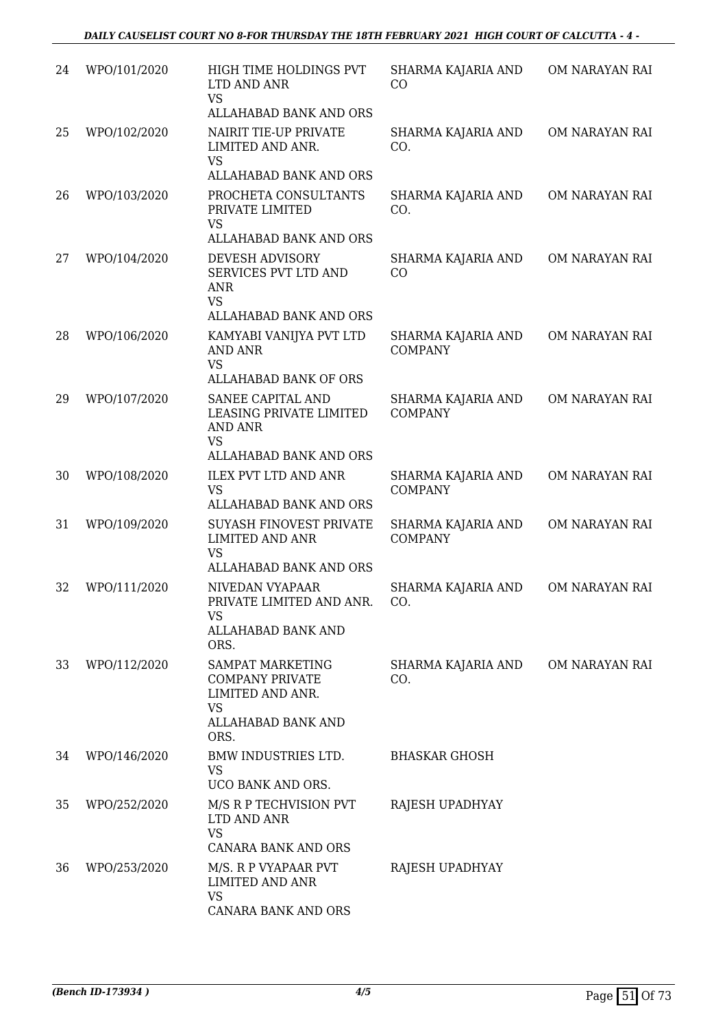| 24 | WPO/101/2020 | HIGH TIME HOLDINGS PVT<br>LTD AND ANR<br><b>VS</b><br>ALLAHABAD BANK AND ORS                              | SHARMA KAJARIA AND<br>CO             | OM NARAYAN RAI |
|----|--------------|-----------------------------------------------------------------------------------------------------------|--------------------------------------|----------------|
| 25 | WPO/102/2020 | NAIRIT TIE-UP PRIVATE<br>LIMITED AND ANR.<br><b>VS</b><br>ALLAHABAD BANK AND ORS                          | SHARMA KAJARIA AND<br>CO.            | OM NARAYAN RAI |
| 26 | WPO/103/2020 | PROCHETA CONSULTANTS<br>PRIVATE LIMITED<br><b>VS</b><br>ALLAHABAD BANK AND ORS                            | SHARMA KAJARIA AND<br>CO.            | OM NARAYAN RAI |
| 27 | WPO/104/2020 | DEVESH ADVISORY<br>SERVICES PVT LTD AND<br><b>ANR</b><br><b>VS</b>                                        | SHARMA KAJARIA AND<br>CO             | OM NARAYAN RAI |
| 28 | WPO/106/2020 | ALLAHABAD BANK AND ORS<br>KAMYABI VANIJYA PVT LTD<br><b>AND ANR</b><br><b>VS</b><br>ALLAHABAD BANK OF ORS | SHARMA KAJARIA AND<br><b>COMPANY</b> | OM NARAYAN RAI |
| 29 | WPO/107/2020 | SANEE CAPITAL AND<br>LEASING PRIVATE LIMITED<br><b>AND ANR</b><br><b>VS</b><br>ALLAHABAD BANK AND ORS     | SHARMA KAJARIA AND<br><b>COMPANY</b> | OM NARAYAN RAI |
| 30 | WPO/108/2020 | <b>ILEX PVT LTD AND ANR</b><br><b>VS</b><br>ALLAHABAD BANK AND ORS                                        | SHARMA KAJARIA AND<br><b>COMPANY</b> | OM NARAYAN RAI |
| 31 | WPO/109/2020 | <b>SUYASH FINOVEST PRIVATE</b><br><b>LIMITED AND ANR</b><br><b>VS</b><br>ALLAHABAD BANK AND ORS           | SHARMA KAJARIA AND<br><b>COMPANY</b> | OM NARAYAN RAI |
| 32 | WPO/111/2020 | NIVEDAN VYAPAAR<br>PRIVATE LIMITED AND ANR.<br><b>VS</b><br>ALLAHABAD BANK AND<br>ORS.                    | SHARMA KAJARIA AND<br>CO.            | OM NARAYAN RAI |
| 33 | WPO/112/2020 | SAMPAT MARKETING<br><b>COMPANY PRIVATE</b><br>LIMITED AND ANR.<br>VS<br>ALLAHABAD BANK AND<br>ORS.        | SHARMA KAJARIA AND<br>CO.            | OM NARAYAN RAI |
| 34 | WPO/146/2020 | BMW INDUSTRIES LTD.<br><b>VS</b><br>UCO BANK AND ORS.                                                     | <b>BHASKAR GHOSH</b>                 |                |
| 35 | WPO/252/2020 | M/S R P TECHVISION PVT<br>LTD AND ANR<br><b>VS</b><br>CANARA BANK AND ORS                                 | RAJESH UPADHYAY                      |                |
| 36 | WPO/253/2020 | M/S. R P VYAPAAR PVT<br><b>LIMITED AND ANR</b><br><b>VS</b><br>CANARA BANK AND ORS                        | RAJESH UPADHYAY                      |                |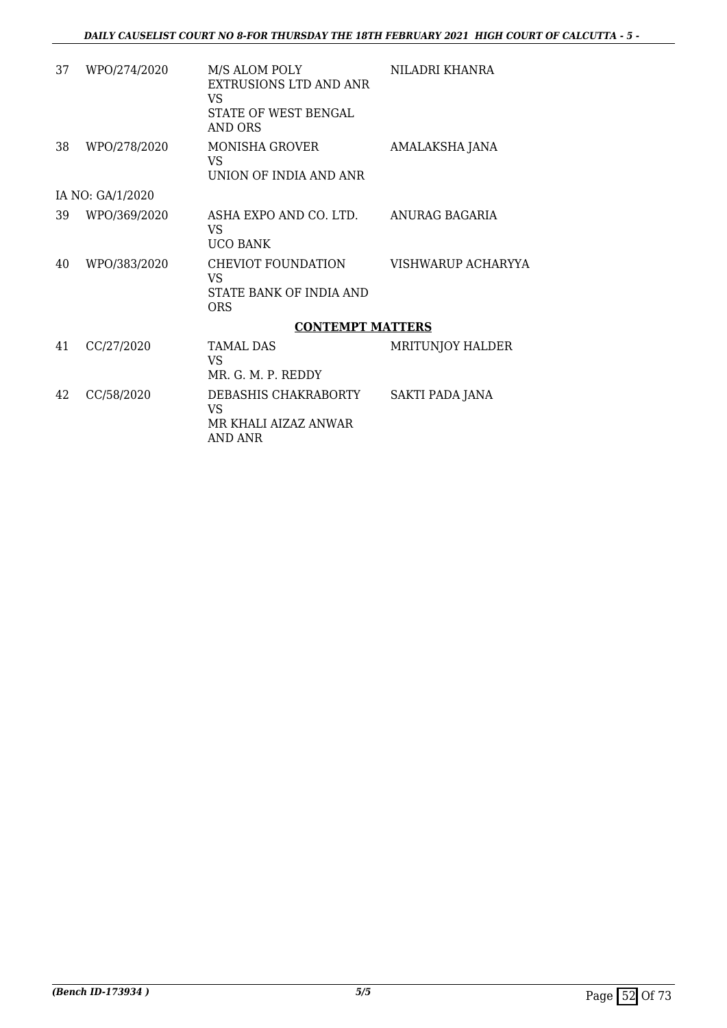| 37 | WPO/274/2020     | M/S ALOM POLY<br>EXTRUSIONS LTD AND ANR<br>VS<br>STATE OF WEST BENGAL<br>AND ORS | NILADRI KHANRA          |
|----|------------------|----------------------------------------------------------------------------------|-------------------------|
| 38 | WPO/278/2020     | MONISHA GROVER<br><b>VS</b><br>UNION OF INDIA AND ANR                            | AMALAKSHA JANA          |
|    | IA NO: GA/1/2020 |                                                                                  |                         |
| 39 | WPO/369/2020     | ASHA EXPO AND CO. LTD. ANURAG BAGARIA<br>VS.<br><b>UCO BANK</b>                  |                         |
| 40 | WPO/383/2020     | CHEVIOT FOUNDATION<br>VS<br>STATE BANK OF INDIA AND<br><b>ORS</b>                | VISHWARUP ACHARYYA      |
|    |                  | <b>CONTEMPT MATTERS</b>                                                          |                         |
| 41 | CC/27/2020       | TAMAI. DAS<br>VS<br>MR. G. M. P. REDDY                                           | <b>MRITUNJOY HALDER</b> |
| 42 | CC/58/2020       | DEBASHIS CHAKRABORTY<br>VS<br>MR KHALI AIZAZ ANWAR<br>AND ANR                    | SAKTI PADA JANA         |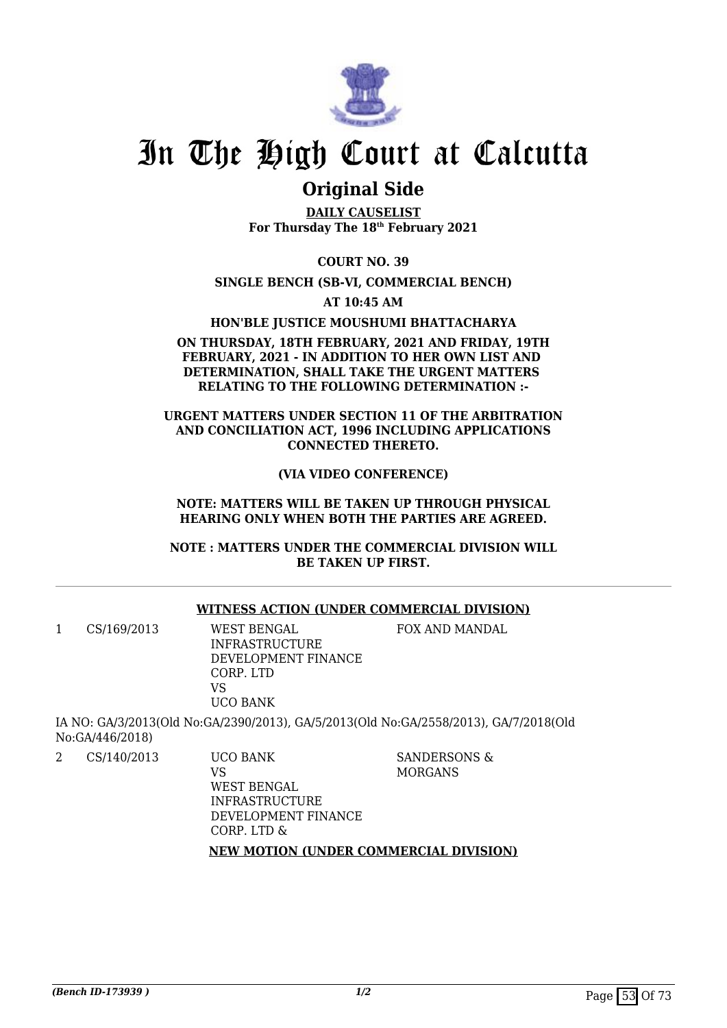

# **Original Side**

**DAILY CAUSELIST For Thursday The 18th February 2021**

**COURT NO. 39**

**SINGLE BENCH (SB-VI, COMMERCIAL BENCH)**

**AT 10:45 AM**

**HON'BLE JUSTICE MOUSHUMI BHATTACHARYA**

### **ON THURSDAY, 18TH FEBRUARY, 2021 AND FRIDAY, 19TH FEBRUARY, 2021 - IN ADDITION TO HER OWN LIST AND DETERMINATION, SHALL TAKE THE URGENT MATTERS RELATING TO THE FOLLOWING DETERMINATION :-**

### **URGENT MATTERS UNDER SECTION 11 OF THE ARBITRATION AND CONCILIATION ACT, 1996 INCLUDING APPLICATIONS CONNECTED THERETO.**

**(VIA VIDEO CONFERENCE)**

**NOTE: MATTERS WILL BE TAKEN UP THROUGH PHYSICAL HEARING ONLY WHEN BOTH THE PARTIES ARE AGREED.**

**NOTE : MATTERS UNDER THE COMMERCIAL DIVISION WILL BE TAKEN UP FIRST.**

## **WITNESS ACTION (UNDER COMMERCIAL DIVISION)**

1 CS/169/2013 WEST BENGAL INFRASTRUCTURE DEVELOPMENT FINANCE CORP. LTD VS

UCO BANK IA NO: GA/3/2013(Old No:GA/2390/2013), GA/5/2013(Old No:GA/2558/2013), GA/7/2018(Old

No:GA/446/2018)

2 CS/140/2013 UCO BANK

SANDERSONS & MORGANS

FOX AND MANDAL

VS WEST BENGAL INFRASTRUCTURE DEVELOPMENT FINANCE CORP. LTD &

### **NEW MOTION (UNDER COMMERCIAL DIVISION)**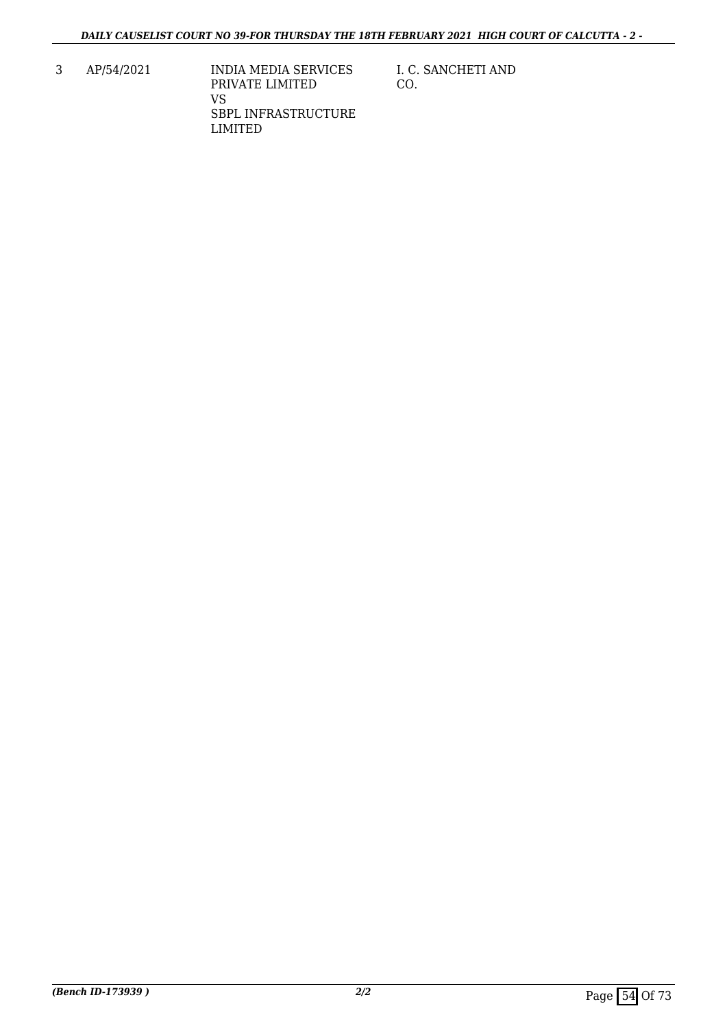- 3 AP/54/2021 INDIA MEDIA SERVICES PRIVATE LIMITED VS SBPL INFRASTRUCTURE LIMITED
- I. C. SANCHETI AND CO.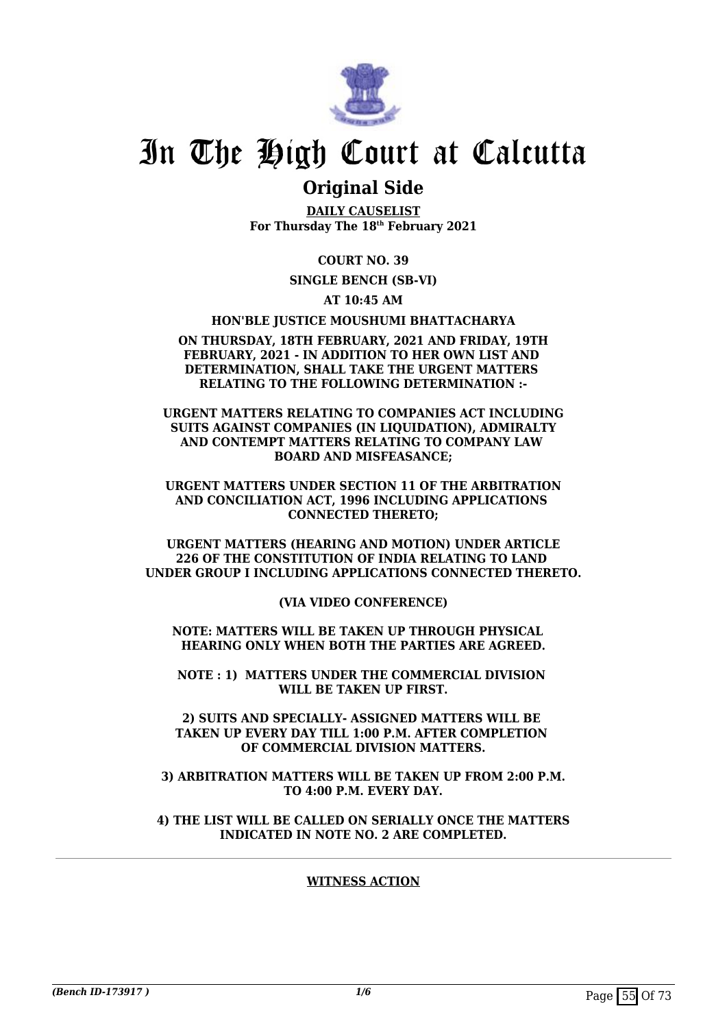

# **Original Side**

**DAILY CAUSELIST For Thursday The 18th February 2021**

**COURT NO. 39**

**SINGLE BENCH (SB-VI)**

**AT 10:45 AM**

**HON'BLE JUSTICE MOUSHUMI BHATTACHARYA**

#### **ON THURSDAY, 18TH FEBRUARY, 2021 AND FRIDAY, 19TH FEBRUARY, 2021 - IN ADDITION TO HER OWN LIST AND DETERMINATION, SHALL TAKE THE URGENT MATTERS RELATING TO THE FOLLOWING DETERMINATION :-**

**URGENT MATTERS RELATING TO COMPANIES ACT INCLUDING SUITS AGAINST COMPANIES (IN LIQUIDATION), ADMIRALTY AND CONTEMPT MATTERS RELATING TO COMPANY LAW BOARD AND MISFEASANCE;**

**URGENT MATTERS UNDER SECTION 11 OF THE ARBITRATION AND CONCILIATION ACT, 1996 INCLUDING APPLICATIONS CONNECTED THERETO;**

**URGENT MATTERS (HEARING AND MOTION) UNDER ARTICLE 226 OF THE CONSTITUTION OF INDIA RELATING TO LAND UNDER GROUP I INCLUDING APPLICATIONS CONNECTED THERETO.**

**(VIA VIDEO CONFERENCE)**

**NOTE: MATTERS WILL BE TAKEN UP THROUGH PHYSICAL HEARING ONLY WHEN BOTH THE PARTIES ARE AGREED.**

**NOTE : 1) MATTERS UNDER THE COMMERCIAL DIVISION WILL BE TAKEN UP FIRST.**

**2) SUITS AND SPECIALLY- ASSIGNED MATTERS WILL BE TAKEN UP EVERY DAY TILL 1:00 P.M. AFTER COMPLETION OF COMMERCIAL DIVISION MATTERS.**

**3) ARBITRATION MATTERS WILL BE TAKEN UP FROM 2:00 P.M. TO 4:00 P.M. EVERY DAY.**

**4) THE LIST WILL BE CALLED ON SERIALLY ONCE THE MATTERS INDICATED IN NOTE NO. 2 ARE COMPLETED.**

## **WITNESS ACTION**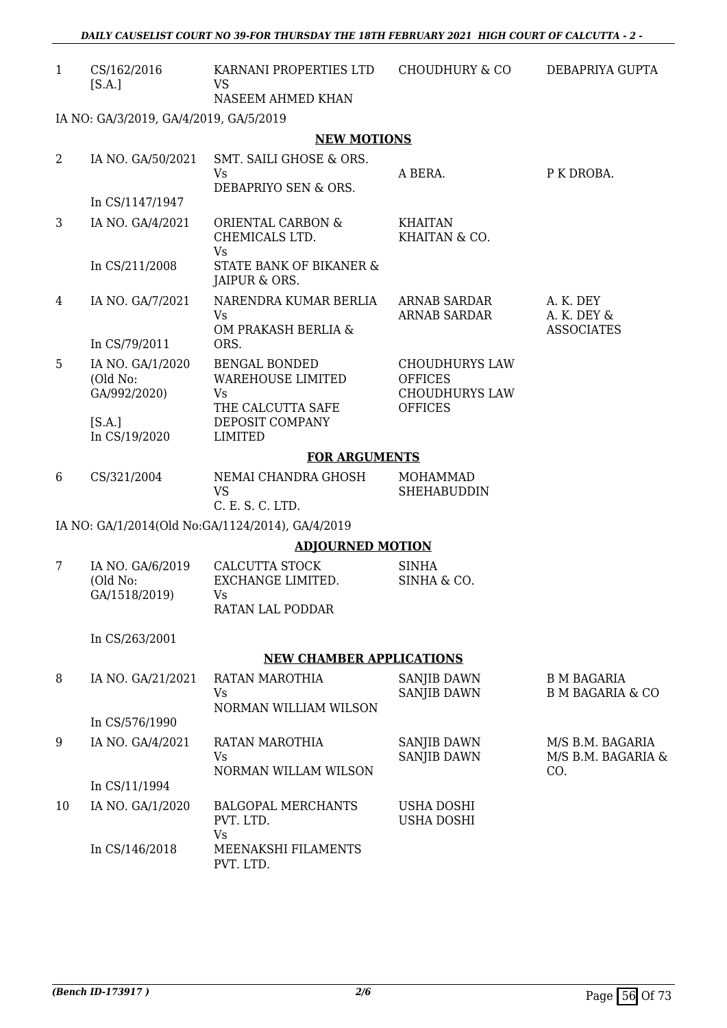*DAILY CAUSELIST COURT NO 39-FOR THURSDAY THE 18TH FEBRUARY 2021 HIGH COURT OF CALCUTTA - 2 -* 

| CS/162/2016 | KARNANI PROPERTIES LTD | CHOUDHURY & CO | DEBAPRIYA GUPTA |
|-------------|------------------------|----------------|-----------------|
| [S.A.]      |                        |                |                 |
|             | NASEEM AHMED KHAN      |                |                 |

IA NO: GA/3/2019, GA/4/2019, GA/5/2019

#### **NEW MOTIONS**

| 2               | IA NO. GA/50/2021                            | SMT. SAILI GHOSE & ORS.<br>Vs                                               | A BERA.                                                                            | P K DROBA.                                    |
|-----------------|----------------------------------------------|-----------------------------------------------------------------------------|------------------------------------------------------------------------------------|-----------------------------------------------|
|                 |                                              | DEBAPRIYO SEN & ORS.                                                        |                                                                                    |                                               |
|                 | In CS/1147/1947                              |                                                                             |                                                                                    |                                               |
| 3               | IA NO. GA/4/2021                             | ORIENTAL CARBON &<br>CHEMICALS LTD.<br><b>Vs</b>                            | <b>KHAITAN</b><br>KHAITAN & CO.                                                    |                                               |
|                 | In CS/211/2008                               | STATE BANK OF BIKANER &<br>JAIPUR & ORS.                                    |                                                                                    |                                               |
| 4               | IA NO. GA/7/2021                             | NARENDRA KUMAR BERLIA<br>Vs<br>OM PRAKASH BERLIA &                          | ARNAB SARDAR<br><b>ARNAB SARDAR</b>                                                | A. K. DEY<br>A. K. DEY &<br><b>ASSOCIATES</b> |
|                 | In CS/79/2011                                | ORS.                                                                        |                                                                                    |                                               |
| 5               | IA NO. GA/1/2020<br>(Old No:<br>GA/992/2020) | <b>BENGAL BONDED</b><br><b>WAREHOUSE LIMITED</b><br>Vs<br>THE CALCUTTA SAFE | <b>CHOUDHURYS LAW</b><br><b>OFFICES</b><br><b>CHOUDHURYS LAW</b><br><b>OFFICES</b> |                                               |
|                 | [S.A.]<br>In CS/19/2020                      | DEPOSIT COMPANY<br><b>LIMITED</b>                                           |                                                                                    |                                               |
|                 |                                              | <b>FOR ARGUMENTS</b>                                                        |                                                                                    |                                               |
| 6               | CS/321/2004                                  | NEMAI CHANDRA GHOSH<br>VS<br>C. E. S. C. LTD.                               | <b>MOHAMMAD</b><br><b>SHEHABUDDIN</b>                                              |                                               |
|                 |                                              | IA NO: GA/1/2014(Old No:GA/1124/2014), GA/4/2019                            |                                                                                    |                                               |
|                 |                                              | <b>ADJOURNED MOTION</b>                                                     |                                                                                    |                                               |
| $7\phantom{.0}$ | IA NO. GA/6/2019                             | CALCUTTA STOCK                                                              | <b>SINHA</b>                                                                       |                                               |
|                 | (Old No:                                     | EXCHANGE LIMITED.                                                           | SINHA & CO.                                                                        |                                               |
|                 | GA/1518/2019)                                | <b>Vs</b><br>RATAN LAL PODDAR                                               |                                                                                    |                                               |
|                 | In CS/263/2001                               |                                                                             |                                                                                    |                                               |
|                 |                                              | <b>NEW CHAMBER APPLICATIONS</b>                                             |                                                                                    |                                               |
| 8               | IA NO. GA/21/2021                            | RATAN MAROTHIA                                                              | SANJIB DAWN                                                                        | <b>B M BAGARIA</b>                            |
|                 |                                              | Vs —                                                                        | SANJIB DAWN                                                                        | B M BAGARIA & CO                              |
|                 |                                              | NORMAN WILLIAM WILSON                                                       |                                                                                    |                                               |
|                 | In CS/576/1990                               |                                                                             |                                                                                    |                                               |
| 9               | IA NO. GA/4/2021                             | RATAN MAROTHIA<br>Vs<br>NORMAN WILLAM WILSON                                | <b>SANJIB DAWN</b><br><b>SANJIB DAWN</b>                                           | M/S B.M. BAGARIA<br>M/S B.M. BAGARIA &<br>CO. |
|                 | In CS/11/1994                                |                                                                             |                                                                                    |                                               |
| 10              | IA NO. GA/1/2020                             | <b>BALGOPAL MERCHANTS</b><br>PVT. LTD.<br>Vs                                | <b>USHA DOSHI</b><br><b>USHA DOSHI</b>                                             |                                               |
|                 | In CS/146/2018                               | MEENAKSHI FILAMENTS                                                         |                                                                                    |                                               |

PVT. LTD.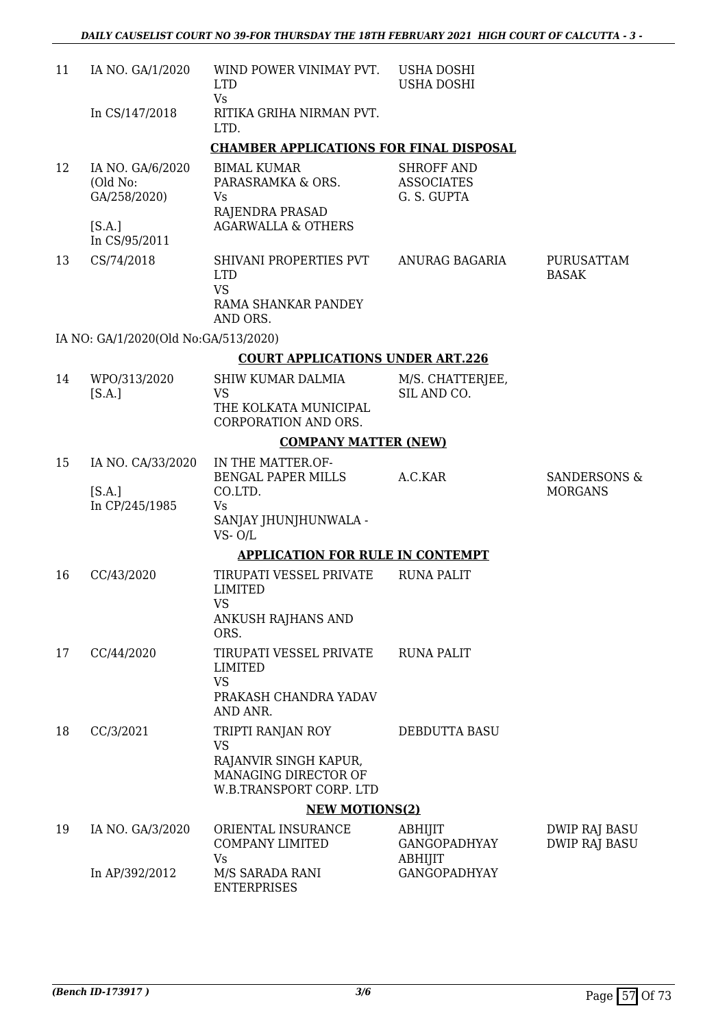| 11 | IA NO. GA/1/2020                                       | WIND POWER VINIMAY PVT.<br><b>LTD</b><br><b>Vs</b>                                                         | <b>USHA DOSHI</b><br><b>USHA DOSHI</b>                |                                |
|----|--------------------------------------------------------|------------------------------------------------------------------------------------------------------------|-------------------------------------------------------|--------------------------------|
|    | In CS/147/2018                                         | RITIKA GRIHA NIRMAN PVT.<br>LTD.                                                                           |                                                       |                                |
|    |                                                        | <b>CHAMBER APPLICATIONS FOR FINAL DISPOSAL</b>                                                             |                                                       |                                |
| 12 | IA NO. GA/6/2020<br>(Old No:<br>GA/258/2020)<br>[S.A.] | <b>BIMAL KUMAR</b><br>PARASRAMKA & ORS.<br>Vs<br>RAJENDRA PRASAD<br><b>AGARWALLA &amp; OTHERS</b>          | <b>SHROFF AND</b><br><b>ASSOCIATES</b><br>G. S. GUPTA |                                |
|    | In CS/95/2011                                          |                                                                                                            |                                                       |                                |
| 13 | CS/74/2018                                             | SHIVANI PROPERTIES PVT<br><b>LTD</b><br><b>VS</b><br>RAMA SHANKAR PANDEY<br>AND ORS.                       | ANURAG BAGARIA                                        | PURUSATTAM<br><b>BASAK</b>     |
|    | IA NO: GA/1/2020(Old No:GA/513/2020)                   |                                                                                                            |                                                       |                                |
|    |                                                        | <b>COURT APPLICATIONS UNDER ART.226</b>                                                                    |                                                       |                                |
| 14 | WPO/313/2020<br>[S.A.]                                 | <b>SHIW KUMAR DALMIA</b><br>VS<br>THE KOLKATA MUNICIPAL<br>CORPORATION AND ORS.                            | M/S. CHATTERJEE,<br>SIL AND CO.                       |                                |
|    |                                                        | <b>COMPANY MATTER (NEW)</b>                                                                                |                                                       |                                |
| 15 | IA NO. CA/33/2020<br>[S.A.]                            | IN THE MATTER.OF-<br><b>BENGAL PAPER MILLS</b><br>CO.LTD.                                                  | A.C.KAR                                               | SANDERSONS &<br><b>MORGANS</b> |
|    | In CP/245/1985                                         | Vs.<br>SANJAY JHUNJHUNWALA -<br>$VS - O/L$                                                                 |                                                       |                                |
|    |                                                        | <b>APPLICATION FOR RULE IN CONTEMPT</b>                                                                    |                                                       |                                |
| 16 | CC/43/2020                                             | TIRUPATI VESSEL PRIVATE<br><b>LIMITED</b><br><b>VS</b><br><b>ANKUSH RAJHANS AND</b><br>ORS.                | <b>RUNA PALIT</b>                                     |                                |
| 17 | CC/44/2020                                             | TIRUPATI VESSEL PRIVATE<br><b>LIMITED</b><br><b>VS</b><br>PRAKASH CHANDRA YADAV                            | <b>RUNA PALIT</b>                                     |                                |
|    |                                                        | AND ANR.                                                                                                   |                                                       |                                |
| 18 | CC/3/2021                                              | TRIPTI RANJAN ROY<br><b>VS</b><br>RAJANVIR SINGH KAPUR,<br>MANAGING DIRECTOR OF<br>W.B.TRANSPORT CORP. LTD | DEBDUTTA BASU                                         |                                |
|    |                                                        | <b>NEW MOTIONS(2)</b>                                                                                      |                                                       |                                |
| 19 | IA NO. GA/3/2020                                       | ORIENTAL INSURANCE<br><b>COMPANY LIMITED</b><br>Vs                                                         | ABHIJIT<br><b>GANGOPADHYAY</b><br>ABHIJIT             | DWIP RAJ BASU<br>DWIP RAJ BASU |
|    | In AP/392/2012                                         | M/S SARADA RANI<br><b>ENTERPRISES</b>                                                                      | <b>GANGOPADHYAY</b>                                   |                                |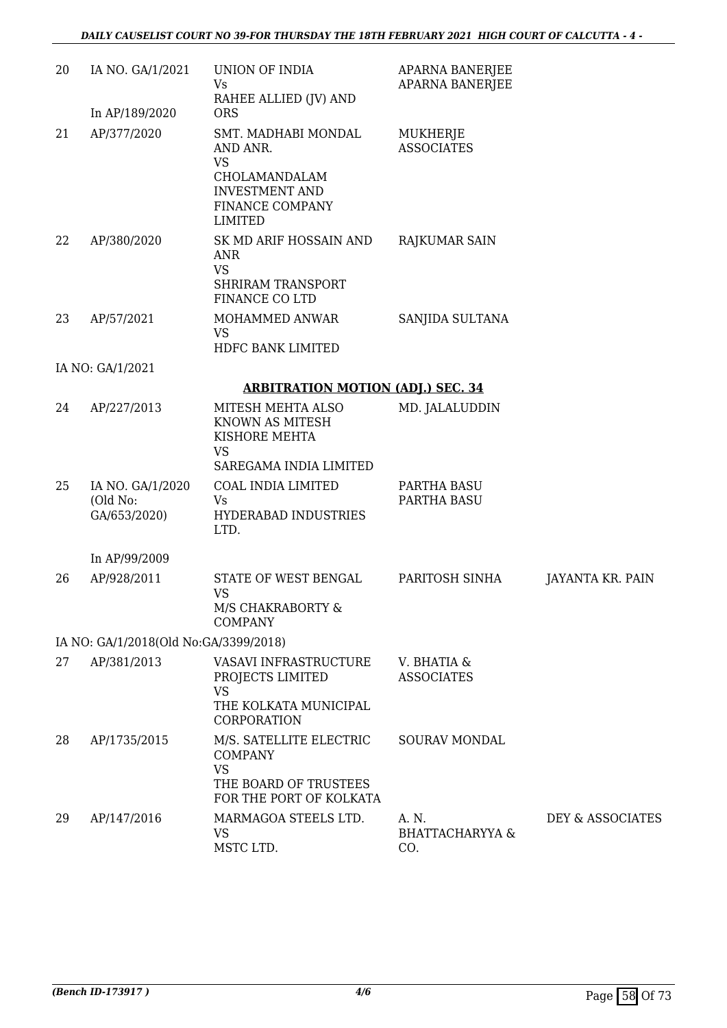| 20 | IA NO. GA/1/2021                             | UNION OF INDIA<br>Vs<br>RAHEE ALLIED (JV) AND                                                                               | APARNA BANERJEE<br><b>APARNA BANERJEE</b>  |                  |
|----|----------------------------------------------|-----------------------------------------------------------------------------------------------------------------------------|--------------------------------------------|------------------|
|    | In AP/189/2020                               | <b>ORS</b>                                                                                                                  |                                            |                  |
| 21 | AP/377/2020                                  | SMT. MADHABI MONDAL<br>AND ANR.<br><b>VS</b><br>CHOLAMANDALAM<br><b>INVESTMENT AND</b><br>FINANCE COMPANY<br><b>LIMITED</b> | MUKHERJE<br><b>ASSOCIATES</b>              |                  |
| 22 | AP/380/2020                                  | SK MD ARIF HOSSAIN AND<br><b>ANR</b><br><b>VS</b><br><b>SHRIRAM TRANSPORT</b><br>FINANCE CO LTD                             | <b>RAJKUMAR SAIN</b>                       |                  |
| 23 | AP/57/2021                                   | MOHAMMED ANWAR<br><b>VS</b><br>HDFC BANK LIMITED                                                                            | SANJIDA SULTANA                            |                  |
|    | IA NO: GA/1/2021                             |                                                                                                                             |                                            |                  |
|    |                                              | <b>ARBITRATION MOTION (ADJ.) SEC. 34</b>                                                                                    |                                            |                  |
| 24 | AP/227/2013                                  | MITESH MEHTA ALSO<br>KNOWN AS MITESH<br>KISHORE MEHTA<br><b>VS</b><br>SAREGAMA INDIA LIMITED                                | MD. JALALUDDIN                             |                  |
| 25 | IA NO. GA/1/2020<br>(Old No:<br>GA/653/2020) | COAL INDIA LIMITED<br>Vs<br>HYDERABAD INDUSTRIES<br>LTD.                                                                    | PARTHA BASU<br>PARTHA BASU                 |                  |
|    | In AP/99/2009                                |                                                                                                                             |                                            |                  |
| 26 | AP/928/2011                                  | STATE OF WEST BENGAL<br><b>VS</b><br>M/S CHAKRABORTY &<br><b>COMPANY</b>                                                    | PARITOSH SINHA                             | JAYANTA KR. PAIN |
|    | IA NO: GA/1/2018(Old No:GA/3399/2018)        |                                                                                                                             |                                            |                  |
| 27 | AP/381/2013                                  | VASAVI INFRASTRUCTURE<br>PROJECTS LIMITED<br><b>VS</b><br>THE KOLKATA MUNICIPAL<br>CORPORATION                              | V. BHATIA &<br><b>ASSOCIATES</b>           |                  |
| 28 | AP/1735/2015                                 | M/S. SATELLITE ELECTRIC<br><b>COMPANY</b><br><b>VS</b><br>THE BOARD OF TRUSTEES<br>FOR THE PORT OF KOLKATA                  | <b>SOURAV MONDAL</b>                       |                  |
| 29 | AP/147/2016                                  | MARMAGOA STEELS LTD.<br><b>VS</b><br>MSTC LTD.                                                                              | A. N.<br><b>BHATTACHARYYA &amp;</b><br>CO. | DEY & ASSOCIATES |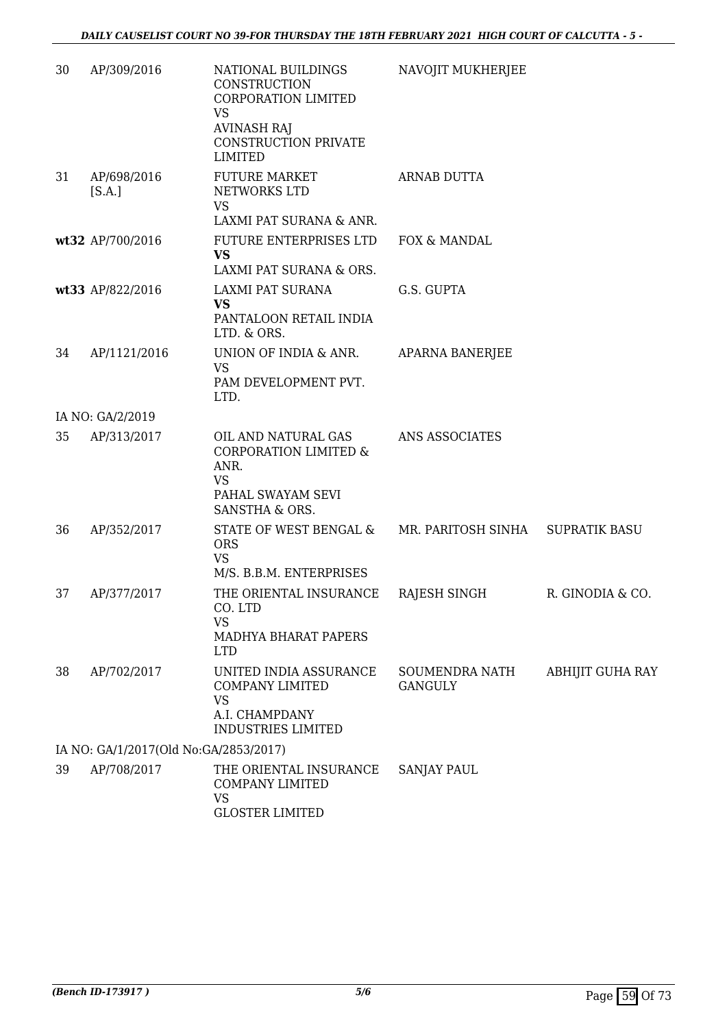| 30 | AP/309/2016                           | NATIONAL BUILDINGS<br>CONSTRUCTION<br>CORPORATION LIMITED<br><b>VS</b><br><b>AVINASH RAJ</b><br><b>CONSTRUCTION PRIVATE</b><br><b>LIMITED</b> | NAVOJIT MUKHERJEE                |                      |
|----|---------------------------------------|-----------------------------------------------------------------------------------------------------------------------------------------------|----------------------------------|----------------------|
| 31 | AP/698/2016<br>[S.A.]                 | <b>FUTURE MARKET</b><br>NETWORKS LTD<br><b>VS</b><br>LAXMI PAT SURANA & ANR.                                                                  | <b>ARNAB DUTTA</b>               |                      |
|    | wt32 AP/700/2016                      | FUTURE ENTERPRISES LTD<br><b>VS</b><br>LAXMI PAT SURANA & ORS.                                                                                | FOX & MANDAL                     |                      |
|    | wt33 AP/822/2016                      | LAXMI PAT SURANA<br><b>VS</b><br>PANTALOON RETAIL INDIA<br>LTD. & ORS.                                                                        | G.S. GUPTA                       |                      |
| 34 | AP/1121/2016                          | UNION OF INDIA & ANR.<br><b>VS</b><br>PAM DEVELOPMENT PVT.<br>LTD.                                                                            | <b>APARNA BANERJEE</b>           |                      |
|    | IA NO: GA/2/2019                      |                                                                                                                                               |                                  |                      |
| 35 | AP/313/2017                           | OIL AND NATURAL GAS<br><b>CORPORATION LIMITED &amp;</b><br>ANR.<br><b>VS</b><br>PAHAL SWAYAM SEVI<br>SANSTHA & ORS.                           | ANS ASSOCIATES                   |                      |
| 36 | AP/352/2017                           | STATE OF WEST BENGAL &<br><b>ORS</b><br><b>VS</b><br>M/S. B.B.M. ENTERPRISES                                                                  | MR. PARITOSH SINHA               | <b>SUPRATIK BASU</b> |
| 37 | AP/377/2017                           | THE ORIENTAL INSURANCE<br>CO. LTD<br><b>VS</b><br>MADHYA BHARAT PAPERS<br><b>LTD</b>                                                          | RAJESH SINGH                     | R. GINODIA & CO.     |
| 38 | AP/702/2017                           | UNITED INDIA ASSURANCE<br><b>COMPANY LIMITED</b><br><b>VS</b><br>A.I. CHAMPDANY<br><b>INDUSTRIES LIMITED</b>                                  | SOUMENDRA NATH<br><b>GANGULY</b> | ABHIJIT GUHA RAY     |
|    | IA NO: GA/1/2017(Old No:GA/2853/2017) |                                                                                                                                               |                                  |                      |
| 39 | AP/708/2017                           | THE ORIENTAL INSURANCE<br><b>COMPANY LIMITED</b><br><b>VS</b><br><b>GLOSTER LIMITED</b>                                                       | <b>SANJAY PAUL</b>               |                      |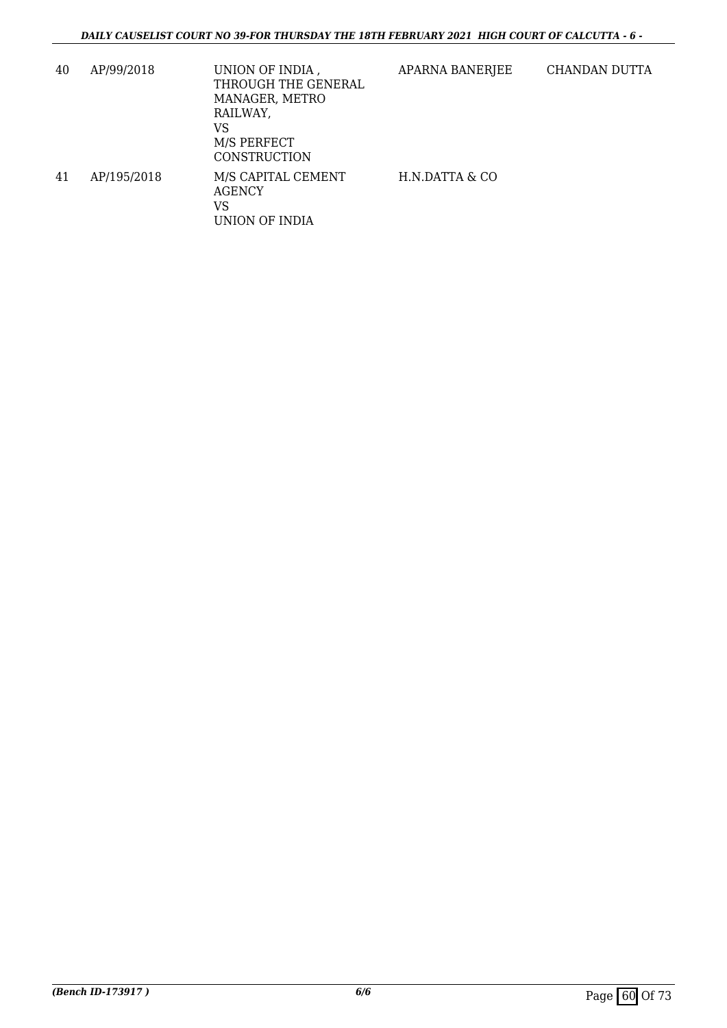| 40 | AP/99/2018  | UNION OF INDIA,<br>THROUGH THE GENERAL<br>MANAGER, METRO<br>RAILWAY,<br>VS<br>M/S PERFECT<br>CONSTRUCTION | APARNA BANERJEE | CHANDAN DUTTA |
|----|-------------|-----------------------------------------------------------------------------------------------------------|-----------------|---------------|
| 41 | AP/195/2018 | M/S CAPITAL CEMENT<br><b>AGENCY</b><br>VS<br>UNION OF INDIA                                               | H.N.DATTA & CO  |               |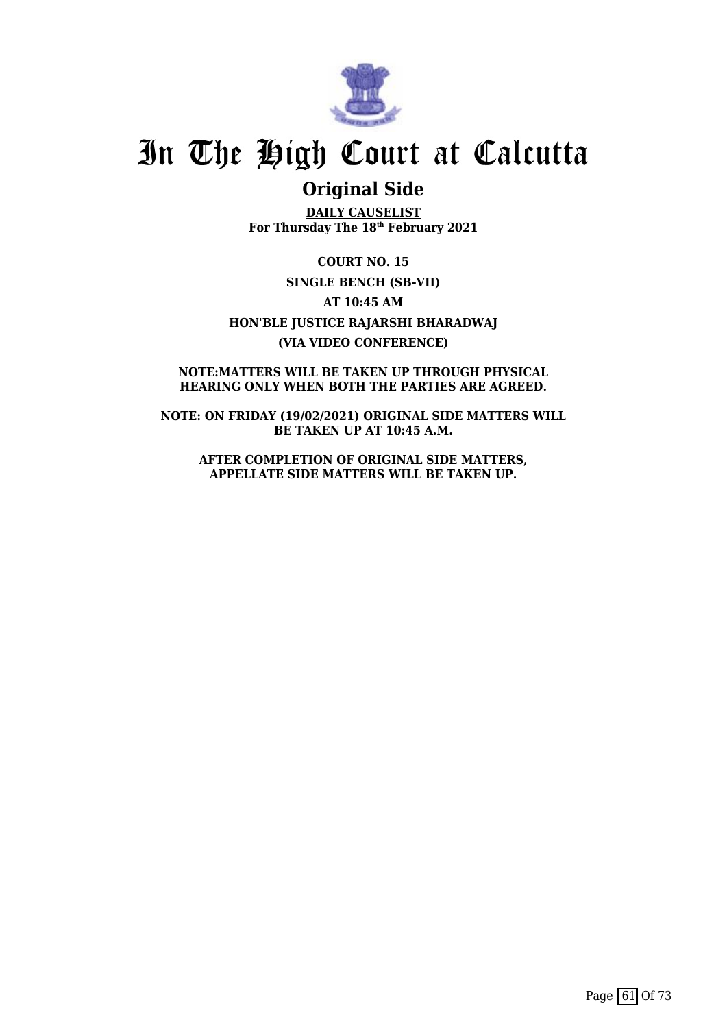

# **Original Side**

**DAILY CAUSELIST For Thursday The 18th February 2021**

**COURT NO. 15 SINGLE BENCH (SB-VII) AT 10:45 AM HON'BLE JUSTICE RAJARSHI BHARADWAJ (VIA VIDEO CONFERENCE)**

**NOTE:MATTERS WILL BE TAKEN UP THROUGH PHYSICAL HEARING ONLY WHEN BOTH THE PARTIES ARE AGREED.**

**NOTE: ON FRIDAY (19/02/2021) ORIGINAL SIDE MATTERS WILL BE TAKEN UP AT 10:45 A.M.**

**AFTER COMPLETION OF ORIGINAL SIDE MATTERS, APPELLATE SIDE MATTERS WILL BE TAKEN UP.**

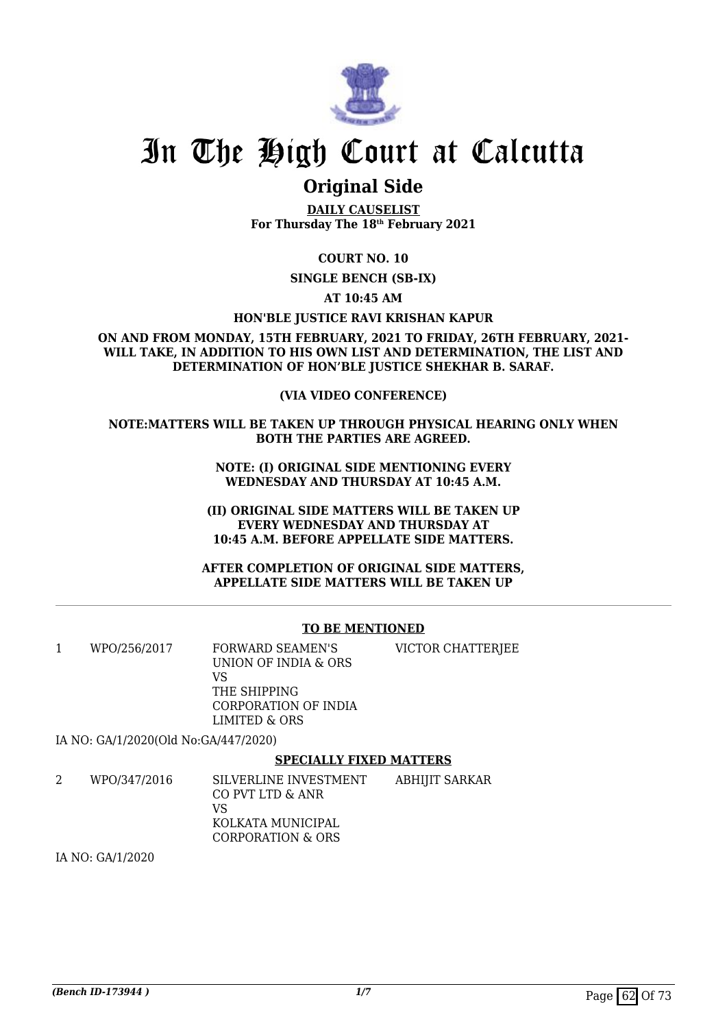

# **Original Side**

**DAILY CAUSELIST For Thursday The 18th February 2021**

## **COURT NO. 10**

**SINGLE BENCH (SB-IX)**

**AT 10:45 AM**

### **HON'BLE JUSTICE RAVI KRISHAN KAPUR**

**ON AND FROM MONDAY, 15TH FEBRUARY, 2021 TO FRIDAY, 26TH FEBRUARY, 2021- WILL TAKE, IN ADDITION TO HIS OWN LIST AND DETERMINATION, THE LIST AND DETERMINATION OF HON'BLE JUSTICE SHEKHAR B. SARAF.**

## **(VIA VIDEO CONFERENCE)**

### **NOTE:MATTERS WILL BE TAKEN UP THROUGH PHYSICAL HEARING ONLY WHEN BOTH THE PARTIES ARE AGREED.**

**NOTE: (I) ORIGINAL SIDE MENTIONING EVERY WEDNESDAY AND THURSDAY AT 10:45 A.M.**

**(II) ORIGINAL SIDE MATTERS WILL BE TAKEN UP EVERY WEDNESDAY AND THURSDAY AT 10:45 A.M. BEFORE APPELLATE SIDE MATTERS.**

**AFTER COMPLETION OF ORIGINAL SIDE MATTERS, APPELLATE SIDE MATTERS WILL BE TAKEN UP**

### **TO BE MENTIONED**

| WPO/256/2017 | FORWARD SEAMEN'S<br>UNION OF INDIA & ORS<br>VS        | VICTOR CHATTERJEE |
|--------------|-------------------------------------------------------|-------------------|
|              | THE SHIPPING<br>CORPORATION OF INDIA<br>LIMITED & ORS |                   |

IA NO: GA/1/2020(Old No:GA/447/2020)

### **SPECIALLY FIXED MATTERS**

| WPO/347/2016 | SILVERLINE INVESTMENT | ABHIJIT SARKAR |
|--------------|-----------------------|----------------|
|              | CO PVT LTD & ANR      |                |
|              | VS                    |                |
|              | KOLKATA MUNICIPAL     |                |
|              | CORPORATION & ORS     |                |

IA NO: GA/1/2020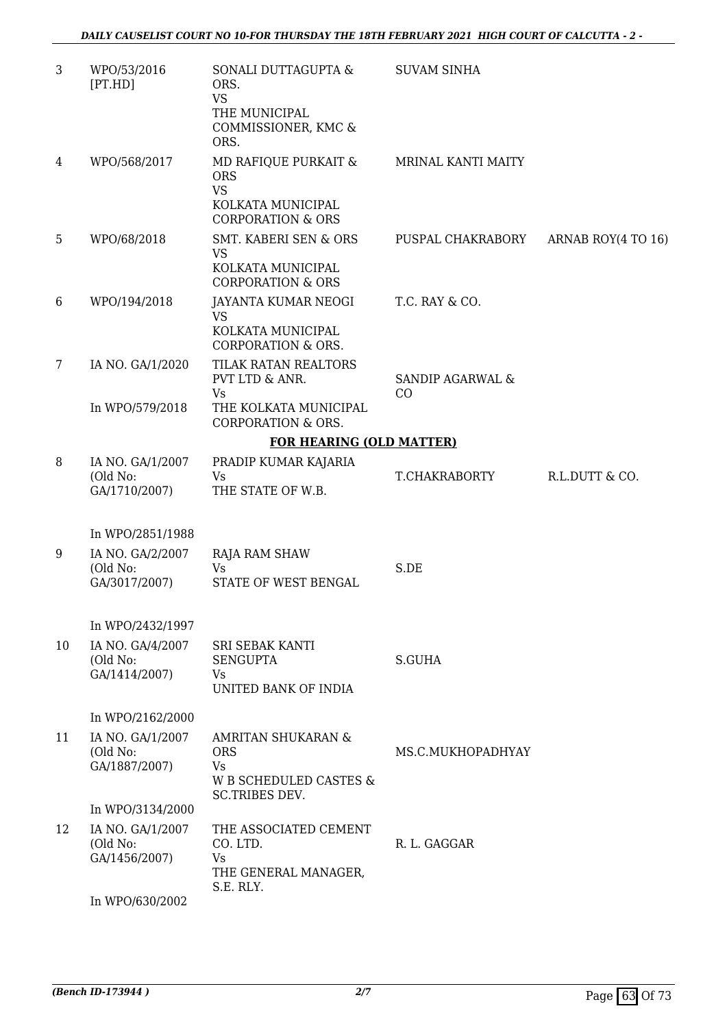| 3              | WPO/53/2016<br>[PT.HD]                                            | SONALI DUTTAGUPTA &<br>ORS.<br><b>VS</b><br>THE MUNICIPAL<br>COMMISSIONER, KMC &<br>ORS.             | <b>SUVAM SINHA</b>                |                    |
|----------------|-------------------------------------------------------------------|------------------------------------------------------------------------------------------------------|-----------------------------------|--------------------|
| 4              | WPO/568/2017                                                      | MD RAFIQUE PURKAIT &<br><b>ORS</b><br><b>VS</b><br>KOLKATA MUNICIPAL<br><b>CORPORATION &amp; ORS</b> | MRINAL KANTI MAITY                |                    |
| $5\phantom{.}$ | WPO/68/2018                                                       | <b>SMT. KABERI SEN &amp; ORS</b><br><b>VS</b><br>KOLKATA MUNICIPAL<br><b>CORPORATION &amp; ORS</b>   | PUSPAL CHAKRABORY                 | ARNAB ROY(4 TO 16) |
| 6              | WPO/194/2018                                                      | JAYANTA KUMAR NEOGI<br><b>VS</b><br>KOLKATA MUNICIPAL<br><b>CORPORATION &amp; ORS.</b>               | T.C. RAY & CO.                    |                    |
| 7              | IA NO. GA/1/2020                                                  | TILAK RATAN REALTORS<br>PVT LTD & ANR.<br><b>Vs</b>                                                  | <b>SANDIP AGARWAL &amp;</b><br>CO |                    |
|                | In WPO/579/2018                                                   | THE KOLKATA MUNICIPAL<br><b>CORPORATION &amp; ORS.</b>                                               |                                   |                    |
|                |                                                                   | <b>FOR HEARING (OLD MATTER)</b>                                                                      |                                   |                    |
| 8              | IA NO. GA/1/2007<br>(Old No:<br>GA/1710/2007)                     | PRADIP KUMAR KAJARIA<br>Vs<br>THE STATE OF W.B.                                                      | T.CHAKRABORTY                     | R.L.DUTT & CO.     |
|                |                                                                   |                                                                                                      |                                   |                    |
| 9              | In WPO/2851/1988<br>IA NO. GA/2/2007<br>(Old No:<br>GA/3017/2007) | RAJA RAM SHAW<br>Vs<br>STATE OF WEST BENGAL                                                          | S.DE                              |                    |
|                | In WPO/2432/1997                                                  |                                                                                                      |                                   |                    |
| 10             | IA NO. GA/4/2007<br>(Old No:<br>GA/1414/2007)                     | <b>SRI SEBAK KANTI</b><br><b>SENGUPTA</b><br>Vs<br>UNITED BANK OF INDIA                              | S.GUHA                            |                    |
|                | In WPO/2162/2000                                                  |                                                                                                      |                                   |                    |
| 11             | IA NO. GA/1/2007<br>(Old No:<br>GA/1887/2007)                     | AMRITAN SHUKARAN &<br><b>ORS</b><br>Vs<br>W B SCHEDULED CASTES &<br><b>SC.TRIBES DEV.</b>            | MS.C.MUKHOPADHYAY                 |                    |
|                | In WPO/3134/2000                                                  |                                                                                                      |                                   |                    |
| 12             | IA NO. GA/1/2007<br>(Old No:<br>GA/1456/2007)                     | THE ASSOCIATED CEMENT<br>CO. LTD.<br>Vs<br>THE GENERAL MANAGER,                                      | R. L. GAGGAR                      |                    |
|                | In WPO/630/2002                                                   | S.E. RLY.                                                                                            |                                   |                    |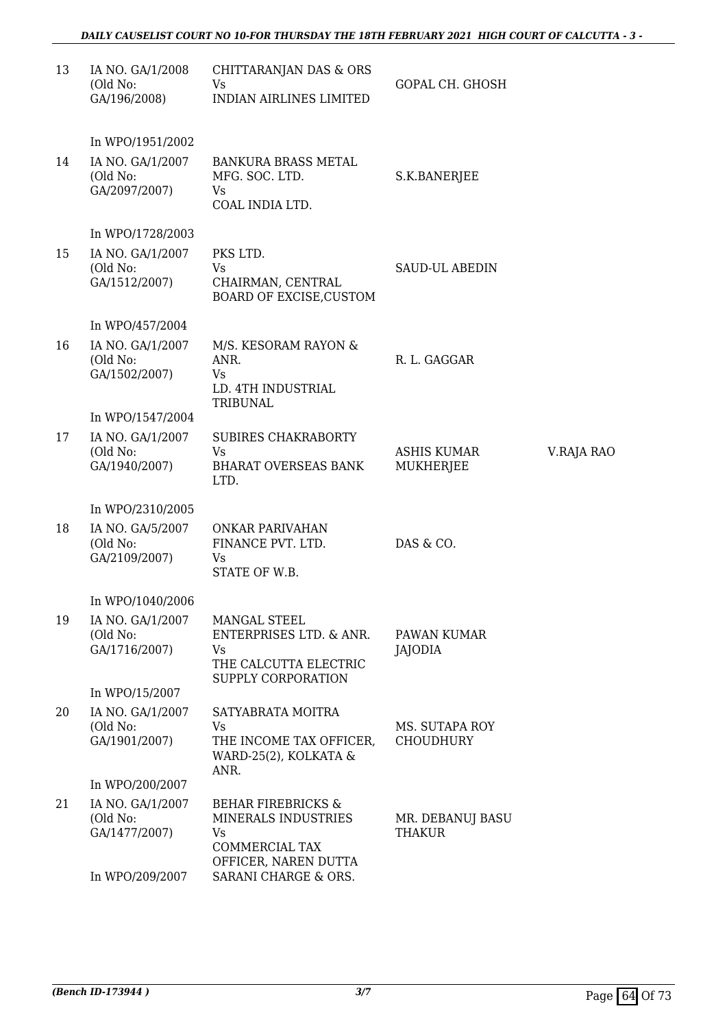| 13 | IA NO. GA/1/2008<br>(Old No:<br>GA/196/2008)  | CHITTARANJAN DAS & ORS<br>Vs<br><b>INDIAN AIRLINES LIMITED</b>                                              | GOPAL CH. GHOSH                    |            |
|----|-----------------------------------------------|-------------------------------------------------------------------------------------------------------------|------------------------------------|------------|
|    | In WPO/1951/2002                              |                                                                                                             |                                    |            |
| 14 | IA NO. GA/1/2007<br>(Old No:<br>GA/2097/2007) | <b>BANKURA BRASS METAL</b><br>MFG. SOC. LTD.<br>Vs<br>COAL INDIA LTD.                                       | S.K.BANERJEE                       |            |
|    | In WPO/1728/2003                              |                                                                                                             |                                    |            |
| 15 | IA NO. GA/1/2007<br>(Old No:<br>GA/1512/2007) | PKS LTD.<br><b>Vs</b><br>CHAIRMAN, CENTRAL<br>BOARD OF EXCISE, CUSTOM                                       | <b>SAUD-UL ABEDIN</b>              |            |
|    | In WPO/457/2004                               |                                                                                                             |                                    |            |
| 16 | IA NO. GA/1/2007<br>(Old No:<br>GA/1502/2007) | M/S. KESORAM RAYON &<br>ANR.<br>Vs<br>LD. 4TH INDUSTRIAL<br>TRIBUNAL                                        | R. L. GAGGAR                       |            |
|    | In WPO/1547/2004                              |                                                                                                             |                                    |            |
| 17 | IA NO. GA/1/2007<br>(Old No:<br>GA/1940/2007) | <b>SUBIRES CHAKRABORTY</b><br>Vs<br><b>BHARAT OVERSEAS BANK</b><br>LTD.                                     | ASHIS KUMAR<br><b>MUKHERJEE</b>    | V.RAJA RAO |
|    | In WPO/2310/2005                              |                                                                                                             |                                    |            |
| 18 | IA NO. GA/5/2007<br>(Old No:<br>GA/2109/2007) | ONKAR PARIVAHAN<br>FINANCE PVT. LTD.<br>Vs<br>STATE OF W.B.                                                 | DAS & CO.                          |            |
|    | In WPO/1040/2006                              |                                                                                                             |                                    |            |
| 19 | IA NO. GA/1/2007<br>(Old No:<br>GA/1716/2007) | MANGAL STEEL<br>ENTERPRISES LTD. & ANR.<br>Vs<br>THE CALCUTTA ELECTRIC<br>SUPPLY CORPORATION                | PAWAN KUMAR<br>JAJODIA             |            |
|    | In WPO/15/2007                                |                                                                                                             |                                    |            |
| 20 | IA NO. GA/1/2007<br>(Old No:<br>GA/1901/2007) | SATYABRATA MOITRA<br>Vs.<br>THE INCOME TAX OFFICER,<br>WARD-25(2), KOLKATA &<br>ANR.                        | MS. SUTAPA ROY<br><b>CHOUDHURY</b> |            |
|    | In WPO/200/2007                               |                                                                                                             |                                    |            |
| 21 | IA NO. GA/1/2007<br>(Old No:<br>GA/1477/2007) | <b>BEHAR FIREBRICKS &amp;</b><br>MINERALS INDUSTRIES<br>Vs<br><b>COMMERCIAL TAX</b><br>OFFICER, NAREN DUTTA | MR. DEBANUJ BASU<br><b>THAKUR</b>  |            |
|    | In WPO/209/2007                               | SARANI CHARGE & ORS.                                                                                        |                                    |            |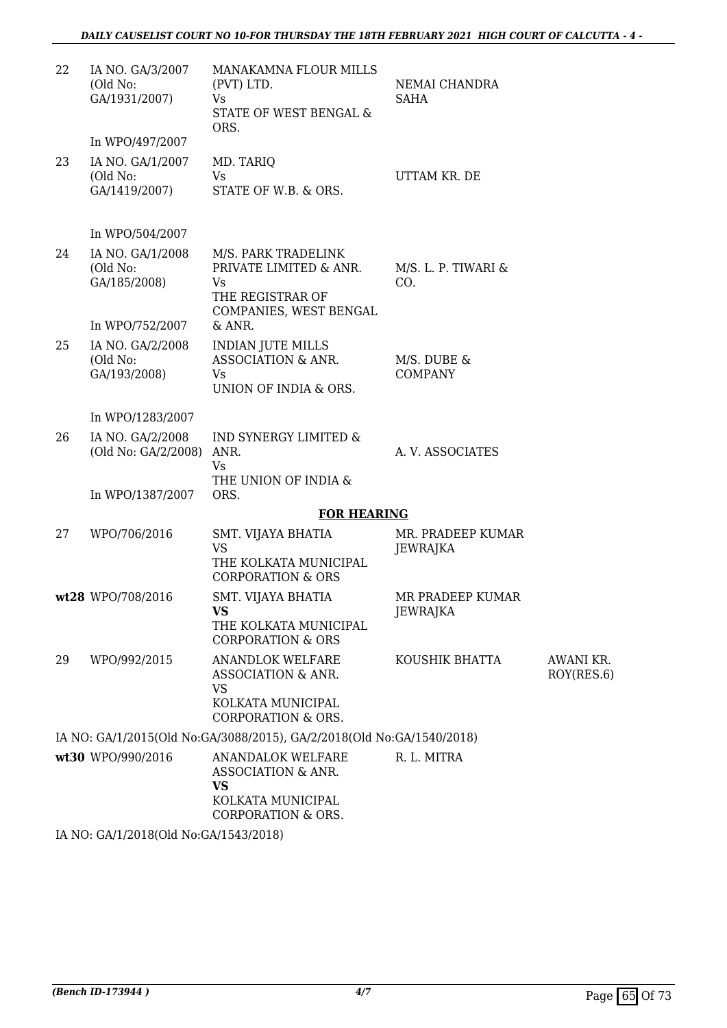| 22 | IA NO. GA/3/2007<br>(Old No:<br>GA/1931/2007)   | MANAKAMNA FLOUR MILLS<br>(PVT) LTD.<br>Vs<br>STATE OF WEST BENGAL &<br>ORS.              | NEMAI CHANDRA<br><b>SAHA</b>         |                         |
|----|-------------------------------------------------|------------------------------------------------------------------------------------------|--------------------------------------|-------------------------|
|    | In WPO/497/2007                                 |                                                                                          |                                      |                         |
| 23 | IA NO. GA/1/2007<br>(Old No:<br>GA/1419/2007)   | MD. TARIQ<br>Vs<br>STATE OF W.B. & ORS.                                                  | UTTAM KR. DE                         |                         |
|    | In WPO/504/2007                                 |                                                                                          |                                      |                         |
| 24 | IA NO. GA/1/2008<br>(Old No:<br>GA/185/2008)    | M/S. PARK TRADELINK<br>PRIVATE LIMITED & ANR.<br>Vs<br>THE REGISTRAR OF                  | $M/S.$ L. P. TIWARI &<br>CO.         |                         |
|    | In WPO/752/2007                                 | COMPANIES, WEST BENGAL<br>& ANR.                                                         |                                      |                         |
| 25 | IA NO. GA/2/2008<br>(Old No:<br>GA/193/2008)    | <b>INDIAN JUTE MILLS</b><br>ASSOCIATION & ANR.<br>Vs<br>UNION OF INDIA & ORS.            | M/S. DUBE &<br><b>COMPANY</b>        |                         |
|    | In WPO/1283/2007                                |                                                                                          |                                      |                         |
| 26 | IA NO. GA/2/2008<br>(Old No: GA/2/2008)         | IND SYNERGY LIMITED &<br>ANR.<br>Vs                                                      | A. V. ASSOCIATES                     |                         |
|    | In WPO/1387/2007                                | THE UNION OF INDIA &<br>ORS.                                                             |                                      |                         |
|    |                                                 | <b>FOR HEARING</b>                                                                       |                                      |                         |
| 27 | WPO/706/2016                                    | SMT. VIJAYA BHATIA<br><b>VS</b><br>THE KOLKATA MUNICIPAL<br><b>CORPORATION &amp; ORS</b> | MR. PRADEEP KUMAR<br><b>JEWRAJKA</b> |                         |
|    | wt28 WPO/708/2016                               | SMT. VIJAYA BHATIA<br><b>VS</b><br>THE KOLKATA MUNICIPAL<br><b>CORPORATION &amp; ORS</b> | MR PRADEEP KUMAR<br><b>JEWRAJKA</b>  |                         |
| 29 | WPO/992/2015                                    | <b>ANANDLOK WELFARE</b><br>ASSOCIATION & ANR.<br><b>VS</b>                               | KOUSHIK BHATTA                       | AWANI KR.<br>ROY(RES.6) |
|    |                                                 | KOLKATA MUNICIPAL<br><b>CORPORATION &amp; ORS.</b>                                       |                                      |                         |
|    |                                                 | IA NO: GA/1/2015(Old No:GA/3088/2015), GA/2/2018(Old No:GA/1540/2018)                    |                                      |                         |
|    | wt30 WPO/990/2016                               | <b>ANANDALOK WELFARE</b><br>ASSOCIATION & ANR.<br><b>VS</b><br>KOLKATA MUNICIPAL         | R. L. MITRA                          |                         |
|    | IA NO. $C_A$ (1/2018) Old No. $C_A$ (1543/2018) | <b>CORPORATION &amp; ORS.</b>                                                            |                                      |                         |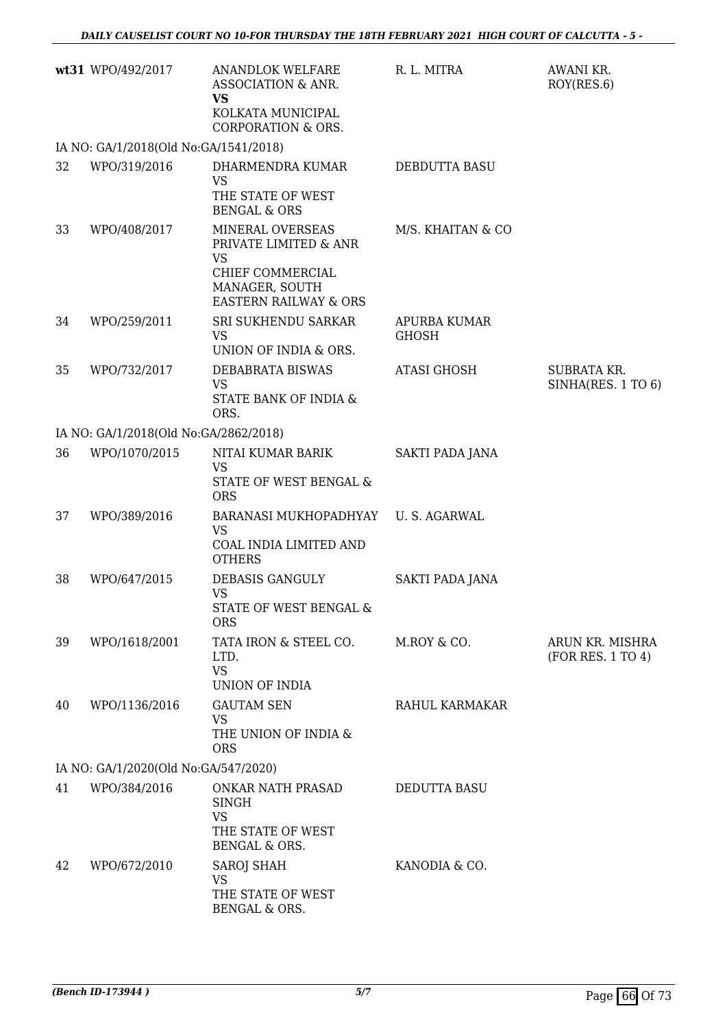|    | wt31 WPO/492/2017                      | <b>ANANDLOK WELFARE</b><br>ASSOCIATION & ANR.<br><b>VS</b><br>KOLKATA MUNICIPAL<br><b>CORPORATION &amp; ORS.</b>                 | R. L. MITRA                         | AWANI KR.<br>ROY(RES.6)                  |
|----|----------------------------------------|----------------------------------------------------------------------------------------------------------------------------------|-------------------------------------|------------------------------------------|
|    | IA NO: GA/1/2018(Old No:GA/1541/2018)  |                                                                                                                                  |                                     |                                          |
| 32 | WPO/319/2016                           | DHARMENDRA KUMAR<br><b>VS</b><br>THE STATE OF WEST<br><b>BENGAL &amp; ORS</b>                                                    | DEBDUTTA BASU                       |                                          |
| 33 | WPO/408/2017                           | MINERAL OVERSEAS<br>PRIVATE LIMITED & ANR<br><b>VS</b><br>CHIEF COMMERCIAL<br>MANAGER, SOUTH<br><b>EASTERN RAILWAY &amp; ORS</b> | M/S. KHAITAN & CO                   |                                          |
| 34 | WPO/259/2011                           | SRI SUKHENDU SARKAR<br><b>VS</b><br>UNION OF INDIA & ORS.                                                                        | <b>APURBA KUMAR</b><br><b>GHOSH</b> |                                          |
| 35 | WPO/732/2017                           | DEBABRATA BISWAS<br><b>VS</b><br>STATE BANK OF INDIA &<br>ORS.                                                                   | <b>ATASI GHOSH</b>                  | <b>SUBRATA KR.</b><br>SINHA(RES. 1 TO 6) |
|    | IA NO: GA/1/2018(Old No: GA/2862/2018) |                                                                                                                                  |                                     |                                          |
| 36 | WPO/1070/2015                          | NITAI KUMAR BARIK<br><b>VS</b><br>STATE OF WEST BENGAL &<br><b>ORS</b>                                                           | <b>SAKTI PADA JANA</b>              |                                          |
| 37 | WPO/389/2016                           | BARANASI MUKHOPADHYAY<br><b>VS</b><br>COAL INDIA LIMITED AND<br><b>OTHERS</b>                                                    | <b>U.S. AGARWAL</b>                 |                                          |
| 38 | WPO/647/2015                           | DEBASIS GANGULY<br><b>VS</b><br>STATE OF WEST BENGAL &<br><b>ORS</b>                                                             | SAKTI PADA JANA                     |                                          |
| 39 | WPO/1618/2001                          | TATA IRON & STEEL CO.<br>LTD.<br><b>VS</b><br>UNION OF INDIA                                                                     | M.ROY & CO.                         | ARUN KR. MISHRA<br>(FOR RES. 1 TO 4)     |
| 40 | WPO/1136/2016                          | <b>GAUTAM SEN</b><br>VS<br>THE UNION OF INDIA &<br><b>ORS</b>                                                                    | RAHUL KARMAKAR                      |                                          |
|    | IA NO: GA/1/2020(Old No:GA/547/2020)   |                                                                                                                                  |                                     |                                          |
| 41 | WPO/384/2016                           | <b>ONKAR NATH PRASAD</b><br><b>SINGH</b><br><b>VS</b><br>THE STATE OF WEST<br>BENGAL & ORS.                                      | DEDUTTA BASU                        |                                          |
| 42 | WPO/672/2010                           | <b>SAROJ SHAH</b><br>VS<br>THE STATE OF WEST<br>BENGAL & ORS.                                                                    | KANODIA & CO.                       |                                          |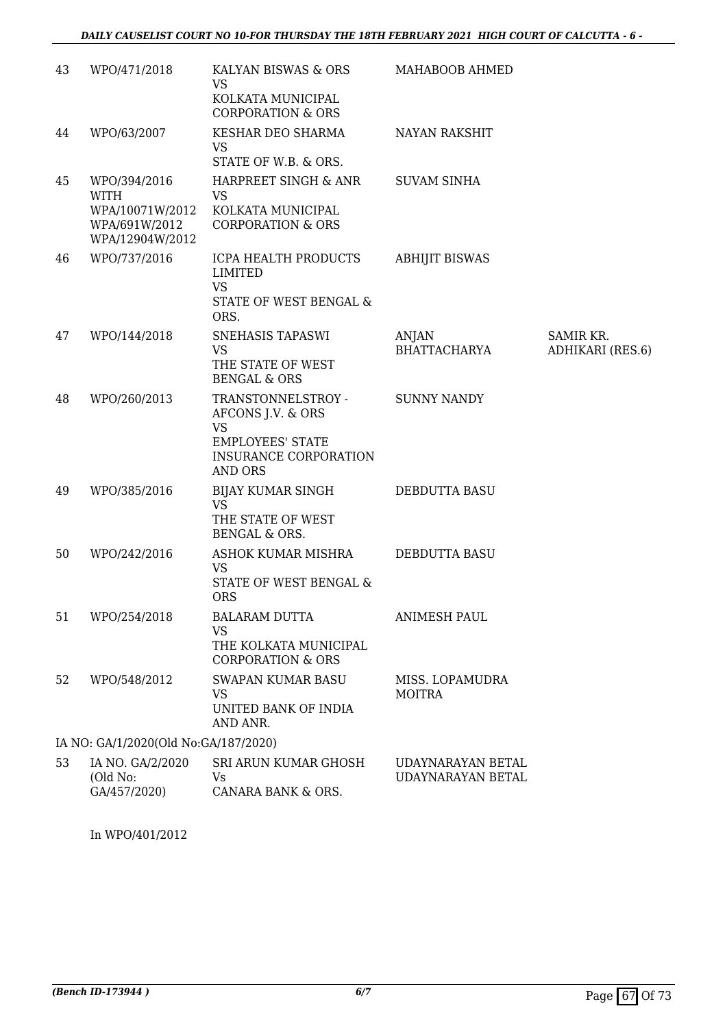| 43 | WPO/471/2018                                                                       | KALYAN BISWAS & ORS<br><b>VS</b>                                                                                                  | MAHABOOB AHMED                         |                               |
|----|------------------------------------------------------------------------------------|-----------------------------------------------------------------------------------------------------------------------------------|----------------------------------------|-------------------------------|
|    |                                                                                    | KOLKATA MUNICIPAL<br><b>CORPORATION &amp; ORS</b>                                                                                 |                                        |                               |
| 44 | WPO/63/2007                                                                        | KESHAR DEO SHARMA<br>VS<br>STATE OF W.B. & ORS.                                                                                   | <b>NAYAN RAKSHIT</b>                   |                               |
|    |                                                                                    |                                                                                                                                   |                                        |                               |
| 45 | WPO/394/2016<br><b>WITH</b><br>WPA/10071W/2012<br>WPA/691W/2012<br>WPA/12904W/2012 | HARPREET SINGH & ANR<br><b>VS</b><br>KOLKATA MUNICIPAL<br><b>CORPORATION &amp; ORS</b>                                            | <b>SUVAM SINHA</b>                     |                               |
| 46 | WPO/737/2016                                                                       | ICPA HEALTH PRODUCTS<br>LIMITED<br><b>VS</b><br>STATE OF WEST BENGAL &                                                            | <b>ABHIJIT BISWAS</b>                  |                               |
|    |                                                                                    | ORS.                                                                                                                              |                                        |                               |
| 47 | WPO/144/2018                                                                       | SNEHASIS TAPASWI<br><b>VS</b><br>THE STATE OF WEST<br><b>BENGAL &amp; ORS</b>                                                     | ANJAN<br><b>BHATTACHARYA</b>           | SAMIR KR.<br>ADHIKARI (RES.6) |
| 48 | WPO/260/2013                                                                       | TRANSTONNELSTROY -<br>AFCONS J.V. & ORS<br><b>VS</b><br><b>EMPLOYEES' STATE</b><br><b>INSURANCE CORPORATION</b><br><b>AND ORS</b> | <b>SUNNY NANDY</b>                     |                               |
| 49 | WPO/385/2016                                                                       | BIJAY KUMAR SINGH<br>VS<br>THE STATE OF WEST<br>BENGAL & ORS.                                                                     | DEBDUTTA BASU                          |                               |
| 50 | WPO/242/2016                                                                       | ASHOK KUMAR MISHRA<br><b>VS</b><br>STATE OF WEST BENGAL &<br><b>ORS</b>                                                           | DEBDUTTA BASU                          |                               |
| 51 | WPO/254/2018                                                                       | <b>BALARAM DUTTA</b><br><b>VS</b><br>THE KOLKATA MUNICIPAL<br><b>CORPORATION &amp; ORS</b>                                        | <b>ANIMESH PAUL</b>                    |                               |
| 52 | WPO/548/2012                                                                       | <b>SWAPAN KUMAR BASU</b><br><b>VS</b><br>UNITED BANK OF INDIA<br>AND ANR.                                                         | MISS. LOPAMUDRA<br><b>MOITRA</b>       |                               |
|    | IA NO: GA/1/2020(Old No:GA/187/2020)                                               |                                                                                                                                   |                                        |                               |
| 53 | IA NO. GA/2/2020<br>(Old No:<br>GA/457/2020)                                       | SRI ARUN KUMAR GHOSH<br>Vs<br>CANARA BANK & ORS.                                                                                  | UDAYNARAYAN BETAL<br>UDAYNARAYAN BETAL |                               |

In WPO/401/2012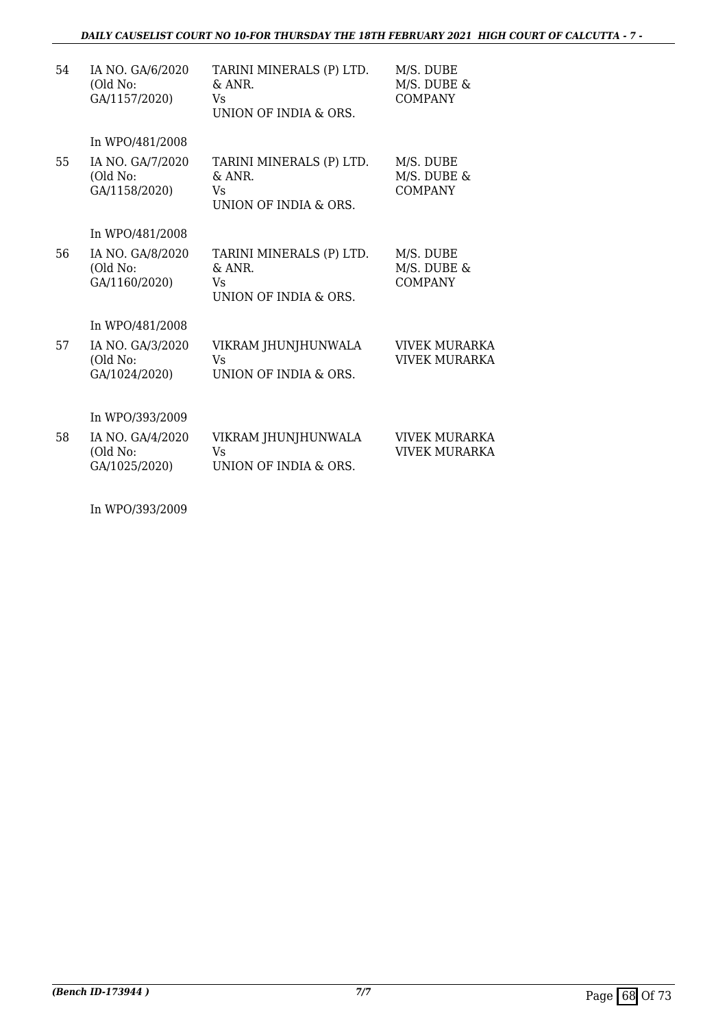## *DAILY CAUSELIST COURT NO 10-FOR THURSDAY THE 18TH FEBRUARY 2021 HIGH COURT OF CALCUTTA - 7 -*

| 54 | IA NO. GA/6/2020<br>(Old No:<br>GA/1157/2020)   | TARINI MINERALS (P) LTD.<br>$\&$ ANR.<br>Vs<br>UNION OF INDIA & ORS. | M/S. DUBE<br>M/S. DUBE &<br><b>COMPANY</b>   |
|----|-------------------------------------------------|----------------------------------------------------------------------|----------------------------------------------|
| 55 | In WPO/481/2008<br>IA NO. GA/7/2020<br>(Old No: | TARINI MINERALS (P) LTD.<br>$\&$ ANR.                                | M/S. DUBE<br>M/S. DUBE &                     |
|    | GA/1158/2020)                                   | Vs<br>UNION OF INDIA & ORS.                                          | <b>COMPANY</b>                               |
|    | In WPO/481/2008                                 |                                                                      |                                              |
| 56 | IA NO. GA/8/2020<br>(Old No:<br>GA/1160/2020)   | TARINI MINERALS (P) LTD.<br>$\&$ ANR.<br>Vs<br>UNION OF INDIA & ORS. | M/S. DUBE<br>M/S. DUBE &<br><b>COMPANY</b>   |
|    | In WPO/481/2008                                 |                                                                      |                                              |
| 57 | IA NO. GA/3/2020<br>(Old No:<br>GA/1024/2020)   | VIKRAM JHUNJHUNWALA<br>Vs<br>UNION OF INDIA & ORS.                   | <b>VIVEK MURARKA</b><br><b>VIVEK MURARKA</b> |
|    | In WPO/393/2009                                 |                                                                      |                                              |
| 58 | IA NO. GA/4/2020<br>(Old No:<br>GA/1025/2020)   | VIKRAM JHUNJHUNWALA<br>Vs<br>UNION OF INDIA & ORS.                   | <b>VIVEK MURARKA</b><br><b>VIVEK MURARKA</b> |
|    |                                                 |                                                                      |                                              |

In WPO/393/2009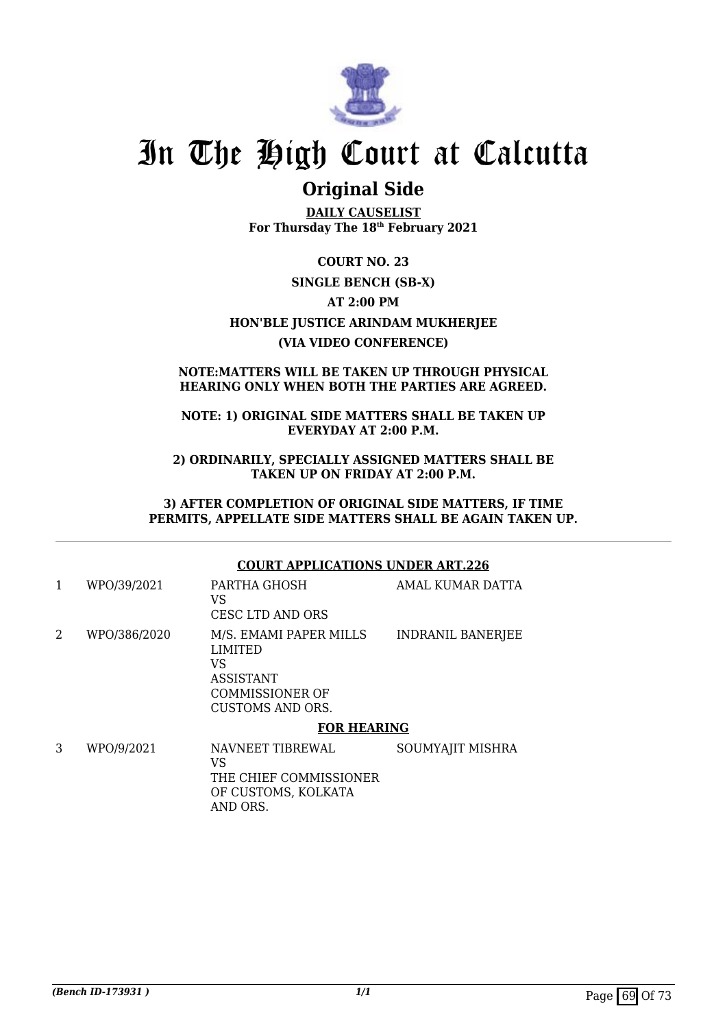

# **Original Side**

**DAILY CAUSELIST For Thursday The 18th February 2021**

**COURT NO. 23 SINGLE BENCH (SB-X) AT 2:00 PM HON'BLE JUSTICE ARINDAM MUKHERJEE (VIA VIDEO CONFERENCE)**

### **NOTE:MATTERS WILL BE TAKEN UP THROUGH PHYSICAL HEARING ONLY WHEN BOTH THE PARTIES ARE AGREED.**

### **NOTE: 1) ORIGINAL SIDE MATTERS SHALL BE TAKEN UP EVERYDAY AT 2:00 P.M.**

**2) ORDINARILY, SPECIALLY ASSIGNED MATTERS SHALL BE TAKEN UP ON FRIDAY AT 2:00 P.M.**

**3) AFTER COMPLETION OF ORIGINAL SIDE MATTERS, IF TIME PERMITS, APPELLATE SIDE MATTERS SHALL BE AGAIN TAKEN UP.**

## **COURT APPLICATIONS UNDER ART.226**

|              | LIMITED<br>VS<br><b>ASSISTANT</b><br>COMMISSIONER OF<br><b>CUSTOMS AND ORS.</b> |                          |
|--------------|---------------------------------------------------------------------------------|--------------------------|
| WPO/386/2020 | VS<br><b>CESC LTD AND ORS</b><br>M/S. EMAMI PAPER MILLS                         | <b>INDRANIL BANERJEE</b> |
| WPO/39/2021  | PARTHA GHOSH                                                                    | <b>AMAL KUMAR DATTA</b>  |

### **FOR HEARING**

3 WPO/9/2021 NAVNEET TIBREWAL VS THE CHIEF COMMISSIONER OF CUSTOMS, KOLKATA AND ORS. SOUMYAJIT MISHRA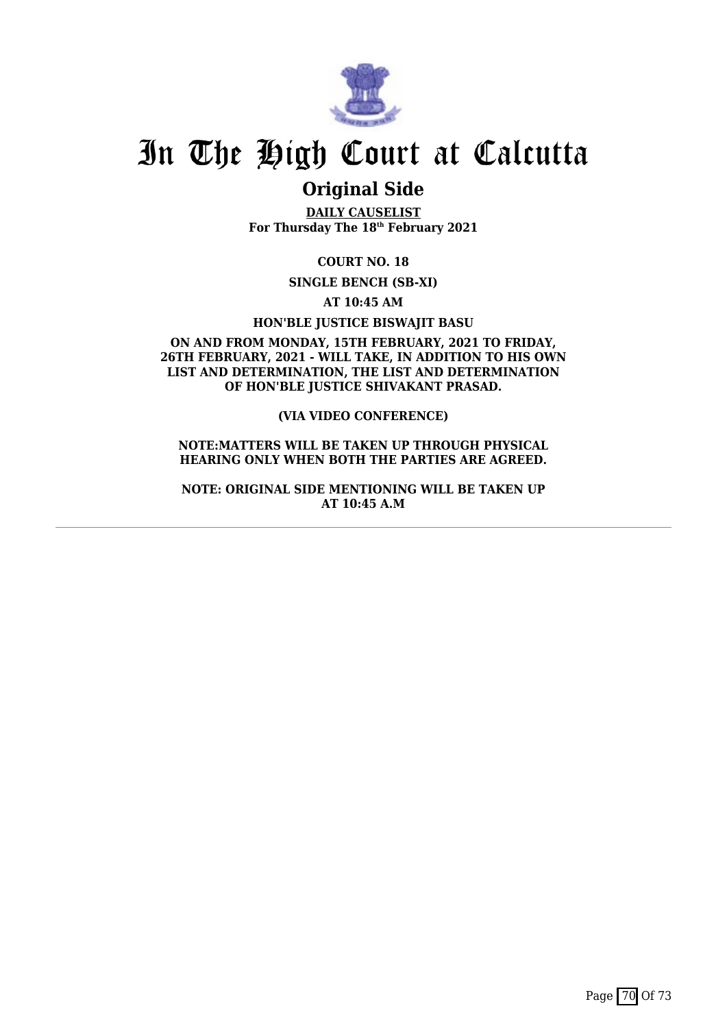

# **Original Side**

**DAILY CAUSELIST For Thursday The 18th February 2021**

**COURT NO. 18**

**SINGLE BENCH (SB-XI)**

**AT 10:45 AM**

**HON'BLE JUSTICE BISWAJIT BASU**

**ON AND FROM MONDAY, 15TH FEBRUARY, 2021 TO FRIDAY, 26TH FEBRUARY, 2021 - WILL TAKE, IN ADDITION TO HIS OWN LIST AND DETERMINATION, THE LIST AND DETERMINATION OF HON'BLE JUSTICE SHIVAKANT PRASAD.**

**(VIA VIDEO CONFERENCE)**

**NOTE:MATTERS WILL BE TAKEN UP THROUGH PHYSICAL HEARING ONLY WHEN BOTH THE PARTIES ARE AGREED.**

**NOTE: ORIGINAL SIDE MENTIONING WILL BE TAKEN UP AT 10:45 A.M**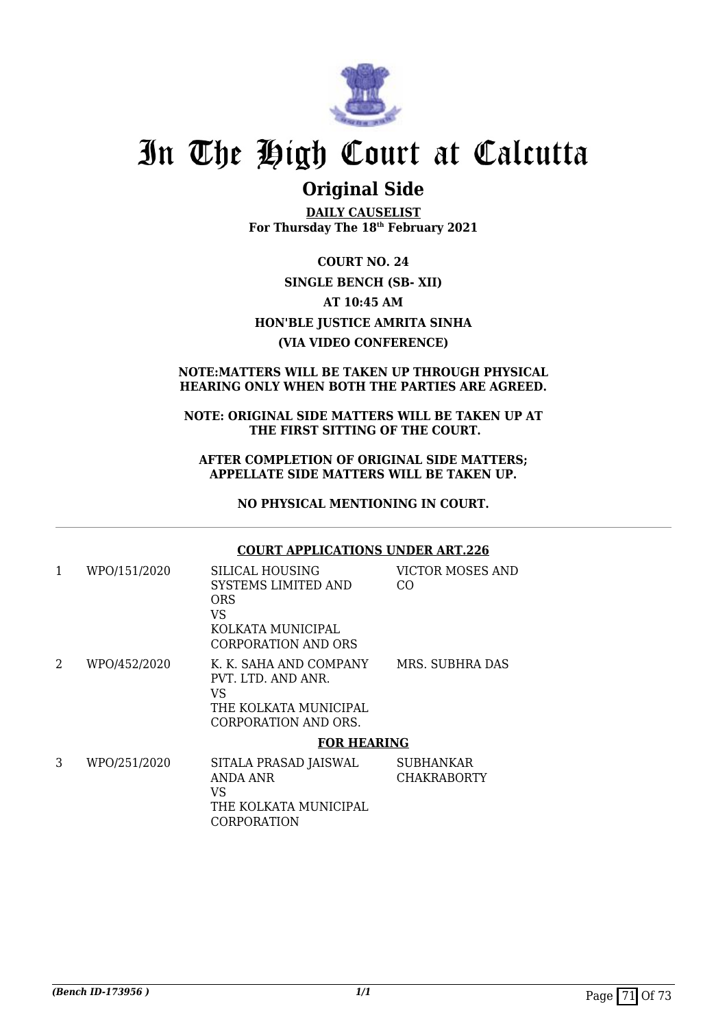

# In The High Court at Calcutta

### **Original Side**

**DAILY CAUSELIST For Thursday The 18th February 2021**

**COURT NO. 24 SINGLE BENCH (SB- XII) AT 10:45 AM HON'BLE JUSTICE AMRITA SINHA (VIA VIDEO CONFERENCE)**

### **NOTE:MATTERS WILL BE TAKEN UP THROUGH PHYSICAL HEARING ONLY WHEN BOTH THE PARTIES ARE AGREED.**

#### **NOTE: ORIGINAL SIDE MATTERS WILL BE TAKEN UP AT THE FIRST SITTING OF THE COURT.**

### **AFTER COMPLETION OF ORIGINAL SIDE MATTERS; APPELLATE SIDE MATTERS WILL BE TAKEN UP.**

**NO PHYSICAL MENTIONING IN COURT.**

### **COURT APPLICATIONS UNDER ART.226**

| 1 | WPO/151/2020 | SILICAL HOUSING<br>SYSTEMS LIMITED AND<br><b>ORS</b><br>VS<br>KOLKATA MUNICIPAL<br>CORPORATION AND ORS | VICTOR MOSES AND<br>CO.         |  |
|---|--------------|--------------------------------------------------------------------------------------------------------|---------------------------------|--|
| 2 | WPO/452/2020 | K. K. SAHA AND COMPANY<br>PVT. LTD. AND ANR.<br>VS<br>THE KOLKATA MUNICIPAL<br>CORPORATION AND ORS.    | MRS. SUBHRA DAS                 |  |
|   |              | <b>FOR HEARING</b>                                                                                     |                                 |  |
| 3 | WPO/251/2020 | SITALA PRASAD JAISWAL<br>ANDA ANR<br>VS                                                                | SUBHANKAR<br><b>CHAKRABORTY</b> |  |

VS THE KOLKATA MUNICIPAL CORPORATION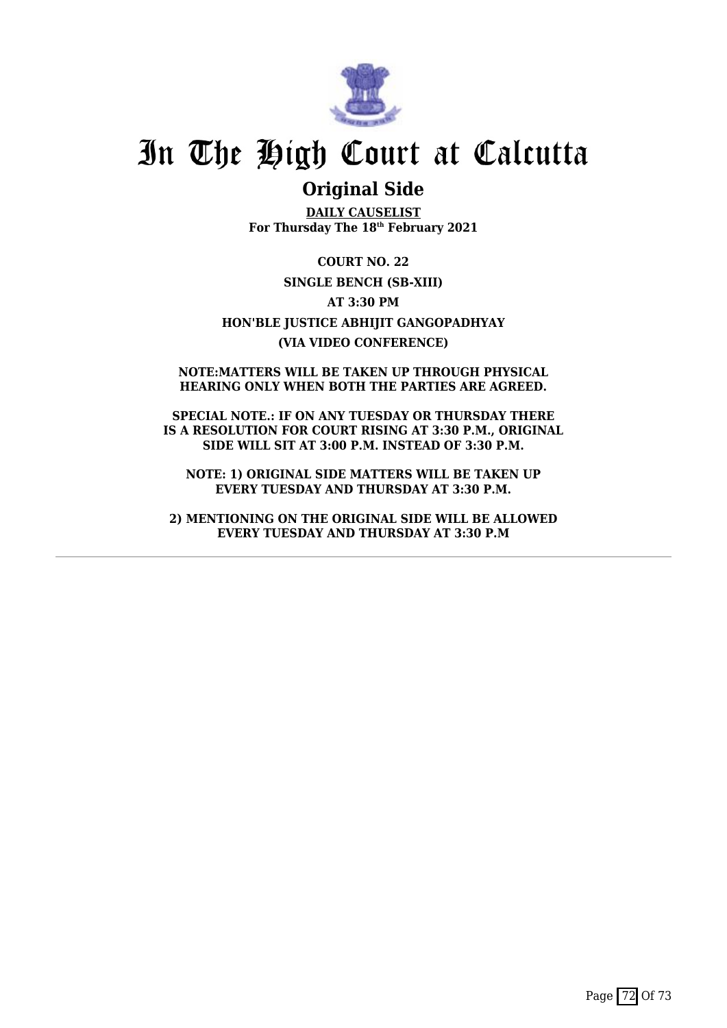

## In The High Court at Calcutta

### **Original Side**

**DAILY CAUSELIST For Thursday The 18th February 2021**

**COURT NO. 22 SINGLE BENCH (SB-XIII) AT 3:30 PM HON'BLE JUSTICE ABHIJIT GANGOPADHYAY (VIA VIDEO CONFERENCE)**

**NOTE:MATTERS WILL BE TAKEN UP THROUGH PHYSICAL HEARING ONLY WHEN BOTH THE PARTIES ARE AGREED.**

**SPECIAL NOTE.: IF ON ANY TUESDAY OR THURSDAY THERE IS A RESOLUTION FOR COURT RISING AT 3:30 P.M., ORIGINAL SIDE WILL SIT AT 3:00 P.M. INSTEAD OF 3:30 P.M.**

**NOTE: 1) ORIGINAL SIDE MATTERS WILL BE TAKEN UP EVERY TUESDAY AND THURSDAY AT 3:30 P.M.**

**2) MENTIONING ON THE ORIGINAL SIDE WILL BE ALLOWED EVERY TUESDAY AND THURSDAY AT 3:30 P.M**